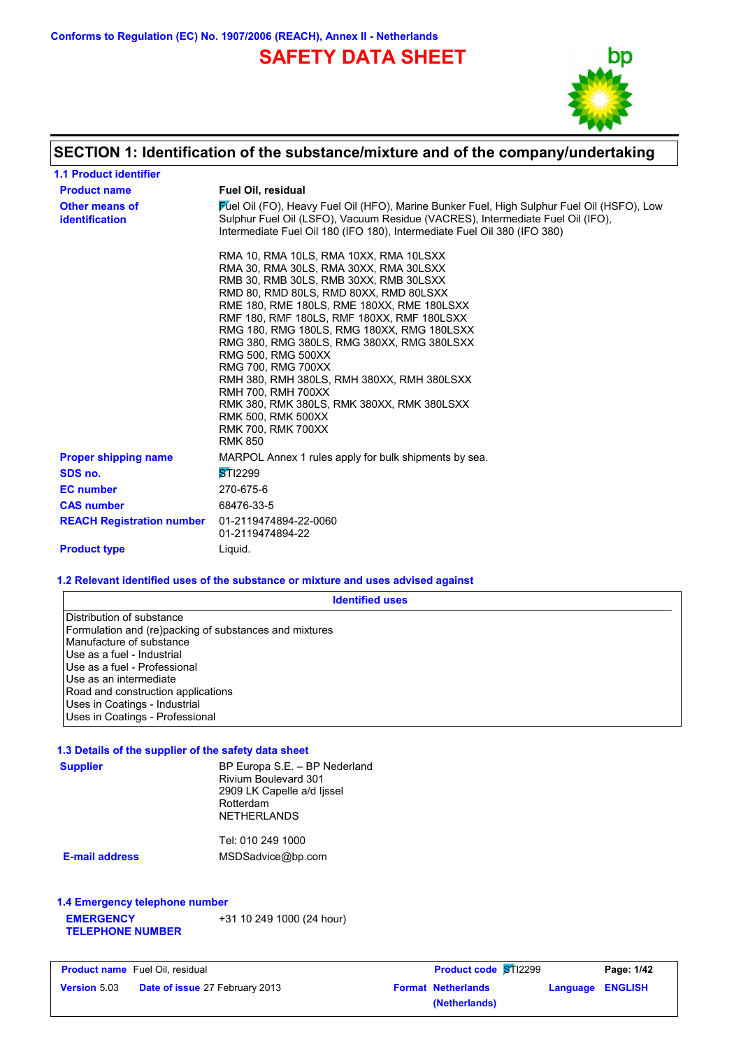**Conforms to Regulation (EC) No. 1907/2006 (REACH), Annex II - Netherlands**

**SAFETY DATA SHEET**



## **SECTION 1: Identification of the substance/mixture and of the company/undertaking**

| <b>1.1 Product identifier</b>           |                                                                                                                                                                                                                                                                                                                                                                                                                                                                                                                                                                                                               |
|-----------------------------------------|---------------------------------------------------------------------------------------------------------------------------------------------------------------------------------------------------------------------------------------------------------------------------------------------------------------------------------------------------------------------------------------------------------------------------------------------------------------------------------------------------------------------------------------------------------------------------------------------------------------|
| <b>Product name</b>                     | <b>Fuel Oil, residual</b>                                                                                                                                                                                                                                                                                                                                                                                                                                                                                                                                                                                     |
| Other means of<br><i>identification</i> | Fuel Oil (FO), Heavy Fuel Oil (HFO), Marine Bunker Fuel, High Sulphur Fuel Oil (HSFO), Low<br>Sulphur Fuel Oil (LSFO), Vacuum Residue (VACRES), Intermediate Fuel Oil (IFO),<br>Intermediate Fuel Oil 180 (IFO 180), Intermediate Fuel Oil 380 (IFO 380)                                                                                                                                                                                                                                                                                                                                                      |
|                                         | RMA 10, RMA 10LS, RMA 10XX, RMA 10LSXX<br>RMA 30, RMA 30LS, RMA 30XX, RMA 30LSXX<br>RMB 30, RMB 30LS, RMB 30XX, RMB 30LSXX<br>RMD 80, RMD 80LS, RMD 80XX, RMD 80LSXX<br>RME 180, RME 180LS, RME 180XX, RME 180LSXX<br>RMF 180, RMF 180LS, RMF 180XX, RMF 180LSXX<br>RMG 180, RMG 180LS, RMG 180XX, RMG 180LSXX<br>RMG 380, RMG 380LS, RMG 380XX, RMG 380LSXX<br>RMG 500, RMG 500XX<br>RMG 700, RMG 700XX<br>RMH 380, RMH 380LS, RMH 380XX, RMH 380LSXX<br><b>RMH 700, RMH 700XX</b><br>RMK 380, RMK 380LS, RMK 380XX, RMK 380LSXX<br><b>RMK 500, RMK 500XX</b><br><b>RMK 700, RMK 700XX</b><br><b>RMK 850</b> |
| <b>Proper shipping name</b>             | MARPOL Annex 1 rules apply for bulk shipments by sea.                                                                                                                                                                                                                                                                                                                                                                                                                                                                                                                                                         |
| SDS no.                                 | $ST$ 12299                                                                                                                                                                                                                                                                                                                                                                                                                                                                                                                                                                                                    |
| <b>EC</b> number                        | 270-675-6                                                                                                                                                                                                                                                                                                                                                                                                                                                                                                                                                                                                     |
| <b>CAS number</b>                       | 68476-33-5                                                                                                                                                                                                                                                                                                                                                                                                                                                                                                                                                                                                    |
| <b>REACH Registration number</b>        | 01-2119474894-22-0060<br>01-2119474894-22                                                                                                                                                                                                                                                                                                                                                                                                                                                                                                                                                                     |
| <b>Product type</b>                     | Liquid.                                                                                                                                                                                                                                                                                                                                                                                                                                                                                                                                                                                                       |

### **1.2 Relevant identified uses of the substance or mixture and uses advised against**

| <b>Identified uses</b>                                                                                                                                                                                  |
|---------------------------------------------------------------------------------------------------------------------------------------------------------------------------------------------------------|
| Distribution of substance<br>Formulation and (re)packing of substances and mixtures<br>Manufacture of substance<br>Use as a fuel - Industrial<br>Use as a fuel - Professional<br>Use as an intermediate |
| Road and construction applications<br>Uses in Coatings - Industrial<br>Uses in Coatings - Professional                                                                                                  |

#### **1.3 Details of the supplier of the safety data sheet**

| <b>Supplier</b>                | BP Europa S.E. - BP Nederland<br>Rivium Boulevard 301<br>2909 LK Capelle a/d lissel<br>Rotterdam<br><b>NETHERLANDS</b> |  |
|--------------------------------|------------------------------------------------------------------------------------------------------------------------|--|
|                                | Tel: 010 249 1000                                                                                                      |  |
| <b>E-mail address</b>          | MSDSadvice@bp.com                                                                                                      |  |
| 1.4 Emergency telephone number |                                                                                                                        |  |

**EMERGENCY TELEPHONE NUMBER** +31 10 249 1000 (24 hour)

| <b>Product name</b> Fuel Oil, residual |                                       | <b>Product code ST12299</b> | Page: 1/42              |
|----------------------------------------|---------------------------------------|-----------------------------|-------------------------|
| <b>Version 5.03</b>                    | <b>Date of issue 27 February 2013</b> | <b>Format Netherlands</b>   | <b>Language ENGLISH</b> |
|                                        |                                       | (Netherlands)               |                         |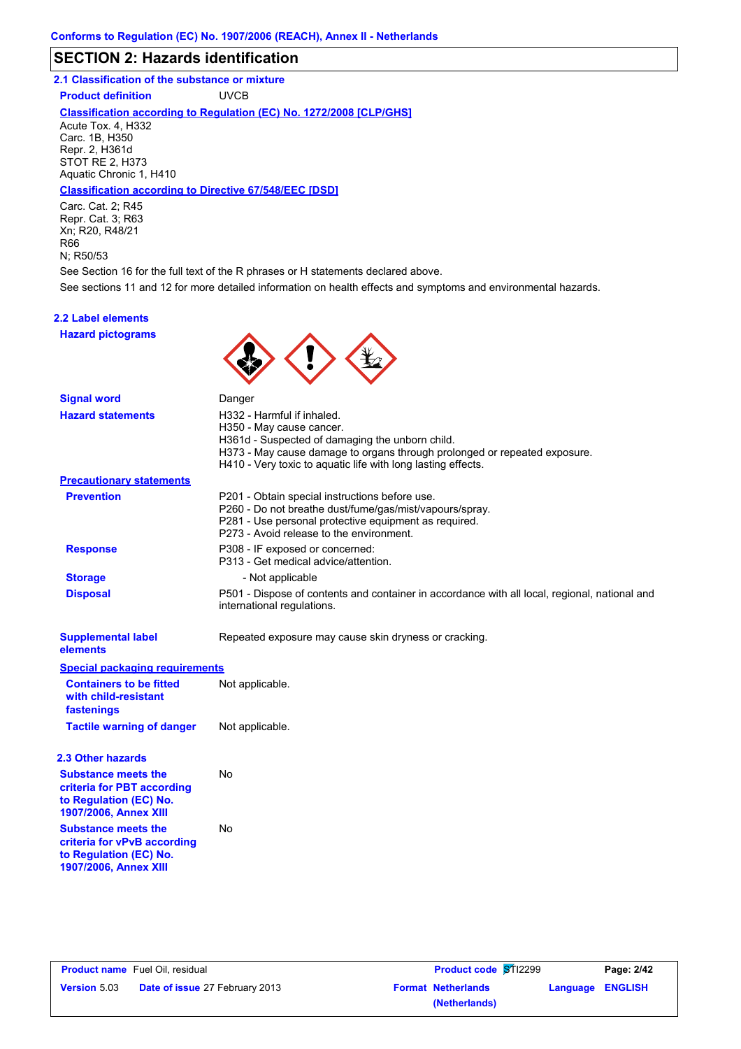### **SECTION 2: Hazards identification**

### **2.1 Classification of the substance or mixture**

**Product definition** UVCB

#### **Classification according to Regulation (EC) No. 1272/2008 [CLP/GHS]**

Acute Tox. 4, H332 Carc. 1B, H350 Repr. 2, H361d STOT RE 2, H373 Aquatic Chronic 1, H410

#### **Classification according to Directive 67/548/EEC [DSD]**

Carc. Cat. 2; R45 Repr. Cat. 3; R63 Xn; R20, R48/21 R66 N; R50/53

See sections 11 and 12 for more detailed information on health effects and symptoms and environmental hazards. See Section 16 for the full text of the R phrases or H statements declared above.

# **2.2 Label elements**

**Hazard pictograms**



| <b>Signal word</b>                                                                                                  | Danger                                                                                                                                                                                                                                                 |
|---------------------------------------------------------------------------------------------------------------------|--------------------------------------------------------------------------------------------------------------------------------------------------------------------------------------------------------------------------------------------------------|
| <b>Hazard statements</b>                                                                                            | H332 - Harmful if inhaled.<br>H350 - May cause cancer.<br>H361d - Suspected of damaging the unborn child.<br>H373 - May cause damage to organs through prolonged or repeated exposure.<br>H410 - Very toxic to aquatic life with long lasting effects. |
| <b>Precautionary statements</b>                                                                                     |                                                                                                                                                                                                                                                        |
| <b>Prevention</b>                                                                                                   | P201 - Obtain special instructions before use.<br>P260 - Do not breathe dust/fume/gas/mist/vapours/spray.<br>P281 - Use personal protective equipment as required.<br>P273 - Avoid release to the environment.                                         |
| <b>Response</b>                                                                                                     | P308 - IF exposed or concerned:<br>P313 - Get medical advice/attention.                                                                                                                                                                                |
| <b>Storage</b>                                                                                                      | - Not applicable                                                                                                                                                                                                                                       |
| <b>Disposal</b>                                                                                                     | P501 - Dispose of contents and container in accordance with all local, regional, national and<br>international regulations.                                                                                                                            |
| <b>Supplemental label</b><br>elements                                                                               | Repeated exposure may cause skin dryness or cracking.                                                                                                                                                                                                  |
| <b>Special packaging requirements</b>                                                                               |                                                                                                                                                                                                                                                        |
| <b>Containers to be fitted</b><br>with child-resistant<br>fastenings                                                | Not applicable.                                                                                                                                                                                                                                        |
| <b>Tactile warning of danger</b>                                                                                    | Not applicable.                                                                                                                                                                                                                                        |
| 2.3 Other hazards                                                                                                   |                                                                                                                                                                                                                                                        |
| <b>Substance meets the</b><br>criteria for PBT according<br>to Regulation (EC) No.<br>1907/2006, Annex XIII         | <b>No</b>                                                                                                                                                                                                                                              |
| <b>Substance meets the</b><br>criteria for vPvB according<br>to Regulation (EC) No.<br><b>1907/2006, Annex XIII</b> | No                                                                                                                                                                                                                                                     |
|                                                                                                                     |                                                                                                                                                                                                                                                        |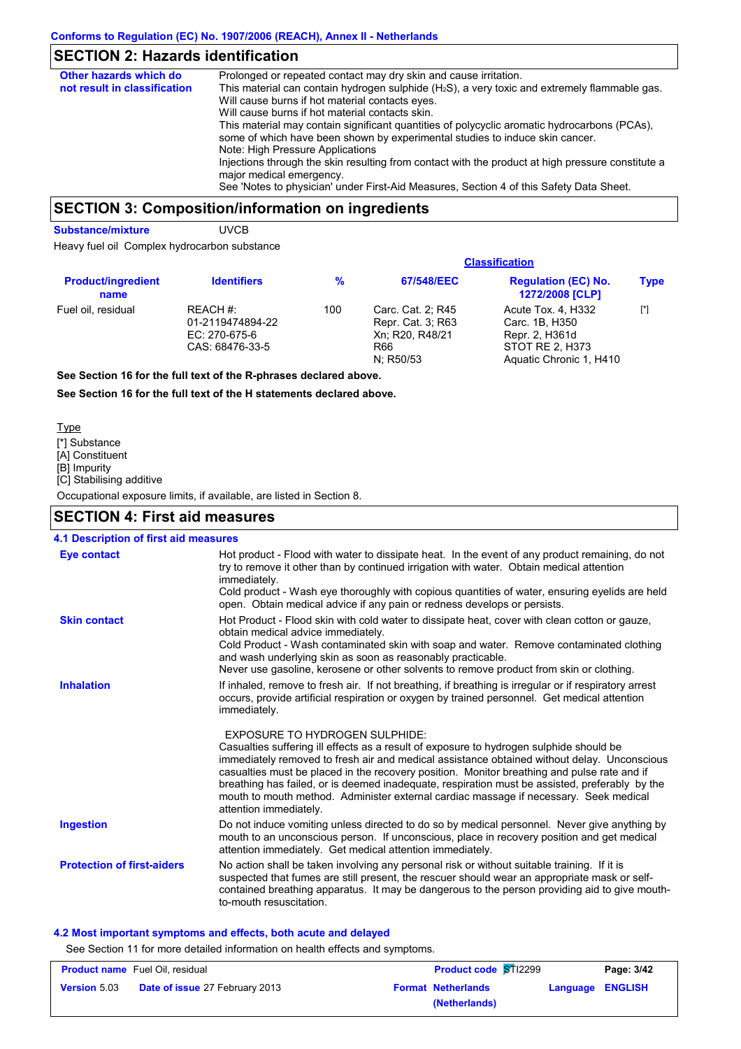### **SECTION 2: Hazards identification**

| Other hazards which do       | Prolonged or repeated contact may dry skin and cause irritation.                                                                                                                                                                                                                                       |
|------------------------------|--------------------------------------------------------------------------------------------------------------------------------------------------------------------------------------------------------------------------------------------------------------------------------------------------------|
| not result in classification | This material can contain hydrogen sulphide $(H_2S)$ , a very toxic and extremely flammable gas.<br>Will cause burns if hot material contacts eyes.<br>Will cause burns if hot material contacts skin.<br>This material may contain significant quantities of polycyclic aromatic hydrocarbons (PCAs), |
|                              | some of which have been shown by experimental studies to induce skin cancer.<br>Note: High Pressure Applications                                                                                                                                                                                       |
|                              | Injections through the skin resulting from contact with the product at high pressure constitute a<br>major medical emergency.                                                                                                                                                                          |
|                              | See 'Notes to physician' under First-Aid Measures, Section 4 of this Safety Data Sheet.                                                                                                                                                                                                                |

### **SECTION 3: Composition/information on ingredients**

**Substance/mixture UVCB** 

Heavy fuel oil Complex hydrocarbon substance

|                                   | <b>Classification</b>                                            |               |                                                                               |                                                                                                      |             |
|-----------------------------------|------------------------------------------------------------------|---------------|-------------------------------------------------------------------------------|------------------------------------------------------------------------------------------------------|-------------|
| <b>Product/ingredient</b><br>name | <b>Identifiers</b>                                               | $\frac{9}{6}$ | 67/548/EEC<br><b>Regulation (EC) No.</b><br>1272/2008 [CLP]                   |                                                                                                      | <b>Type</b> |
| Fuel oil, residual                | REACH #:<br>01-2119474894-22<br>EC: 270-675-6<br>CAS: 68476-33-5 | 100           | Carc. Cat. 2; R45<br>Repr. Cat. 3; R63<br>Xn: R20, R48/21<br>R66<br>N: R50/53 | Acute Tox. 4, H332<br>Carc. 1B, H350<br>Repr. 2, H361d<br>STOT RE 2. H373<br>Aquatic Chronic 1, H410 | $[^*]$      |
|                                   | See Section 16 for the full text of the B phropes dealered above |               |                                                                               |                                                                                                      |             |

**See Section 16 for the full text of the R-phrases declared above.**

**See Section 16 for the full text of the H statements declared above.**

- [\*] Substance [A] Constituent Type
- [B] Impurity

[C] Stabilising additive

Occupational exposure limits, if available, are listed in Section 8.

### **SECTION 4: First aid measures**

| <b>4.1 Description of first aid measures</b> |                                                                                                                                                                                                                                                                                                                                                                                                                 |
|----------------------------------------------|-----------------------------------------------------------------------------------------------------------------------------------------------------------------------------------------------------------------------------------------------------------------------------------------------------------------------------------------------------------------------------------------------------------------|
| <b>Eye contact</b>                           | Hot product - Flood with water to dissipate heat. In the event of any product remaining, do not<br>try to remove it other than by continued irrigation with water. Obtain medical attention<br>immediately.<br>Cold product - Wash eye thoroughly with copious quantities of water, ensuring eyelids are held<br>open. Obtain medical advice if any pain or redness develops or persists.                       |
| <b>Skin contact</b>                          | Hot Product - Flood skin with cold water to dissipate heat, cover with clean cotton or gauze,<br>obtain medical advice immediately.<br>Cold Product - Wash contaminated skin with soap and water. Remove contaminated clothing<br>and wash underlying skin as soon as reasonably practicable.<br>Never use gasoline, kerosene or other solvents to remove product from skin or clothing.                        |
| <b>Inhalation</b>                            | If inhaled, remove to fresh air. If not breathing, if breathing is irregular or if respiratory arrest<br>occurs, provide artificial respiration or oxygen by trained personnel. Get medical attention<br>immediately.<br><b>EXPOSURE TO HYDROGEN SULPHIDE:</b><br>Casualties suffering ill effects as a result of exposure to hydrogen sulphide should be                                                       |
|                                              | immediately removed to fresh air and medical assistance obtained without delay. Unconscious<br>casualties must be placed in the recovery position. Monitor breathing and pulse rate and if<br>breathing has failed, or is deemed inadequate, respiration must be assisted, preferably by the<br>mouth to mouth method. Administer external cardiac massage if necessary. Seek medical<br>attention immediately. |
| <b>Ingestion</b>                             | Do not induce vomiting unless directed to do so by medical personnel. Never give anything by<br>mouth to an unconscious person. If unconscious, place in recovery position and get medical<br>attention immediately. Get medical attention immediately.                                                                                                                                                         |
| <b>Protection of first-aiders</b>            | No action shall be taken involving any personal risk or without suitable training. If it is<br>suspected that fumes are still present, the rescuer should wear an appropriate mask or self-<br>contained breathing apparatus. It may be dangerous to the person providing aid to give mouth-<br>to-mouth resuscitation.                                                                                         |

#### **4.2 Most important symptoms and effects, both acute and delayed**

See Section 11 for more detailed information on health effects and symptoms.

| <b>Product name</b> Fuel Oil, residual |                                       | <b>Product code ST12299</b> |                           | Page: 3/42 |                         |
|----------------------------------------|---------------------------------------|-----------------------------|---------------------------|------------|-------------------------|
| <b>Version 5.03</b>                    | <b>Date of issue 27 February 2013</b> |                             | <b>Format Netherlands</b> |            | <b>Language ENGLISH</b> |
|                                        |                                       |                             | (Netherlands)             |            |                         |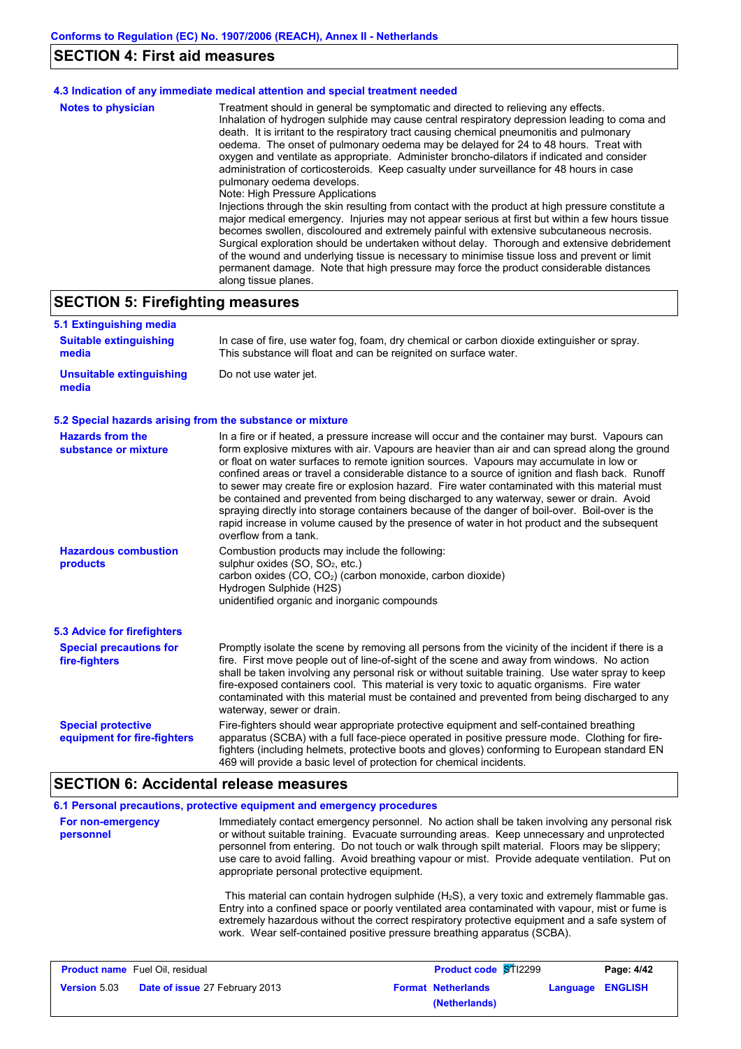## **SECTION 4: First aid measures**

|                           | 4.3 Indication of any immediate medical attention and special treatment needed                                                                                                                                                                                                                                                                                                                                                                                                                                                                                                                                                                                                                                                                                                                                                                                                                                                                                                                                                                                                                                                                                                                                                                         |
|---------------------------|--------------------------------------------------------------------------------------------------------------------------------------------------------------------------------------------------------------------------------------------------------------------------------------------------------------------------------------------------------------------------------------------------------------------------------------------------------------------------------------------------------------------------------------------------------------------------------------------------------------------------------------------------------------------------------------------------------------------------------------------------------------------------------------------------------------------------------------------------------------------------------------------------------------------------------------------------------------------------------------------------------------------------------------------------------------------------------------------------------------------------------------------------------------------------------------------------------------------------------------------------------|
| <b>Notes to physician</b> | Treatment should in general be symptomatic and directed to relieving any effects.<br>Inhalation of hydrogen sulphide may cause central respiratory depression leading to coma and<br>death. It is irritant to the respiratory tract causing chemical pneumonitis and pulmonary<br>oedema. The onset of pulmonary oedema may be delayed for 24 to 48 hours. Treat with<br>oxygen and ventilate as appropriate. Administer broncho-dilators if indicated and consider<br>administration of corticosteroids. Keep casualty under surveillance for 48 hours in case<br>pulmonary oedema develops.<br>Note: High Pressure Applications<br>Injections through the skin resulting from contact with the product at high pressure constitute a<br>major medical emergency. Injuries may not appear serious at first but within a few hours tissue<br>becomes swollen, discoloured and extremely painful with extensive subcutaneous necrosis.<br>Surgical exploration should be undertaken without delay. Thorough and extensive debridement<br>of the wound and underlying tissue is necessary to minimise tissue loss and prevent or limit<br>permanent damage. Note that high pressure may force the product considerable distances<br>along tissue planes. |

# **SECTION 5: Firefighting measures**

| 5.1 Extinguishing media                                   |                                                                                                                                                                                                                                                                                                                                                                                                                                                                                                                                                                                                                                                                                                                                                                                                                      |
|-----------------------------------------------------------|----------------------------------------------------------------------------------------------------------------------------------------------------------------------------------------------------------------------------------------------------------------------------------------------------------------------------------------------------------------------------------------------------------------------------------------------------------------------------------------------------------------------------------------------------------------------------------------------------------------------------------------------------------------------------------------------------------------------------------------------------------------------------------------------------------------------|
| <b>Suitable extinguishing</b><br>media                    | In case of fire, use water fog, foam, dry chemical or carbon dioxide extinguisher or spray.<br>This substance will float and can be reignited on surface water.                                                                                                                                                                                                                                                                                                                                                                                                                                                                                                                                                                                                                                                      |
| Unsuitable extinguishing<br>media                         | Do not use water jet.                                                                                                                                                                                                                                                                                                                                                                                                                                                                                                                                                                                                                                                                                                                                                                                                |
| 5.2 Special hazards arising from the substance or mixture |                                                                                                                                                                                                                                                                                                                                                                                                                                                                                                                                                                                                                                                                                                                                                                                                                      |
| <b>Hazards from the</b><br>substance or mixture           | In a fire or if heated, a pressure increase will occur and the container may burst. Vapours can<br>form explosive mixtures with air. Vapours are heavier than air and can spread along the ground<br>or float on water surfaces to remote ignition sources. Vapours may accumulate in low or<br>confined areas or travel a considerable distance to a source of ignition and flash back. Runoff<br>to sewer may create fire or explosion hazard. Fire water contaminated with this material must<br>be contained and prevented from being discharged to any waterway, sewer or drain. Avoid<br>spraying directly into storage containers because of the danger of boil-over. Boil-over is the<br>rapid increase in volume caused by the presence of water in hot product and the subsequent<br>overflow from a tank. |
| <b>Hazardous combustion</b><br>products                   | Combustion products may include the following:<br>sulphur oxides (SO, SO <sub>2</sub> , etc.)<br>carbon oxides (CO, CO <sub>2</sub> ) (carbon monoxide, carbon dioxide)<br>Hydrogen Sulphide (H2S)<br>unidentified organic and inorganic compounds                                                                                                                                                                                                                                                                                                                                                                                                                                                                                                                                                                   |
| <b>5.3 Advice for firefighters</b>                        |                                                                                                                                                                                                                                                                                                                                                                                                                                                                                                                                                                                                                                                                                                                                                                                                                      |
| <b>Special precautions for</b><br>fire-fighters           | Promptly isolate the scene by removing all persons from the vicinity of the incident if there is a<br>fire. First move people out of line-of-sight of the scene and away from windows. No action<br>shall be taken involving any personal risk or without suitable training. Use water spray to keep<br>fire-exposed containers cool. This material is very toxic to aquatic organisms. Fire water<br>contaminated with this material must be contained and prevented from being discharged to any<br>waterway, sewer or drain.                                                                                                                                                                                                                                                                                      |
| <b>Special protective</b><br>equipment for fire-fighters  | Fire-fighters should wear appropriate protective equipment and self-contained breathing<br>apparatus (SCBA) with a full face-piece operated in positive pressure mode. Clothing for fire-<br>fighters (including helmets, protective boots and gloves) conforming to European standard EN<br>469 will provide a basic level of protection for chemical incidents.                                                                                                                                                                                                                                                                                                                                                                                                                                                    |

### **SECTION 6: Accidental release measures**

|                                | 6.1 Personal precautions, protective equipment and emergency procedures                                                                                                                                                                                                                                                                                                                                                                       |
|--------------------------------|-----------------------------------------------------------------------------------------------------------------------------------------------------------------------------------------------------------------------------------------------------------------------------------------------------------------------------------------------------------------------------------------------------------------------------------------------|
| For non-emergency<br>personnel | Immediately contact emergency personnel. No action shall be taken involving any personal risk<br>or without suitable training. Evacuate surrounding areas. Keep unnecessary and unprotected<br>personnel from entering. Do not touch or walk through spilt material. Floors may be slippery;<br>use care to avoid falling. Avoid breathing vapour or mist. Provide adequate ventilation. Put on<br>appropriate personal protective equipment. |
|                                | This material can contain hydrogen sulphide $(H_2S)$ , a very toxic and extremely flammable gas.<br>Entry into a confined space or poorly ventilated area contaminated with vapour, mist or fume is<br>extremely hazardous without the correct respiratory protective equipment and a safe system of<br>work. Wear self-contained positive pressure breathing apparatus (SCBA).                                                               |

| <b>Product name</b> Fuel Oil, residual |                                       | <b>Product code ST12299</b> |                           | Page: 4/42 |                         |
|----------------------------------------|---------------------------------------|-----------------------------|---------------------------|------------|-------------------------|
| <b>Version 5.03</b>                    | <b>Date of issue 27 February 2013</b> |                             | <b>Format Netherlands</b> |            | <b>Language ENGLISH</b> |
|                                        |                                       |                             | (Netherlands)             |            |                         |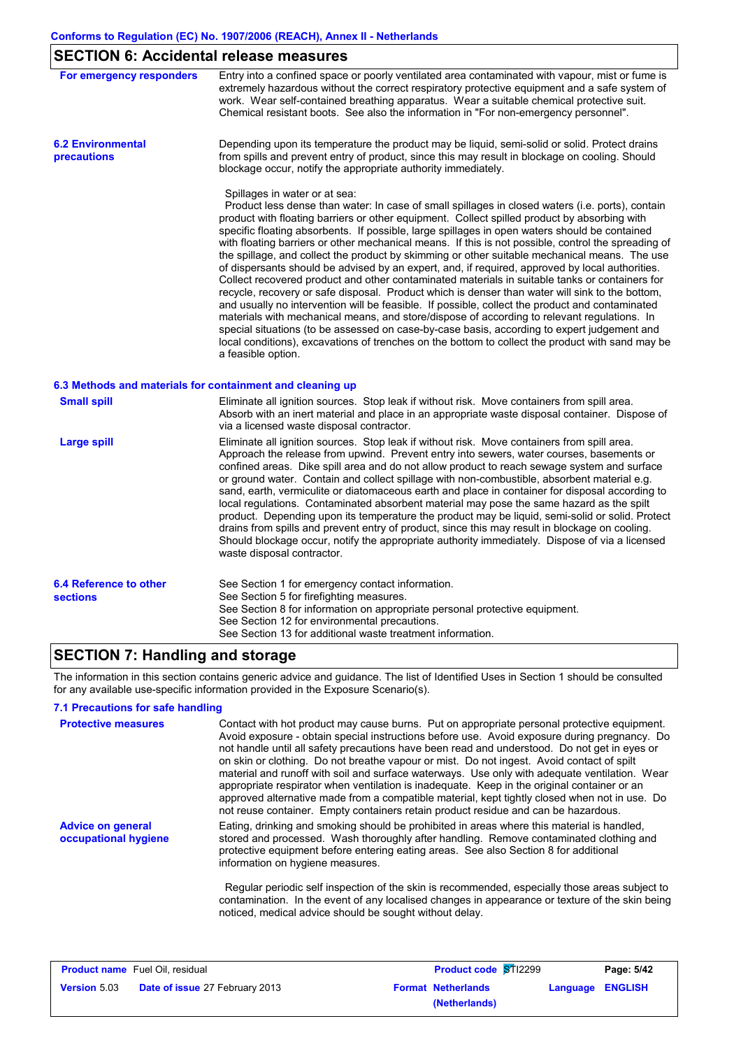# **SECTION 6: Accidental release measures**

| For emergency responders                  | Entry into a confined space or poorly ventilated area contaminated with vapour, mist or fume is                                                                                                                                                                                                                                                                                                                                                                                                                                                                                                                                                                                                                                                                                                                                                                                                                                                                                                                                                                                                                                                                                                                                                                               |
|-------------------------------------------|-------------------------------------------------------------------------------------------------------------------------------------------------------------------------------------------------------------------------------------------------------------------------------------------------------------------------------------------------------------------------------------------------------------------------------------------------------------------------------------------------------------------------------------------------------------------------------------------------------------------------------------------------------------------------------------------------------------------------------------------------------------------------------------------------------------------------------------------------------------------------------------------------------------------------------------------------------------------------------------------------------------------------------------------------------------------------------------------------------------------------------------------------------------------------------------------------------------------------------------------------------------------------------|
|                                           | extremely hazardous without the correct respiratory protective equipment and a safe system of<br>work. Wear self-contained breathing apparatus. Wear a suitable chemical protective suit.<br>Chemical resistant boots. See also the information in "For non-emergency personnel".                                                                                                                                                                                                                                                                                                                                                                                                                                                                                                                                                                                                                                                                                                                                                                                                                                                                                                                                                                                             |
| <b>6.2 Environmental</b><br>precautions   | Depending upon its temperature the product may be liquid, semi-solid or solid. Protect drains<br>from spills and prevent entry of product, since this may result in blockage on cooling. Should<br>blockage occur, notify the appropriate authority immediately.                                                                                                                                                                                                                                                                                                                                                                                                                                                                                                                                                                                                                                                                                                                                                                                                                                                                                                                                                                                                              |
|                                           | Spillages in water or at sea:<br>Product less dense than water: In case of small spillages in closed waters (i.e. ports), contain<br>product with floating barriers or other equipment. Collect spilled product by absorbing with<br>specific floating absorbents. If possible, large spillages in open waters should be contained<br>with floating barriers or other mechanical means. If this is not possible, control the spreading of<br>the spillage, and collect the product by skimming or other suitable mechanical means. The use<br>of dispersants should be advised by an expert, and, if required, approved by local authorities.<br>Collect recovered product and other contaminated materials in suitable tanks or containers for<br>recycle, recovery or safe disposal. Product which is denser than water will sink to the bottom,<br>and usually no intervention will be feasible. If possible, collect the product and contaminated<br>materials with mechanical means, and store/dispose of according to relevant regulations. In<br>special situations (to be assessed on case-by-case basis, according to expert judgement and<br>local conditions), excavations of trenches on the bottom to collect the product with sand may be<br>a feasible option. |
|                                           | 6.3 Methods and materials for containment and cleaning up                                                                                                                                                                                                                                                                                                                                                                                                                                                                                                                                                                                                                                                                                                                                                                                                                                                                                                                                                                                                                                                                                                                                                                                                                     |
| <b>Small spill</b>                        | Eliminate all ignition sources. Stop leak if without risk. Move containers from spill area.<br>Absorb with an inert material and place in an appropriate waste disposal container. Dispose of<br>via a licensed waste disposal contractor.                                                                                                                                                                                                                                                                                                                                                                                                                                                                                                                                                                                                                                                                                                                                                                                                                                                                                                                                                                                                                                    |
| <b>Large spill</b>                        | Eliminate all ignition sources. Stop leak if without risk. Move containers from spill area.<br>Approach the release from upwind. Prevent entry into sewers, water courses, basements or<br>confined areas. Dike spill area and do not allow product to reach sewage system and surface<br>or ground water. Contain and collect spillage with non-combustible, absorbent material e.g.<br>sand, earth, vermiculite or diatomaceous earth and place in container for disposal according to<br>local regulations. Contaminated absorbent material may pose the same hazard as the spilt<br>product. Depending upon its temperature the product may be liquid, semi-solid or solid. Protect<br>drains from spills and prevent entry of product, since this may result in blockage on cooling.<br>Should blockage occur, notify the appropriate authority immediately. Dispose of via a licensed<br>waste disposal contractor.                                                                                                                                                                                                                                                                                                                                                     |
| 6.4 Reference to other<br><b>sections</b> | See Section 1 for emergency contact information.<br>See Section 5 for firefighting measures.                                                                                                                                                                                                                                                                                                                                                                                                                                                                                                                                                                                                                                                                                                                                                                                                                                                                                                                                                                                                                                                                                                                                                                                  |

### **SECTION 7: Handling and storage**

The information in this section contains generic advice and guidance. The list of Identified Uses in Section 1 should be consulted for any available use-specific information provided in the Exposure Scenario(s).

See Section 13 for additional waste treatment information.

See Section 12 for environmental precautions.

See Section 8 for information on appropriate personal protective equipment.

#### **7.1 Precautions for safe handling**

| <b>Protective measures</b>                       | Contact with hot product may cause burns. Put on appropriate personal protective equipment.<br>Avoid exposure - obtain special instructions before use. Avoid exposure during pregnancy. Do<br>not handle until all safety precautions have been read and understood. Do not get in eyes or<br>on skin or clothing. Do not breathe vapour or mist. Do not ingest. Avoid contact of spilt<br>material and runoff with soil and surface waterways. Use only with adequate ventilation. Wear<br>appropriate respirator when ventilation is inadequate. Keep in the original container or an<br>approved alternative made from a compatible material, kept tightly closed when not in use. Do<br>not reuse container. Empty containers retain product residue and can be hazardous. |
|--------------------------------------------------|---------------------------------------------------------------------------------------------------------------------------------------------------------------------------------------------------------------------------------------------------------------------------------------------------------------------------------------------------------------------------------------------------------------------------------------------------------------------------------------------------------------------------------------------------------------------------------------------------------------------------------------------------------------------------------------------------------------------------------------------------------------------------------|
| <b>Advice on general</b><br>occupational hygiene | Eating, drinking and smoking should be prohibited in areas where this material is handled,<br>stored and processed. Wash thoroughly after handling. Remove contaminated clothing and<br>protective equipment before entering eating areas. See also Section 8 for additional<br>information on hygiene measures.<br>Regular periodic self inspection of the skin is recommended, especially those areas subject to<br>contamination. In the event of any localised changes in appearance or texture of the skin being                                                                                                                                                                                                                                                           |
|                                                  | noticed, medical advice should be sought without delay.                                                                                                                                                                                                                                                                                                                                                                                                                                                                                                                                                                                                                                                                                                                         |

| <b>Product name</b> Fuel Oil, residual                       |  |                           | <b>Product code ST12299</b> | Page: 5/42       |
|--------------------------------------------------------------|--|---------------------------|-----------------------------|------------------|
| <b>Version</b> 5.03<br><b>Date of issue 27 February 2013</b> |  | <b>Format Netherlands</b> |                             | Language ENGLISH |
|                                                              |  |                           | (Netherlands)               |                  |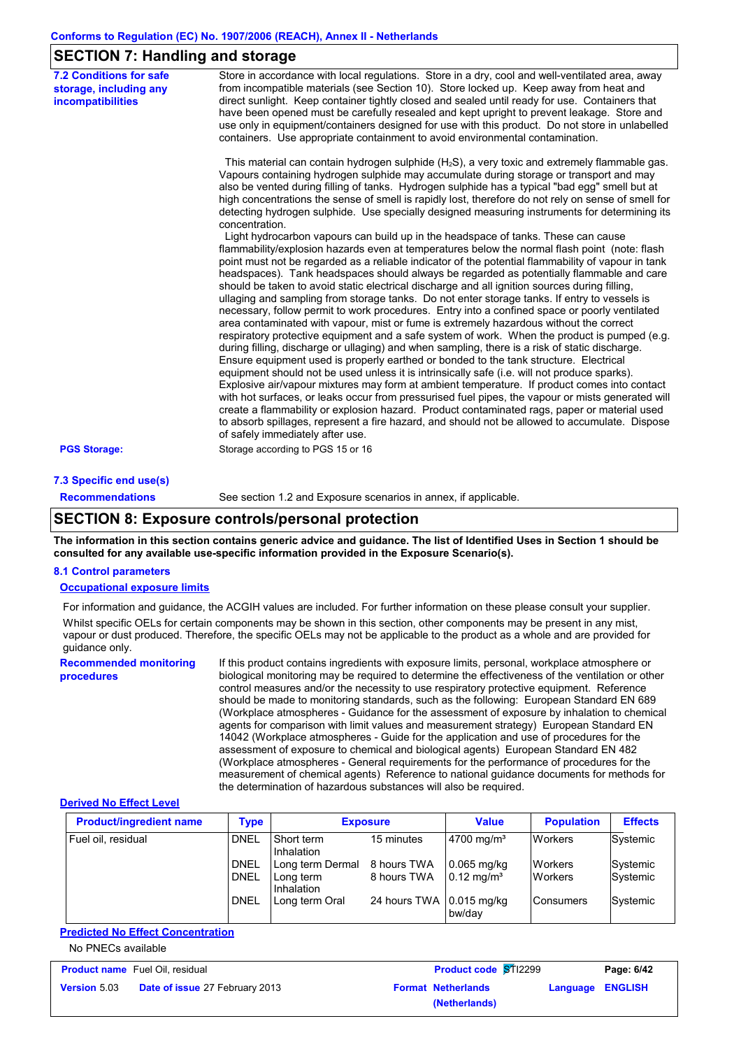### **SECTION 7: Handling and storage**

| <b>7.2 Conditions for safe</b><br>storage, including any<br>incompatibilities | Store in accordance with local regulations. Store in a dry, cool and well-ventilated area, away<br>from incompatible materials (see Section 10). Store locked up. Keep away from heat and<br>direct sunlight. Keep container tightly closed and sealed until ready for use. Containers that<br>have been opened must be carefully resealed and kept upright to prevent leakage. Store and<br>use only in equipment/containers designed for use with this product. Do not store in unlabelled<br>containers. Use appropriate containment to avoid environmental contamination.                                                                                                                                                                                                                                                                                                    |
|-------------------------------------------------------------------------------|----------------------------------------------------------------------------------------------------------------------------------------------------------------------------------------------------------------------------------------------------------------------------------------------------------------------------------------------------------------------------------------------------------------------------------------------------------------------------------------------------------------------------------------------------------------------------------------------------------------------------------------------------------------------------------------------------------------------------------------------------------------------------------------------------------------------------------------------------------------------------------|
|                                                                               | This material can contain hydrogen sulphide (H <sub>2</sub> S), a very toxic and extremely flammable gas.<br>Vapours containing hydrogen sulphide may accumulate during storage or transport and may<br>also be vented during filling of tanks. Hydrogen sulphide has a typical "bad egg" smell but at<br>high concentrations the sense of smell is rapidly lost, therefore do not rely on sense of smell for<br>detecting hydrogen sulphide. Use specially designed measuring instruments for determining its<br>concentration.                                                                                                                                                                                                                                                                                                                                                 |
|                                                                               | Light hydrocarbon vapours can build up in the headspace of tanks. These can cause<br>flammability/explosion hazards even at temperatures below the normal flash point (note: flash<br>point must not be regarded as a reliable indicator of the potential flammability of vapour in tank<br>headspaces). Tank headspaces should always be regarded as potentially flammable and care<br>should be taken to avoid static electrical discharge and all ignition sources during filling.<br>ullaging and sampling from storage tanks. Do not enter storage tanks. If entry to vessels is<br>necessary, follow permit to work procedures. Entry into a confined space or poorly ventilated<br>area contaminated with vapour, mist or fume is extremely hazardous without the correct<br>respiratory protective equipment and a safe system of work. When the product is pumped (e.g. |
|                                                                               | during filling, discharge or ullaging) and when sampling, there is a risk of static discharge.<br>Ensure equipment used is properly earthed or bonded to the tank structure. Electrical<br>equipment should not be used unless it is intrinsically safe (i.e. will not produce sparks).<br>Explosive air/vapour mixtures may form at ambient temperature. If product comes into contact<br>with hot surfaces, or leaks occur from pressurised fuel pipes, the vapour or mists generated will<br>create a flammability or explosion hazard. Product contaminated rags, paper or material used<br>to absorb spillages, represent a fire hazard, and should not be allowed to accumulate. Dispose<br>of safely immediately after use.                                                                                                                                               |
| <b>PGS Storage:</b>                                                           | Storage according to PGS 15 or 16                                                                                                                                                                                                                                                                                                                                                                                                                                                                                                                                                                                                                                                                                                                                                                                                                                                |

#### **7.3 Specific end use(s) Recommendations**

See section 1.2 and Exposure scenarios in annex, if applicable.

### **SECTION 8: Exposure controls/personal protection**

**The information in this section contains generic advice and guidance. The list of Identified Uses in Section 1 should be consulted for any available use-specific information provided in the Exposure Scenario(s).**

#### **8.1 Control parameters**

#### **Occupational exposure limits**

For information and guidance, the ACGIH values are included. For further information on these please consult your supplier. Whilst specific OELs for certain components may be shown in this section, other components may be present in any mist. vapour or dust produced. Therefore, the specific OELs may not be applicable to the product as a whole and are provided for guidance only.

**Recommended monitoring procedures** If this product contains ingredients with exposure limits, personal, workplace atmosphere or biological monitoring may be required to determine the effectiveness of the ventilation or other control measures and/or the necessity to use respiratory protective equipment. Reference should be made to monitoring standards, such as the following: European Standard EN 689 (Workplace atmospheres - Guidance for the assessment of exposure by inhalation to chemical agents for comparison with limit values and measurement strategy) European Standard EN 14042 (Workplace atmospheres - Guide for the application and use of procedures for the assessment of exposure to chemical and biological agents) European Standard EN 482 (Workplace atmospheres - General requirements for the performance of procedures for the measurement of chemical agents) Reference to national guidance documents for methods for the determination of hazardous substances will also be required.

#### **Derived No Effect Level**

| <b>Product/ingredient name</b> | Type                       | <b>Exposure</b>                             |                            | <b>Value</b>                           | <b>Population</b>                | <b>Effects</b>       |
|--------------------------------|----------------------------|---------------------------------------------|----------------------------|----------------------------------------|----------------------------------|----------------------|
| Fuel oil, residual             | <b>DNEL</b>                | <b>Short term</b><br>Inhalation             | 15 minutes                 | $4700$ mg/m <sup>3</sup>               | <b>Workers</b>                   | Systemic             |
|                                | <b>DNEL</b><br><b>DNEL</b> | Long term Dermal<br>Long term<br>Inhalation | 8 hours TWA<br>8 hours TWA | $0.065$ mg/kg<br>$0.12 \text{ mg/m}^3$ | <b>Workers</b><br><b>Workers</b> | Systemic<br>Systemic |
|                                | <b>DNEL</b>                | Long term Oral                              | 24 hours TWA               | $\vert$ 0.015 mg/kg<br>bw/dav          | <b>IConsumers</b>                | Systemic             |

#### **Predicted No Effect Concentration**

#### No PNECs available

| <b>Product name</b> Fuel Oil, residual |                                       |                           | <b>Product code ST12299</b> |                  | Page: 6/42 |
|----------------------------------------|---------------------------------------|---------------------------|-----------------------------|------------------|------------|
| <b>Version 5.03</b>                    | <b>Date of issue 27 February 2013</b> | <b>Format Netherlands</b> |                             | Language ENGLISH |            |
|                                        |                                       |                           | (Netherlands)               |                  |            |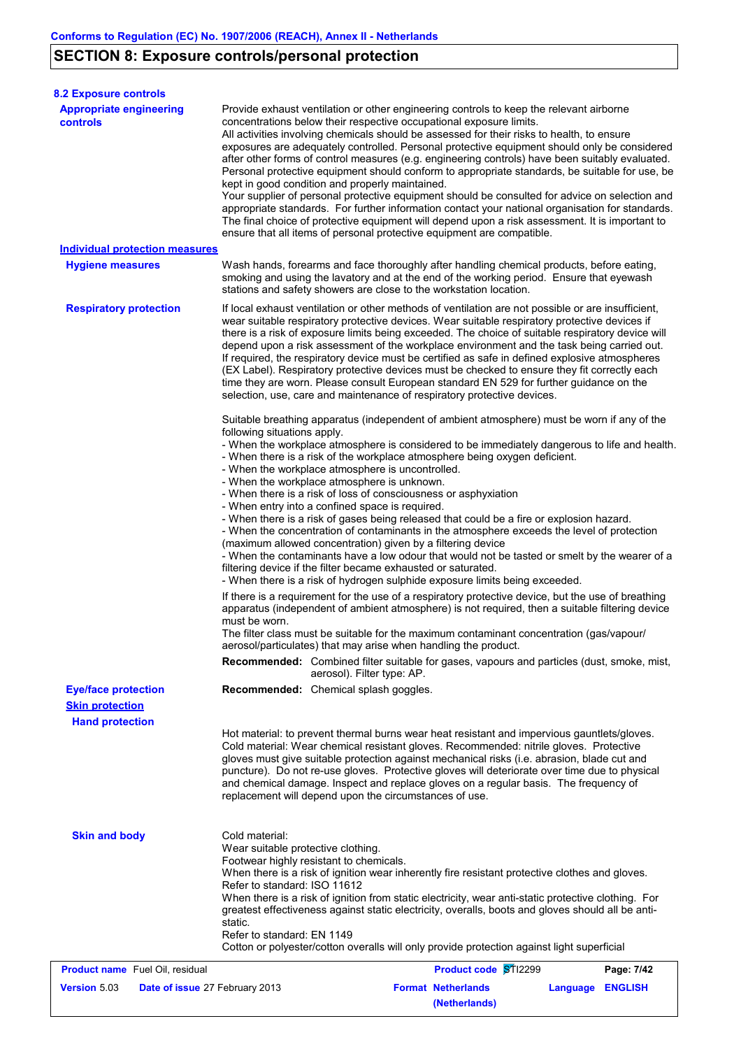# **SECTION 8: Exposure controls/personal protection**

| <b>8.2 Exposure controls</b>                          |                                                                                                                                                                                                                                                                                                                                                                                                                                                                                                                                                                                                                                                                                                                                                                                                                                                                                                                                                                                                                                                                                                                                                                                                                                                                   |  |  |  |  |  |
|-------------------------------------------------------|-------------------------------------------------------------------------------------------------------------------------------------------------------------------------------------------------------------------------------------------------------------------------------------------------------------------------------------------------------------------------------------------------------------------------------------------------------------------------------------------------------------------------------------------------------------------------------------------------------------------------------------------------------------------------------------------------------------------------------------------------------------------------------------------------------------------------------------------------------------------------------------------------------------------------------------------------------------------------------------------------------------------------------------------------------------------------------------------------------------------------------------------------------------------------------------------------------------------------------------------------------------------|--|--|--|--|--|
| <b>Appropriate engineering</b><br>controls            | Provide exhaust ventilation or other engineering controls to keep the relevant airborne<br>concentrations below their respective occupational exposure limits.<br>All activities involving chemicals should be assessed for their risks to health, to ensure<br>exposures are adequately controlled. Personal protective equipment should only be considered<br>after other forms of control measures (e.g. engineering controls) have been suitably evaluated.<br>Personal protective equipment should conform to appropriate standards, be suitable for use, be<br>kept in good condition and properly maintained.<br>Your supplier of personal protective equipment should be consulted for advice on selection and<br>appropriate standards. For further information contact your national organisation for standards.<br>The final choice of protective equipment will depend upon a risk assessment. It is important to<br>ensure that all items of personal protective equipment are compatible.                                                                                                                                                                                                                                                           |  |  |  |  |  |
| <b>Individual protection measures</b>                 |                                                                                                                                                                                                                                                                                                                                                                                                                                                                                                                                                                                                                                                                                                                                                                                                                                                                                                                                                                                                                                                                                                                                                                                                                                                                   |  |  |  |  |  |
| <b>Hygiene measures</b>                               | Wash hands, forearms and face thoroughly after handling chemical products, before eating,<br>smoking and using the lavatory and at the end of the working period. Ensure that eyewash<br>stations and safety showers are close to the workstation location.                                                                                                                                                                                                                                                                                                                                                                                                                                                                                                                                                                                                                                                                                                                                                                                                                                                                                                                                                                                                       |  |  |  |  |  |
| <b>Respiratory protection</b>                         | If local exhaust ventilation or other methods of ventilation are not possible or are insufficient,<br>wear suitable respiratory protective devices. Wear suitable respiratory protective devices if<br>there is a risk of exposure limits being exceeded. The choice of suitable respiratory device will<br>depend upon a risk assessment of the workplace environment and the task being carried out.<br>If required, the respiratory device must be certified as safe in defined explosive atmospheres<br>(EX Label). Respiratory protective devices must be checked to ensure they fit correctly each<br>time they are worn. Please consult European standard EN 529 for further guidance on the<br>selection, use, care and maintenance of respiratory protective devices.<br>Suitable breathing apparatus (independent of ambient atmosphere) must be worn if any of the<br>following situations apply.<br>- When the workplace atmosphere is considered to be immediately dangerous to life and health.<br>- When there is a risk of the workplace atmosphere being oxygen deficient.<br>- When the workplace atmosphere is uncontrolled.<br>- When the workplace atmosphere is unknown.<br>- When there is a risk of loss of consciousness or asphyxiation |  |  |  |  |  |
|                                                       | - When entry into a confined space is required.<br>- When there is a risk of gases being released that could be a fire or explosion hazard.<br>- When the concentration of contaminants in the atmosphere exceeds the level of protection<br>(maximum allowed concentration) given by a filtering device<br>- When the contaminants have a low odour that would not be tasted or smelt by the wearer of a<br>filtering device if the filter became exhausted or saturated.<br>- When there is a risk of hydrogen sulphide exposure limits being exceeded.                                                                                                                                                                                                                                                                                                                                                                                                                                                                                                                                                                                                                                                                                                         |  |  |  |  |  |
|                                                       | If there is a requirement for the use of a respiratory protective device, but the use of breathing<br>apparatus (independent of ambient atmosphere) is not required, then a suitable filtering device<br>must be worn.<br>The filter class must be suitable for the maximum contaminant concentration (qas/vapour/                                                                                                                                                                                                                                                                                                                                                                                                                                                                                                                                                                                                                                                                                                                                                                                                                                                                                                                                                |  |  |  |  |  |
|                                                       | aerosol/particulates) that may arise when handling the product.<br><b>Recommended:</b> Combined filter suitable for gases, vapours and particles (dust, smoke, mist,<br>aerosol). Filter type: AP.                                                                                                                                                                                                                                                                                                                                                                                                                                                                                                                                                                                                                                                                                                                                                                                                                                                                                                                                                                                                                                                                |  |  |  |  |  |
| <b>Eye/face protection</b>                            | Recommended: Chemical splash goggles.                                                                                                                                                                                                                                                                                                                                                                                                                                                                                                                                                                                                                                                                                                                                                                                                                                                                                                                                                                                                                                                                                                                                                                                                                             |  |  |  |  |  |
| <b>Skin protection</b>                                |                                                                                                                                                                                                                                                                                                                                                                                                                                                                                                                                                                                                                                                                                                                                                                                                                                                                                                                                                                                                                                                                                                                                                                                                                                                                   |  |  |  |  |  |
| <b>Hand protection</b>                                |                                                                                                                                                                                                                                                                                                                                                                                                                                                                                                                                                                                                                                                                                                                                                                                                                                                                                                                                                                                                                                                                                                                                                                                                                                                                   |  |  |  |  |  |
|                                                       | Hot material: to prevent thermal burns wear heat resistant and impervious gauntlets/gloves.<br>Cold material: Wear chemical resistant gloves. Recommended: nitrile gloves. Protective<br>gloves must give suitable protection against mechanical risks (i.e. abrasion, blade cut and<br>puncture). Do not re-use gloves. Protective gloves will deteriorate over time due to physical<br>and chemical damage. Inspect and replace gloves on a regular basis. The frequency of<br>replacement will depend upon the circumstances of use.                                                                                                                                                                                                                                                                                                                                                                                                                                                                                                                                                                                                                                                                                                                           |  |  |  |  |  |
| <b>Skin and body</b>                                  | Cold material:<br>Wear suitable protective clothing.<br>Footwear highly resistant to chemicals.<br>When there is a risk of ignition wear inherently fire resistant protective clothes and gloves.<br>Refer to standard: ISO 11612<br>When there is a risk of ignition from static electricity, wear anti-static protective clothing. For<br>greatest effectiveness against static electricity, overalls, boots and gloves should all be anti-<br>static.<br>Refer to standard: EN 1149<br>Cotton or polyester/cotton overalls will only provide protection against light superficial                                                                                                                                                                                                                                                                                                                                                                                                                                                                                                                                                                                                                                                                              |  |  |  |  |  |
| <b>Product name</b> Fuel Oil, residual                | Product code STI2299<br>Page: 7/42                                                                                                                                                                                                                                                                                                                                                                                                                                                                                                                                                                                                                                                                                                                                                                                                                                                                                                                                                                                                                                                                                                                                                                                                                                |  |  |  |  |  |
| <b>Version 5.03</b><br>Date of issue 27 February 2013 | <b>Format Netherlands</b><br><b>ENGLISH</b><br>Language<br>(Netherlands)                                                                                                                                                                                                                                                                                                                                                                                                                                                                                                                                                                                                                                                                                                                                                                                                                                                                                                                                                                                                                                                                                                                                                                                          |  |  |  |  |  |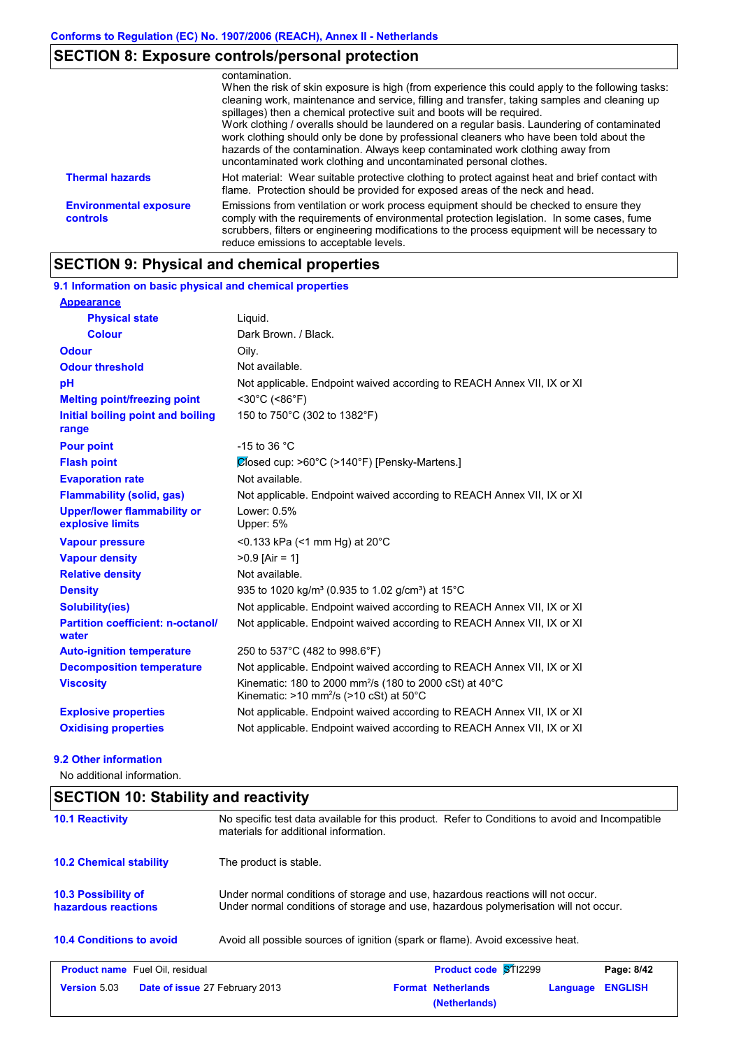# **SECTION 8: Exposure controls/personal protection**

|                                           | contamination.<br>When the risk of skin exposure is high (from experience this could apply to the following tasks:<br>cleaning work, maintenance and service, filling and transfer, taking samples and cleaning up<br>spillages) then a chemical protective suit and boots will be required.<br>Work clothing / overalls should be laundered on a regular basis. Laundering of contaminated<br>work clothing should only be done by professional cleaners who have been told about the<br>hazards of the contamination. Always keep contaminated work clothing away from<br>uncontaminated work clothing and uncontaminated personal clothes. |
|-------------------------------------------|-----------------------------------------------------------------------------------------------------------------------------------------------------------------------------------------------------------------------------------------------------------------------------------------------------------------------------------------------------------------------------------------------------------------------------------------------------------------------------------------------------------------------------------------------------------------------------------------------------------------------------------------------|
| <b>Thermal hazards</b>                    | Hot material: Wear suitable protective clothing to protect against heat and brief contact with<br>flame. Protection should be provided for exposed areas of the neck and head.                                                                                                                                                                                                                                                                                                                                                                                                                                                                |
| <b>Environmental exposure</b><br>controls | Emissions from ventilation or work process equipment should be checked to ensure they<br>comply with the requirements of environmental protection legislation. In some cases, fume<br>scrubbers, filters or engineering modifications to the process equipment will be necessary to<br>reduce emissions to acceptable levels.                                                                                                                                                                                                                                                                                                                 |

# **SECTION 9: Physical and chemical properties**

| 9.1 Information on basic physical and chemical properties |                                                                                                                                                      |
|-----------------------------------------------------------|------------------------------------------------------------------------------------------------------------------------------------------------------|
| <b>Appearance</b>                                         |                                                                                                                                                      |
| <b>Physical state</b>                                     | Liquid.                                                                                                                                              |
| <b>Colour</b>                                             | Dark Brown. / Black.                                                                                                                                 |
| Odour                                                     | Oily.                                                                                                                                                |
| <b>Odour threshold</b>                                    | Not available.                                                                                                                                       |
| pH                                                        | Not applicable. Endpoint waived according to REACH Annex VII, IX or XI                                                                               |
| <b>Melting point/freezing point</b>                       | $<$ 30°C (<86°F)                                                                                                                                     |
| Initial boiling point and boiling<br>range                | 150 to 750°C (302 to 1382°F)                                                                                                                         |
| <b>Pour point</b>                                         | -15 to 36 $^{\circ}$ C                                                                                                                               |
| <b>Flash point</b>                                        | Closed cup: >60°C (>140°F) [Pensky-Martens.]                                                                                                         |
| <b>Evaporation rate</b>                                   | Not available.                                                                                                                                       |
| <b>Flammability (solid, gas)</b>                          | Not applicable. Endpoint waived according to REACH Annex VII, IX or XI                                                                               |
| <b>Upper/lower flammability or</b><br>explosive limits    | Lower: 0.5%<br>Upper: 5%                                                                                                                             |
| <b>Vapour pressure</b>                                    | <0.133 kPa (<1 mm Hg) at $20^{\circ}$ C                                                                                                              |
| <b>Vapour density</b>                                     | $>0.9$ [Air = 1]                                                                                                                                     |
| <b>Relative density</b>                                   | Not available.                                                                                                                                       |
| <b>Density</b>                                            | 935 to 1020 kg/m <sup>3</sup> (0.935 to 1.02 g/cm <sup>3</sup> ) at 15 <sup>°</sup> C                                                                |
| <b>Solubility(ies)</b>                                    | Not applicable. Endpoint waived according to REACH Annex VII, IX or XI                                                                               |
| <b>Partition coefficient: n-octanol/</b><br>water         | Not applicable. Endpoint waived according to REACH Annex VII, IX or XI                                                                               |
| <b>Auto-ignition temperature</b>                          | 250 to 537°C (482 to 998.6°F)                                                                                                                        |
| <b>Decomposition temperature</b>                          | Not applicable. Endpoint waived according to REACH Annex VII, IX or XI                                                                               |
| <b>Viscosity</b>                                          | Kinematic: 180 to 2000 mm <sup>2</sup> /s (180 to 2000 cSt) at 40 $^{\circ}$ C<br>Kinematic: $>10$ mm <sup>2</sup> /s ( $>10$ cSt) at $50^{\circ}$ C |
| <b>Explosive properties</b>                               | Not applicable. Endpoint waived according to REACH Annex VII, IX or XI                                                                               |
| <b>Oxidising properties</b>                               | Not applicable. Endpoint waived according to REACH Annex VII, IX or XI                                                                               |
|                                                           |                                                                                                                                                      |

### **9.2 Other information**

No additional information.

### **SECTION 10: Stability and reactivity**

| <b>10.1 Reactivity</b>                            | No specific test data available for this product. Refer to Conditions to avoid and Incompatible<br>materials for additional information.                                |                                            |                            |  |  |  |
|---------------------------------------------------|-------------------------------------------------------------------------------------------------------------------------------------------------------------------------|--------------------------------------------|----------------------------|--|--|--|
| <b>10.2 Chemical stability</b>                    | The product is stable.                                                                                                                                                  |                                            |                            |  |  |  |
| <b>10.3 Possibility of</b><br>hazardous reactions | Under normal conditions of storage and use, hazardous reactions will not occur.<br>Under normal conditions of storage and use, hazardous polymerisation will not occur. |                                            |                            |  |  |  |
| <b>10.4 Conditions to avoid</b>                   | Avoid all possible sources of ignition (spark or flame). Avoid excessive heat.                                                                                          |                                            |                            |  |  |  |
| <b>Product name</b> Fuel Oil. residual            |                                                                                                                                                                         | <b>Product code ST12299</b>                | Page: 8/42                 |  |  |  |
| Version 5.03                                      | <b>Date of issue 27 February 2013</b>                                                                                                                                   | <b>Format Netherlands</b><br>(Netherlands) | <b>ENGLISH</b><br>Language |  |  |  |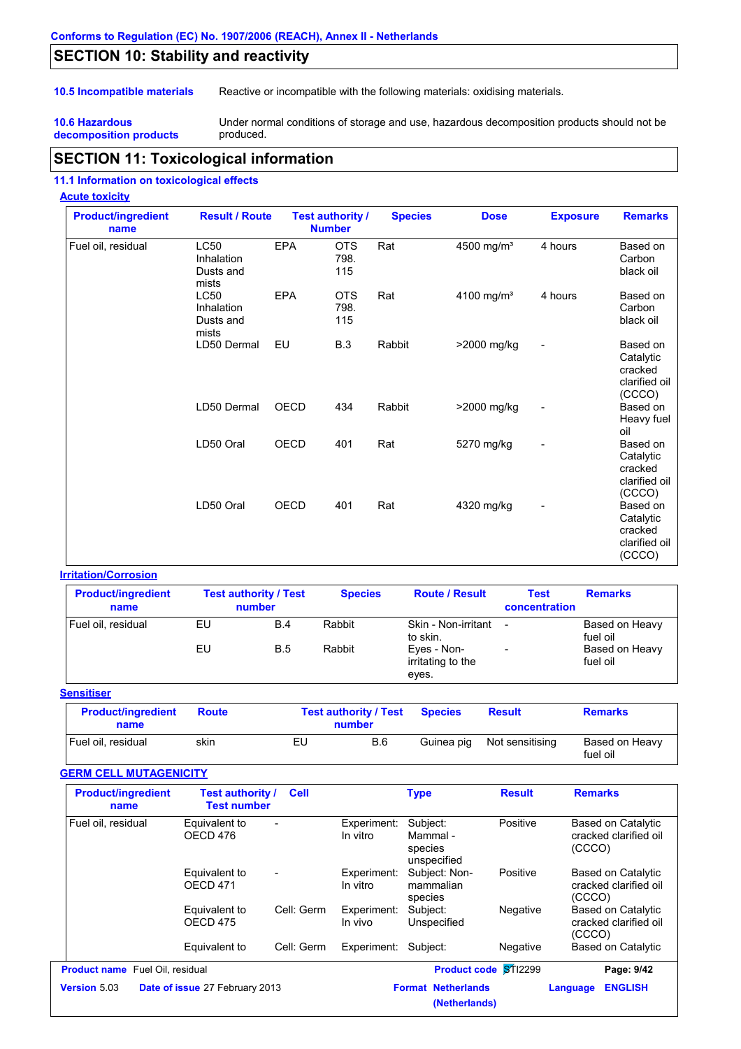### **SECTION 10: Stability and reactivity**

**10.5 Incompatible materials** Reactive or incompatible with the following materials: oxidising materials.

#### **10.6 Hazardous decomposition products**

Under normal conditions of storage and use, hazardous decomposition products should not be produced.

### **SECTION 11: Toxicological information**

#### **11.1 Information on toxicological effects**

#### **Acute toxicity**

| <b>Product/ingredient</b><br>name | <b>Result / Route</b>                           |             | <b>Test authority /</b><br><b>Number</b> | <b>Species</b> | <b>Dose</b>            | <b>Exposure</b>          | <b>Remarks</b>                                              |
|-----------------------------------|-------------------------------------------------|-------------|------------------------------------------|----------------|------------------------|--------------------------|-------------------------------------------------------------|
| Fuel oil, residual                | LC50<br>Inhalation<br>Dusts and<br>mists        | <b>EPA</b>  | <b>OTS</b><br>798.<br>115                | Rat            | 4500 mg/m <sup>3</sup> | 4 hours                  | Based on<br>Carbon<br>black oil                             |
|                                   | <b>LC50</b><br>Inhalation<br>Dusts and<br>mists | <b>EPA</b>  | <b>OTS</b><br>798.<br>115                | Rat            | 4100 mg/m <sup>3</sup> | 4 hours                  | Based on<br>Carbon<br>black oil                             |
|                                   | LD50 Dermal                                     | EU          | <b>B.3</b>                               | Rabbit         | >2000 mg/kg            | $\overline{a}$           | Based on<br>Catalytic<br>cracked<br>clarified oil<br>(CCCO) |
|                                   | LD50 Dermal                                     | OECD        | 434                                      | Rabbit         | >2000 mg/kg            | $\overline{\phantom{0}}$ | Based on<br>Heavy fuel<br>oil                               |
|                                   | LD50 Oral                                       | <b>OECD</b> | 401                                      | Rat            | 5270 mg/kg             |                          | Based on<br>Catalytic<br>cracked<br>clarified oil<br>(CCCO) |
|                                   | LD50 Oral                                       | OECD        | 401                                      | Rat            | 4320 mg/kg             |                          | Based on<br>Catalytic<br>cracked<br>clarified oil<br>(CCCO) |

#### **Irritation/Corrosion**

| <b>Product/ingredient</b><br>name |    | <b>Test authority / Test</b><br>number | <b>Species</b> | <b>Route / Result</b>                     | <b>Test</b><br>concentration | <b>Remarks</b>             |
|-----------------------------------|----|----------------------------------------|----------------|-------------------------------------------|------------------------------|----------------------------|
| Fuel oil, residual                | EU | B.4                                    | Rabbit         | Skin - Non-irritant<br>to skin.           |                              | Based on Heavy<br>fuel oil |
|                                   | EU | <b>B.5</b>                             | Rabbit         | Eyes - Non-<br>irritating to the<br>eyes. | $\overline{\phantom{0}}$     | Based on Heavy<br>fuel oil |

#### **Sensitiser**

| <b>Product/ingredient</b><br>name | <b>Route</b> | <b>Test authority / Test</b><br>number | <b>Species</b> | <b>Result</b>   | <b>Remarks</b>             |
|-----------------------------------|--------------|----------------------------------------|----------------|-----------------|----------------------------|
| Fuel oil. residual                | skin         | EL<br>B.6                              | Guinea pig     | Not sensitising | Based on Heavy<br>fuel oil |

### **GERM CELL MUTAGENICITY**

| <b>Product/ingredient</b><br>name      | Test authority /<br><b>Test number</b> | <b>Cell</b>              |                         | <b>Type</b>                                    | <b>Result</b> | <b>Remarks</b>                                               |
|----------------------------------------|----------------------------------------|--------------------------|-------------------------|------------------------------------------------|---------------|--------------------------------------------------------------|
| Fuel oil, residual                     | Equivalent to<br>OECD 476              |                          | Experiment:<br>In vitro | Subject:<br>Mammal -<br>species<br>unspecified | Positive      | <b>Based on Catalytic</b><br>cracked clarified oil<br>(CCCO) |
|                                        | Equivalent to<br>OECD <sub>471</sub>   | $\overline{\phantom{a}}$ | Experiment:<br>In vitro | Subject: Non-<br>mammalian<br>species          | Positive      | Based on Catalytic<br>cracked clarified oil<br>(CCCO)        |
|                                        | Equivalent to<br>OECD <sub>475</sub>   | Cell: Germ               | Experiment:<br>In vivo  | Subject:<br>Unspecified                        | Negative      | Based on Catalytic<br>cracked clarified oil<br>(CCCO)        |
|                                        | Equivalent to                          | Cell: Germ               | Experiment:             | Subject:                                       | Negative      | Based on Catalytic                                           |
| <b>Product name</b> Fuel Oil, residual |                                        |                          |                         | <b>Product code ST12299</b>                    |               | Page: 9/42                                                   |
| <b>Version 5.03</b>                    | Date of issue 27 February 2013         |                          |                         | <b>Format Netherlands</b><br>(Netherlands)     |               | <b>ENGLISH</b><br>Language                                   |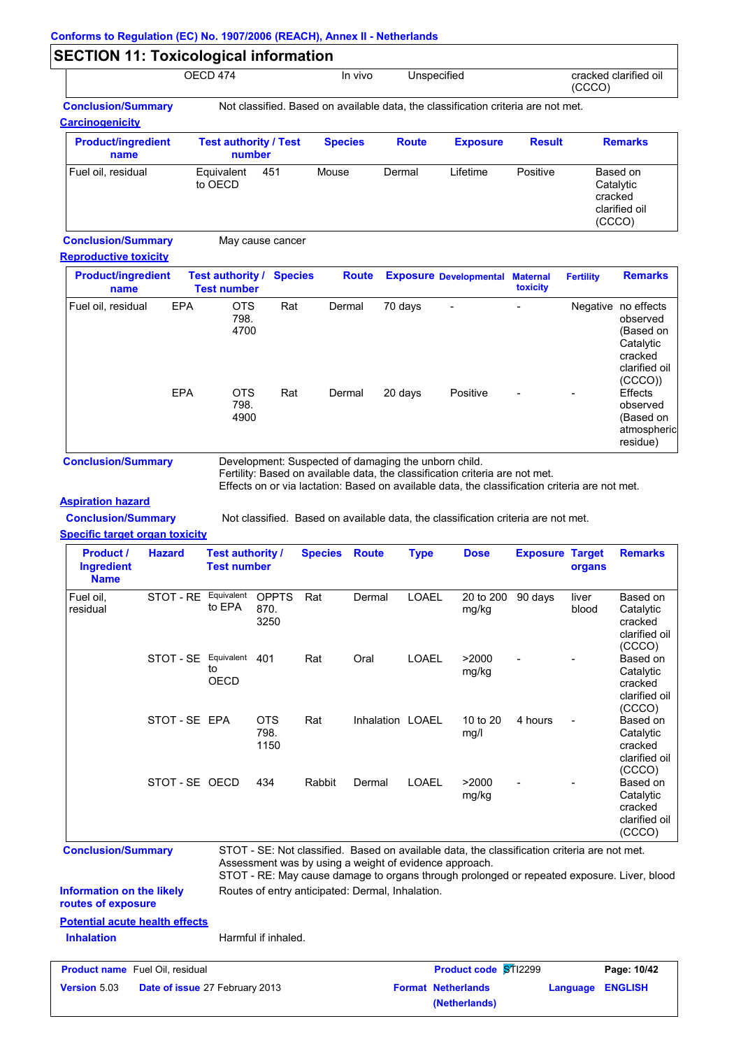|                                                     | OECD 474                               |     | In vivo        |              | Unspecified                                                                       |               | cracked clarified oil<br>(CCCO)                             |  |
|-----------------------------------------------------|----------------------------------------|-----|----------------|--------------|-----------------------------------------------------------------------------------|---------------|-------------------------------------------------------------|--|
| <b>Conclusion/Summary</b><br><b>Carcinogenicity</b> |                                        |     |                |              | Not classified. Based on available data, the classification criteria are not met. |               |                                                             |  |
| <b>Product/ingredient</b><br>name                   | <b>Test authority / Test</b><br>number |     | <b>Species</b> | <b>Route</b> | <b>Exposure</b>                                                                   | <b>Result</b> | <b>Remarks</b>                                              |  |
| Fuel oil, residual                                  | Equivalent<br>to OECD                  | 451 | Mouse          | Dermal       | Lifetime                                                                          | Positive      | Based on<br>Catalytic<br>cracked<br>clarified oil<br>(CCCO) |  |

**Conclusion/Summary** May cause cancer

#### **Reproductive toxicity**

| <b>Product/ingredient</b><br>name |            | <b>Test authority / Species</b><br><b>Test number</b> |     | <b>Route</b> |         | <b>Exposure Developmental Maternal</b> | toxicity                 | <b>Fertility</b> | <b>Remarks</b>                                                                                  |
|-----------------------------------|------------|-------------------------------------------------------|-----|--------------|---------|----------------------------------------|--------------------------|------------------|-------------------------------------------------------------------------------------------------|
| Fuel oil, residual                | <b>EPA</b> | <b>OTS</b><br>798.<br>4700                            | Rat | Dermal       | 70 days | $\overline{\phantom{a}}$               | $\overline{\phantom{0}}$ |                  | Negative no effects<br>observed<br>(Based on<br>Catalytic<br>cracked<br>clarified oil<br>(CCCO) |
|                                   | <b>EPA</b> | <b>OTS</b><br>798.<br>4900                            | Rat | Dermal       | 20 days | Positive                               | $\blacksquare$           |                  | <b>Effects</b><br>observed<br>(Based on<br>atmospheric<br>residue)                              |

**Conclusion/Summary** Development: Suspected of damaging the unborn child.

Fertility: Based on available data, the classification criteria are not met.

Effects on or via lactation: Based on available data, the classification criteria are not met.

**(Netherlands)**

### **Aspiration hazard**

**Conclusion/Summary** Not classified. Based on available data, the classification criteria are not met.

**Specific target organ toxicity**

| <b>Product /</b><br><b>Ingredient</b><br><b>Name</b>   | <b>Hazard</b>                  | <b>Test authority /</b><br><b>Test number</b> |                              | <b>Species</b> | <b>Route</b>                                     | <b>Type</b>  | <b>Dose</b>                                                                                                                                                                                                                                          | <b>Exposure Target</b> | organs         | <b>Remarks</b>                                              |
|--------------------------------------------------------|--------------------------------|-----------------------------------------------|------------------------------|----------------|--------------------------------------------------|--------------|------------------------------------------------------------------------------------------------------------------------------------------------------------------------------------------------------------------------------------------------------|------------------------|----------------|-------------------------------------------------------------|
| Fuel oil.<br>residual                                  | STOT - RE Equivalent           | to EPA                                        | <b>OPPTS</b><br>870.<br>3250 | Rat            | Dermal                                           | <b>LOAEL</b> | 20 to 200<br>mg/kg                                                                                                                                                                                                                                   | 90 days                | liver<br>blood | Based on<br>Catalytic<br>cracked<br>clarified oil<br>(CCCO) |
|                                                        | STOT - SE Equivalent           | to<br><b>OECD</b>                             | 401                          | Rat            | Oral                                             | <b>LOAEL</b> | >2000<br>mg/kg                                                                                                                                                                                                                                       |                        |                | Based on<br>Catalytic<br>cracked<br>clarified oil<br>(CCCO) |
|                                                        | STOT-SE EPA                    |                                               | <b>OTS</b><br>798.<br>1150   | Rat            | Inhalation LOAEL                                 |              | 10 to 20<br>mg/l                                                                                                                                                                                                                                     | 4 hours                |                | Based on<br>Catalytic<br>cracked<br>clarified oil<br>(CCCO) |
|                                                        | STOT-SE OECD                   |                                               | 434                          | Rabbit         | Dermal                                           | LOAEL        | >2000<br>mg/kg                                                                                                                                                                                                                                       |                        |                | Based on<br>Catalytic<br>cracked<br>clarified oil<br>(CCCO) |
| <b>Conclusion/Summary</b>                              |                                |                                               |                              |                |                                                  |              | STOT - SE: Not classified. Based on available data, the classification criteria are not met.<br>Assessment was by using a weight of evidence approach.<br>STOT - RE: May cause damage to organs through prolonged or repeated exposure. Liver, blood |                        |                |                                                             |
| <b>Information on the likely</b><br>routes of exposure |                                |                                               |                              |                | Routes of entry anticipated: Dermal, Inhalation. |              |                                                                                                                                                                                                                                                      |                        |                |                                                             |
| <b>Potential acute health effects</b>                  |                                |                                               |                              |                |                                                  |              |                                                                                                                                                                                                                                                      |                        |                |                                                             |
| <b>Inhalation</b>                                      |                                |                                               | Harmful if inhaled.          |                |                                                  |              |                                                                                                                                                                                                                                                      |                        |                |                                                             |
| <b>Product name</b> Fuel Oil, residual                 |                                |                                               |                              |                |                                                  |              | Product code STI2299                                                                                                                                                                                                                                 |                        |                | Page: 10/42                                                 |
| Version 5.03                                           | Date of issue 27 February 2013 |                                               |                              |                |                                                  |              | <b>Format Netherlands</b>                                                                                                                                                                                                                            |                        | Language       | <b>ENGLISH</b>                                              |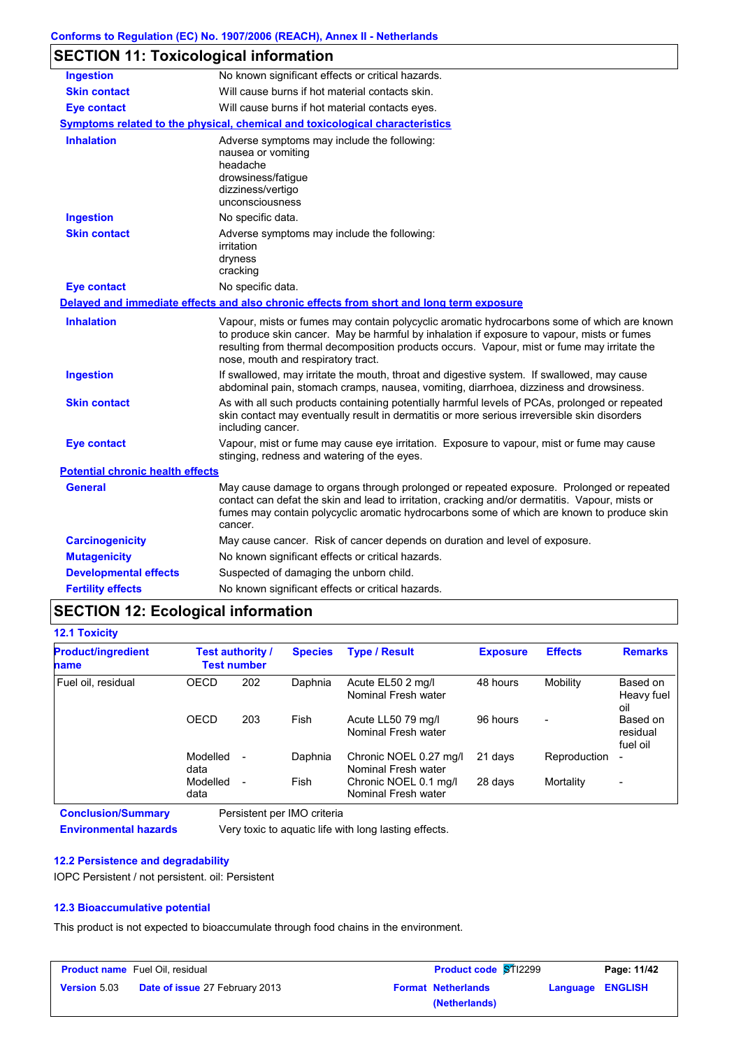| <b>SECTION 11: Toxicological information</b> |  |
|----------------------------------------------|--|
|----------------------------------------------|--|

| <b>Ingestion</b>                        | No known significant effects or critical hazards.                                                                                                                                                                                                                                                                              |
|-----------------------------------------|--------------------------------------------------------------------------------------------------------------------------------------------------------------------------------------------------------------------------------------------------------------------------------------------------------------------------------|
| <b>Skin contact</b>                     | Will cause burns if hot material contacts skin.                                                                                                                                                                                                                                                                                |
| <b>Eye contact</b>                      | Will cause burns if hot material contacts eyes.                                                                                                                                                                                                                                                                                |
|                                         | <b>Symptoms related to the physical, chemical and toxicological characteristics</b>                                                                                                                                                                                                                                            |
| <b>Inhalation</b>                       | Adverse symptoms may include the following:<br>nausea or vomiting<br>headache<br>drowsiness/fatique<br>dizziness/vertigo<br>unconsciousness                                                                                                                                                                                    |
| <b>Ingestion</b>                        | No specific data.                                                                                                                                                                                                                                                                                                              |
| <b>Skin contact</b>                     | Adverse symptoms may include the following:<br>irritation<br>dryness<br>cracking                                                                                                                                                                                                                                               |
| <b>Eye contact</b>                      | No specific data.                                                                                                                                                                                                                                                                                                              |
|                                         | Delayed and immediate effects and also chronic effects from short and long term exposure                                                                                                                                                                                                                                       |
| <b>Inhalation</b>                       | Vapour, mists or fumes may contain polycyclic aromatic hydrocarbons some of which are known<br>to produce skin cancer. May be harmful by inhalation if exposure to vapour, mists or fumes<br>resulting from thermal decomposition products occurs. Vapour, mist or fume may irritate the<br>nose, mouth and respiratory tract. |
| <b>Ingestion</b>                        | If swallowed, may irritate the mouth, throat and digestive system. If swallowed, may cause<br>abdominal pain, stomach cramps, nausea, vomiting, diarrhoea, dizziness and drowsiness.                                                                                                                                           |
| <b>Skin contact</b>                     | As with all such products containing potentially harmful levels of PCAs, prolonged or repeated<br>skin contact may eventually result in dermatitis or more serious irreversible skin disorders<br>including cancer.                                                                                                            |
| <b>Eye contact</b>                      | Vapour, mist or fume may cause eye irritation. Exposure to vapour, mist or fume may cause<br>stinging, redness and watering of the eyes.                                                                                                                                                                                       |
| <b>Potential chronic health effects</b> |                                                                                                                                                                                                                                                                                                                                |
| <b>General</b>                          | May cause damage to organs through prolonged or repeated exposure. Prolonged or repeated<br>contact can defat the skin and lead to irritation, cracking and/or dermatitis. Vapour, mists or<br>fumes may contain polycyclic aromatic hydrocarbons some of which are known to produce skin<br>cancer.                           |
| <b>Carcinogenicity</b>                  | May cause cancer. Risk of cancer depends on duration and level of exposure.                                                                                                                                                                                                                                                    |
| <b>Mutagenicity</b>                     | No known significant effects or critical hazards.                                                                                                                                                                                                                                                                              |
| <b>Developmental effects</b>            | Suspected of damaging the unborn child.                                                                                                                                                                                                                                                                                        |
| <b>Fertility effects</b>                | No known significant effects or critical hazards.                                                                                                                                                                                                                                                                              |

# **SECTION 12: Ecological information**

| <b>12.1 Toxicity</b>              |                                        |        |                |                                               |                 |                |                                  |
|-----------------------------------|----------------------------------------|--------|----------------|-----------------------------------------------|-----------------|----------------|----------------------------------|
| <b>Product/ingredient</b><br>name | Test authority /<br><b>Test number</b> |        | <b>Species</b> | <b>Type / Result</b>                          | <b>Exposure</b> | <b>Effects</b> | <b>Remarks</b>                   |
| Fuel oil, residual                | <b>OECD</b>                            | 202    | Daphnia        | Acute EL50 2 mg/l<br>Nominal Fresh water      | 48 hours        | Mobility       | Based on<br>Heavy fuel<br>oil    |
|                                   | <b>OECD</b>                            | 203    | Fish           | Acute LL50 79 mg/l<br>Nominal Fresh water     | 96 hours        |                | Based on<br>residual<br>fuel oil |
|                                   | Modelled<br>data                       | $\sim$ | Daphnia        | Chronic NOEL 0.27 mg/l<br>Nominal Fresh water | 21 days         | Reproduction   | $\blacksquare$                   |
|                                   | Modelled<br>data                       | ٠.     | Fish           | Chronic NOEL 0.1 mg/l<br>Nominal Fresh water  | 28 days         | Mortality      | $\blacksquare$                   |

**Conclusion/Summary** Persistent per IMO criteria

**Environmental hazards** Very toxic to aquatic life with long lasting effects.

#### **12.2 Persistence and degradability**

IOPC Persistent / not persistent. oil: Persistent

#### **12.3 Bioaccumulative potential**

This product is not expected to bioaccumulate through food chains in the environment.

|                     | <b>Product name</b> Fuel Oil, residual | <b>Product code ST12299</b> | Page: 11/42               |  |                         |
|---------------------|----------------------------------------|-----------------------------|---------------------------|--|-------------------------|
| <b>Version</b> 5.03 | <b>Date of issue 27 February 2013</b>  |                             | <b>Format Netherlands</b> |  | <b>Language ENGLISH</b> |
|                     |                                        |                             | (Netherlands)             |  |                         |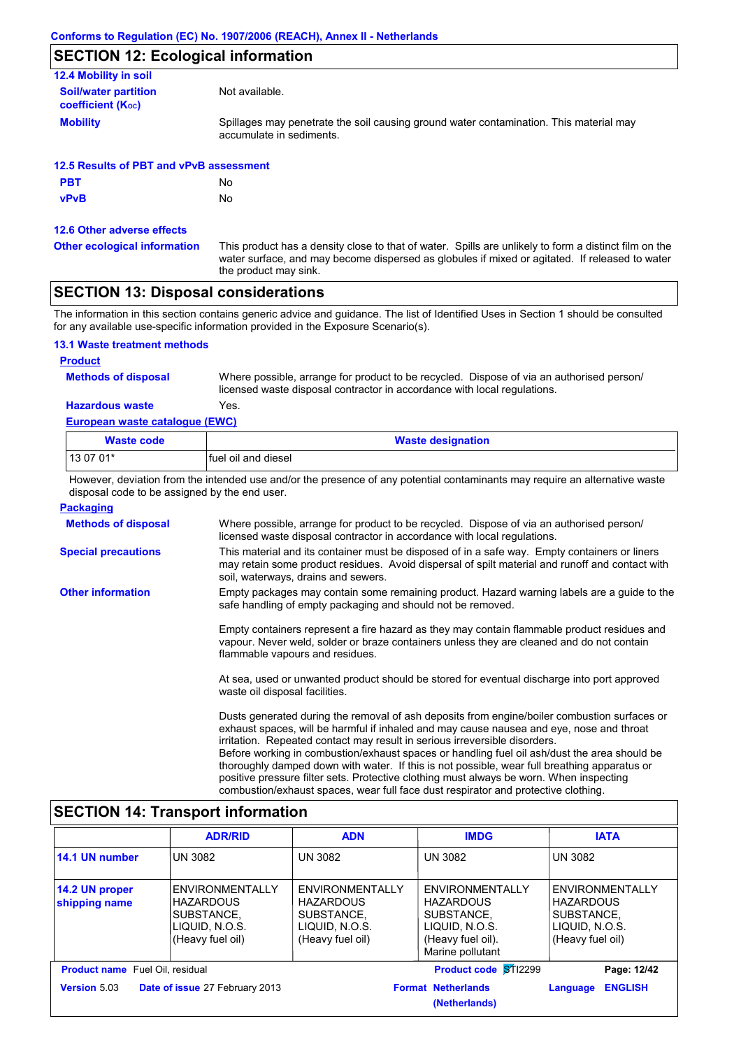### **SECTION 12: Ecological information**

| 12.4 Mobility in soil                                 |                                                                                                                    |
|-------------------------------------------------------|--------------------------------------------------------------------------------------------------------------------|
| <b>Soil/water partition</b><br>coefficient $(K_{oc})$ | Not available.                                                                                                     |
| <b>Mobility</b>                                       | Spillages may penetrate the soil causing ground water contamination. This material may<br>accumulate in sediments. |
| 12.5 Results of PBT and vPvB assessment               |                                                                                                                    |
| <b>PBT</b>                                            | No                                                                                                                 |
|                                                       |                                                                                                                    |

**vPvB** No

#### **12.6 Other adverse effects**

**Other ecological information**

This product has a density close to that of water. Spills are unlikely to form a distinct film on the water surface, and may become dispersed as globules if mixed or agitated. If released to water the product may sink.

### **SECTION 13: Disposal considerations**

The information in this section contains generic advice and guidance. The list of Identified Uses in Section 1 should be consulted for any available use-specific information provided in the Exposure Scenario(s).

#### **13.1 Waste treatment methods**

#### **Product**

**Methods of disposal**

**Hazardous waste** Yes. Where possible, arrange for product to be recycled. Dispose of via an authorised person/ licensed waste disposal contractor in accordance with local regulations.

#### **European waste catalogue (EWC)**

| Waste code | <b>Waste designation</b> |
|------------|--------------------------|
| $130701*$  | Ifuel oil and diesel     |

However, deviation from the intended use and/or the presence of any potential contaminants may require an alternative waste disposal code to be assigned by the end user.

| <b>Packaging</b>           |                                                                                                                                                                                                                                                                                                                                                                                                                                                                                                                                                                                           |
|----------------------------|-------------------------------------------------------------------------------------------------------------------------------------------------------------------------------------------------------------------------------------------------------------------------------------------------------------------------------------------------------------------------------------------------------------------------------------------------------------------------------------------------------------------------------------------------------------------------------------------|
| <b>Methods of disposal</b> | Where possible, arrange for product to be recycled. Dispose of via an authorised person/<br>licensed waste disposal contractor in accordance with local regulations.                                                                                                                                                                                                                                                                                                                                                                                                                      |
| <b>Special precautions</b> | This material and its container must be disposed of in a safe way. Empty containers or liners<br>may retain some product residues. Avoid dispersal of spilt material and runoff and contact with<br>soil, waterways, drains and sewers.                                                                                                                                                                                                                                                                                                                                                   |
| <b>Other information</b>   | Empty packages may contain some remaining product. Hazard warning labels are a guide to the<br>safe handling of empty packaging and should not be removed.                                                                                                                                                                                                                                                                                                                                                                                                                                |
|                            | Empty containers represent a fire hazard as they may contain flammable product residues and<br>vapour. Never weld, solder or braze containers unless they are cleaned and do not contain<br>flammable vapours and residues.                                                                                                                                                                                                                                                                                                                                                               |
|                            | At sea, used or unwanted product should be stored for eventual discharge into port approved<br>waste oil disposal facilities.                                                                                                                                                                                                                                                                                                                                                                                                                                                             |
|                            | Dusts generated during the removal of ash deposits from engine/boiler combustion surfaces or<br>exhaust spaces, will be harmful if inhaled and may cause nausea and eye, nose and throat<br>irritation. Repeated contact may result in serious irreversible disorders.<br>Before working in combustion/exhaust spaces or handling fuel oil ash/dust the area should be<br>thoroughly damped down with water. If this is not possible, wear full breathing apparatus or<br>an ann no an 2014 an choir Fharles Classics and the contract of an annual field of the Contract of the contract |

positive pressure filter sets. Protective clothing must always be worn. When inspecting combustion/exhaust spaces, wear full face dust respirator and protective clothing.

### **SECTION 14: Transport information**

|                                        | <b>ADR/RID</b>                                                                                 | <b>ADN</b>                                                                              | <b>IMDG</b>                                                                                                  | <b>IATA</b>                                                                                    |
|----------------------------------------|------------------------------------------------------------------------------------------------|-----------------------------------------------------------------------------------------|--------------------------------------------------------------------------------------------------------------|------------------------------------------------------------------------------------------------|
| 14.1 UN number                         | <b>UN 3082</b>                                                                                 | <b>UN 3082</b>                                                                          | <b>UN 3082</b>                                                                                               | <b>UN 3082</b>                                                                                 |
| 14.2 UN proper<br>shipping name        | <b>ENVIRONMENTALLY</b><br><b>HAZARDOUS</b><br>SUBSTANCE.<br>LIQUID, N.O.S.<br>(Heavy fuel oil) | ENVIRONMENTALLY<br><b>HAZARDOUS</b><br>SUBSTANCE.<br>LIQUID, N.O.S.<br>(Heavy fuel oil) | ENVIRONMENTALLY<br><b>HAZARDOUS</b><br>SUBSTANCE.<br>LIQUID, N.O.S.<br>(Heavy fuel oil).<br>Marine pollutant | <b>ENVIRONMENTALLY</b><br><b>HAZARDOUS</b><br>SUBSTANCE.<br>LIQUID, N.O.S.<br>(Heavy fuel oil) |
| <b>Product name</b> Fuel Oil, residual |                                                                                                |                                                                                         | Product code ST12299                                                                                         | Page: 12/42                                                                                    |
| <b>Version 5.03</b>                    | Date of issue 27 February 2013                                                                 |                                                                                         | <b>Format Netherlands</b><br>(Netherlands)                                                                   | <b>ENGLISH</b><br>Language                                                                     |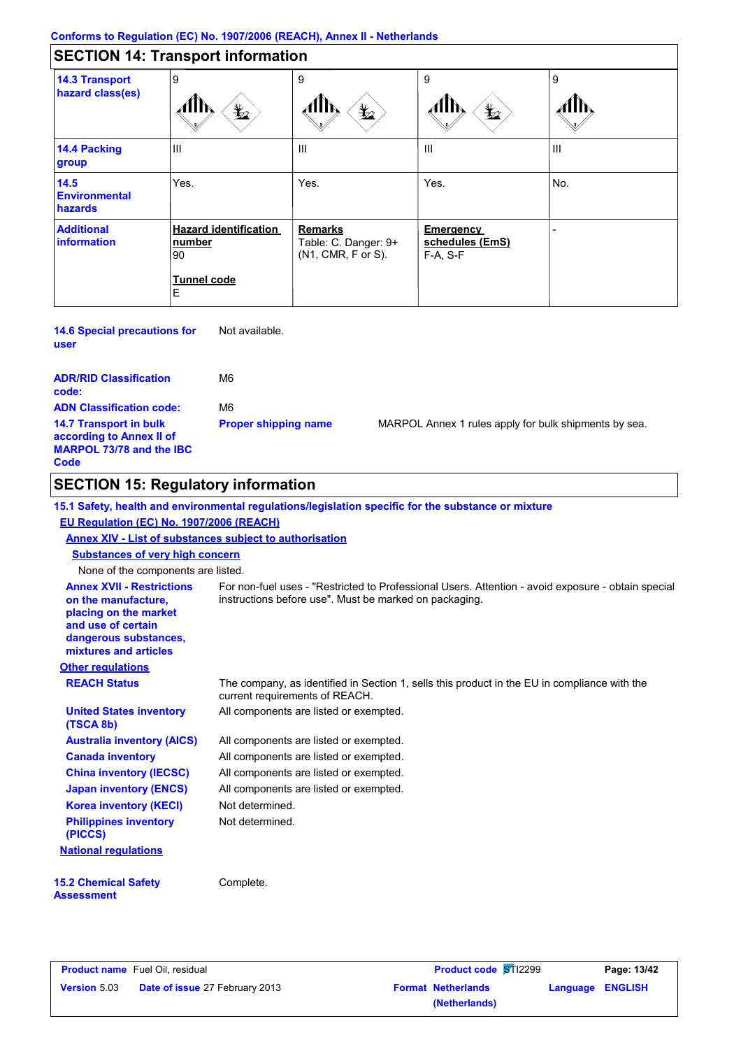### **Conforms to Regulation (EC) No. 1907/2006 (REACH), Annex II - Netherlands**

|                                                | <b>SECTION 14: Transport information</b>                         |                                                              |                                            |     |
|------------------------------------------------|------------------------------------------------------------------|--------------------------------------------------------------|--------------------------------------------|-----|
| <b>14.3 Transport</b><br>hazard class(es)      | 9<br>$\bigstar$                                                  | 9<br>$\bigstar$                                              | 9<br>$\bigstar$                            | 9   |
| 14.4 Packing<br>group                          | $\mathbf{III}$                                                   | Ш                                                            | Ш                                          | III |
| 14.5<br><b>Environmental</b><br><b>hazards</b> | Yes.                                                             | Yes.                                                         | Yes.                                       | No. |
| <b>Additional</b><br>information               | <b>Hazard identification</b><br>number<br>90<br>Tunnel code<br>Е | <b>Remarks</b><br>Table: C. Danger: 9+<br>(N1, CMR, F or S). | Emergency<br>schedules (EmS)<br>$F-A. S-F$ |     |

**14.6 Special precautions for user** Not available.

| <b>ADR/RID Classification</b><br>code:                                                               | M6                          |     |
|------------------------------------------------------------------------------------------------------|-----------------------------|-----|
| <b>ADN Classification code:</b>                                                                      | M6                          |     |
| <b>14.7 Transport in bulk</b><br>according to Annex II of<br><b>MARPOL 73/78 and the IBC</b><br>Code | <b>Proper shipping name</b> | MAI |

RPOL Annex 1 rules apply for bulk shipments by sea.

# **SECTION 15: Regulatory information**

|                                                                                                                                                          | 15.1 Safety, health and environmental regulations/legislation specific for the substance or mixture                                                          |
|----------------------------------------------------------------------------------------------------------------------------------------------------------|--------------------------------------------------------------------------------------------------------------------------------------------------------------|
| EU Regulation (EC) No. 1907/2006 (REACH)                                                                                                                 |                                                                                                                                                              |
| Annex XIV - List of substances subject to authorisation                                                                                                  |                                                                                                                                                              |
| <b>Substances of very high concern</b>                                                                                                                   |                                                                                                                                                              |
| None of the components are listed.                                                                                                                       |                                                                                                                                                              |
| <b>Annex XVII - Restrictions</b><br>on the manufacture,<br>placing on the market<br>and use of certain<br>dangerous substances,<br>mixtures and articles | For non-fuel uses - "Restricted to Professional Users. Attention - avoid exposure - obtain special<br>instructions before use". Must be marked on packaging. |
| <b>Other regulations</b>                                                                                                                                 |                                                                                                                                                              |
| <b>REACH Status</b>                                                                                                                                      | The company, as identified in Section 1, sells this product in the EU in compliance with the<br>current requirements of REACH.                               |
| <b>United States inventory</b><br>(TSCA 8b)                                                                                                              | All components are listed or exempted.                                                                                                                       |
| <b>Australia inventory (AICS)</b>                                                                                                                        | All components are listed or exempted.                                                                                                                       |
| <b>Canada inventory</b>                                                                                                                                  | All components are listed or exempted.                                                                                                                       |
| <b>China inventory (IECSC)</b>                                                                                                                           | All components are listed or exempted.                                                                                                                       |
| <b>Japan inventory (ENCS)</b>                                                                                                                            | All components are listed or exempted.                                                                                                                       |
| <b>Korea inventory (KECI)</b>                                                                                                                            | Not determined.                                                                                                                                              |
| <b>Philippines inventory</b><br>(PICCS)                                                                                                                  | Not determined.                                                                                                                                              |
| <b>National regulations</b>                                                                                                                              |                                                                                                                                                              |
| <b>15.2 Chemical Safety</b><br><b>Assessment</b>                                                                                                         | Complete.                                                                                                                                                    |

|                     | <b>Product name</b> Fuel Oil, residual | <b>Product code ST12299</b> |                         | Page: 13/42 |
|---------------------|----------------------------------------|-----------------------------|-------------------------|-------------|
| <b>Version 5.03</b> | <b>Date of issue 27 February 2013</b>  | <b>Format Netherlands</b>   | <b>Language ENGLISH</b> |             |
|                     |                                        | (Netherlands)               |                         |             |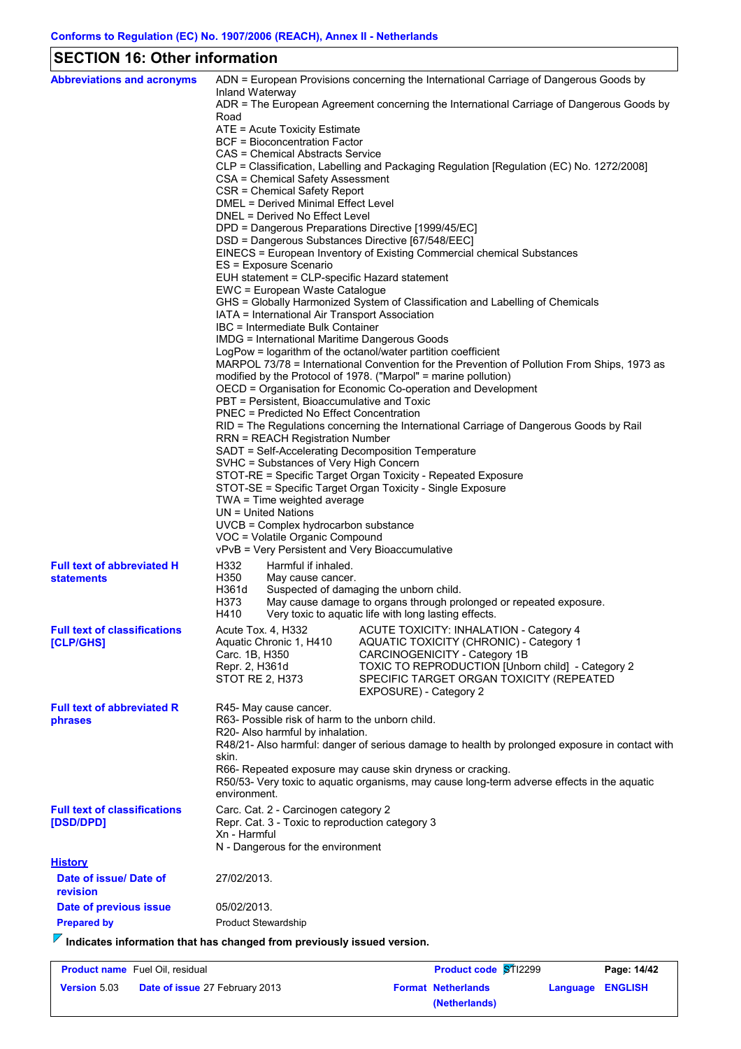# **SECTION 16: Other information**

| <b>Abbreviations and acronyms</b>                                                  | Inland Waterway                                                                                                                                           |                                                                                     | ADN = European Provisions concerning the International Carriage of Dangerous Goods by                                                                        |  |  |
|------------------------------------------------------------------------------------|-----------------------------------------------------------------------------------------------------------------------------------------------------------|-------------------------------------------------------------------------------------|--------------------------------------------------------------------------------------------------------------------------------------------------------------|--|--|
|                                                                                    | ADR = The European Agreement concerning the International Carriage of Dangerous Goods by                                                                  |                                                                                     |                                                                                                                                                              |  |  |
|                                                                                    | Road<br>ATE = Acute Toxicity Estimate                                                                                                                     |                                                                                     |                                                                                                                                                              |  |  |
|                                                                                    |                                                                                                                                                           | <b>BCF</b> = Bioconcentration Factor                                                |                                                                                                                                                              |  |  |
|                                                                                    |                                                                                                                                                           | CAS = Chemical Abstracts Service                                                    |                                                                                                                                                              |  |  |
|                                                                                    |                                                                                                                                                           | CSA = Chemical Safety Assessment                                                    | CLP = Classification, Labelling and Packaging Regulation [Regulation (EC) No. 1272/2008]                                                                     |  |  |
|                                                                                    |                                                                                                                                                           | CSR = Chemical Safety Report                                                        |                                                                                                                                                              |  |  |
|                                                                                    | DMEL = Derived Minimal Effect Level<br>DNEL = Derived No Effect Level                                                                                     |                                                                                     |                                                                                                                                                              |  |  |
|                                                                                    |                                                                                                                                                           |                                                                                     | DPD = Dangerous Preparations Directive [1999/45/EC]                                                                                                          |  |  |
|                                                                                    |                                                                                                                                                           |                                                                                     | DSD = Dangerous Substances Directive [67/548/EEC]                                                                                                            |  |  |
|                                                                                    | EINECS = European Inventory of Existing Commercial chemical Substances<br>ES = Exposure Scenario                                                          |                                                                                     |                                                                                                                                                              |  |  |
|                                                                                    |                                                                                                                                                           |                                                                                     | EUH statement = CLP-specific Hazard statement                                                                                                                |  |  |
|                                                                                    |                                                                                                                                                           | EWC = European Waste Catalogue                                                      |                                                                                                                                                              |  |  |
|                                                                                    |                                                                                                                                                           | IATA = International Air Transport Association                                      | GHS = Globally Harmonized System of Classification and Labelling of Chemicals                                                                                |  |  |
|                                                                                    |                                                                                                                                                           | IBC = Intermediate Bulk Container                                                   |                                                                                                                                                              |  |  |
|                                                                                    |                                                                                                                                                           |                                                                                     | <b>IMDG = International Maritime Dangerous Goods</b>                                                                                                         |  |  |
|                                                                                    |                                                                                                                                                           |                                                                                     | LogPow = logarithm of the octanol/water partition coefficient<br>MARPOL 73/78 = International Convention for the Prevention of Pollution From Ships, 1973 as |  |  |
|                                                                                    |                                                                                                                                                           |                                                                                     | modified by the Protocol of 1978. ("Marpol" = marine pollution)                                                                                              |  |  |
|                                                                                    | OECD = Organisation for Economic Co-operation and Development                                                                                             |                                                                                     |                                                                                                                                                              |  |  |
|                                                                                    | PBT = Persistent, Bioaccumulative and Toxic<br><b>PNEC = Predicted No Effect Concentration</b>                                                            |                                                                                     |                                                                                                                                                              |  |  |
|                                                                                    | RID = The Regulations concerning the International Carriage of Dangerous Goods by Rail                                                                    |                                                                                     |                                                                                                                                                              |  |  |
|                                                                                    | <b>RRN = REACH Registration Number</b>                                                                                                                    |                                                                                     |                                                                                                                                                              |  |  |
|                                                                                    | SADT = Self-Accelerating Decomposition Temperature<br>SVHC = Substances of Very High Concern                                                              |                                                                                     |                                                                                                                                                              |  |  |
|                                                                                    | STOT-RE = Specific Target Organ Toxicity - Repeated Exposure                                                                                              |                                                                                     |                                                                                                                                                              |  |  |
|                                                                                    | STOT-SE = Specific Target Organ Toxicity - Single Exposure                                                                                                |                                                                                     |                                                                                                                                                              |  |  |
|                                                                                    | TWA = Time weighted average<br>UN = United Nations                                                                                                        |                                                                                     |                                                                                                                                                              |  |  |
|                                                                                    | UVCB = Complex hydrocarbon substance                                                                                                                      |                                                                                     |                                                                                                                                                              |  |  |
|                                                                                    | VOC = Volatile Organic Compound<br>vPvB = Very Persistent and Very Bioaccumulative                                                                        |                                                                                     |                                                                                                                                                              |  |  |
|                                                                                    | H332                                                                                                                                                      | Harmful if inhaled.                                                                 |                                                                                                                                                              |  |  |
| <b>Full text of abbreviated H</b><br><b>statements</b>                             | H350                                                                                                                                                      | May cause cancer.                                                                   |                                                                                                                                                              |  |  |
|                                                                                    | H361d                                                                                                                                                     |                                                                                     | Suspected of damaging the unborn child.                                                                                                                      |  |  |
|                                                                                    | H373<br>H410                                                                                                                                              |                                                                                     | May cause damage to organs through prolonged or repeated exposure.<br>Very toxic to aquatic life with long lasting effects.                                  |  |  |
| <b>Full text of classifications</b>                                                |                                                                                                                                                           |                                                                                     | Acute Tox. 4, H332 ACUTE TOXICITY: INHALATION - Category 4                                                                                                   |  |  |
| [CLP/GHS]                                                                          |                                                                                                                                                           | Aquatic Chronic 1, H410                                                             | AQUATIC TOXICITY (CHRONIC) - Category 1                                                                                                                      |  |  |
|                                                                                    | Carc. 1B, H350                                                                                                                                            |                                                                                     | CARCINOGENICITY - Category 1B                                                                                                                                |  |  |
|                                                                                    | Repr. 2, H361d                                                                                                                                            | STOT RE 2, H373                                                                     | TOXIC TO REPRODUCTION [Unborn child] - Category 2<br>SPECIFIC TARGET ORGAN TOXICITY (REPEATED                                                                |  |  |
|                                                                                    |                                                                                                                                                           |                                                                                     | EXPOSURE) - Category 2                                                                                                                                       |  |  |
| <b>Full text of abbreviated R</b>                                                  |                                                                                                                                                           | R45- May cause cancer.                                                              |                                                                                                                                                              |  |  |
| phrases                                                                            |                                                                                                                                                           | R63- Possible risk of harm to the unborn child.<br>R20- Also harmful by inhalation. |                                                                                                                                                              |  |  |
|                                                                                    |                                                                                                                                                           |                                                                                     | R48/21- Also harmful: danger of serious damage to health by prolonged exposure in contact with                                                               |  |  |
|                                                                                    | skin.                                                                                                                                                     |                                                                                     |                                                                                                                                                              |  |  |
|                                                                                    | R66- Repeated exposure may cause skin dryness or cracking.<br>R50/53- Very toxic to aquatic organisms, may cause long-term adverse effects in the aquatic |                                                                                     |                                                                                                                                                              |  |  |
|                                                                                    | environment.                                                                                                                                              |                                                                                     |                                                                                                                                                              |  |  |
| <b>Full text of classifications</b>                                                | Carc. Cat. 2 - Carcinogen category 2                                                                                                                      |                                                                                     |                                                                                                                                                              |  |  |
| [DSD/DPD]                                                                          | Repr. Cat. 3 - Toxic to reproduction category 3<br>Xn - Harmful                                                                                           |                                                                                     |                                                                                                                                                              |  |  |
|                                                                                    |                                                                                                                                                           | N - Dangerous for the environment                                                   |                                                                                                                                                              |  |  |
| <u>History</u>                                                                     |                                                                                                                                                           |                                                                                     |                                                                                                                                                              |  |  |
| Date of issue/ Date of<br>revision                                                 | 27/02/2013.                                                                                                                                               |                                                                                     |                                                                                                                                                              |  |  |
| Date of previous issue                                                             | 05/02/2013.                                                                                                                                               |                                                                                     |                                                                                                                                                              |  |  |
| <b>Prepared by</b>                                                                 |                                                                                                                                                           | <b>Product Stewardship</b>                                                          |                                                                                                                                                              |  |  |
| $\sqrt{\ }$ Indicates information that has changed from previously issued version. |                                                                                                                                                           |                                                                                     |                                                                                                                                                              |  |  |
|                                                                                    |                                                                                                                                                           |                                                                                     |                                                                                                                                                              |  |  |

| <b>Product name</b> Fuel Oil, residual |                                       | <b>Product code ST12299</b> |                  | Page: 14/42 |
|----------------------------------------|---------------------------------------|-----------------------------|------------------|-------------|
| <b>Version 5.03</b>                    | <b>Date of issue 27 February 2013</b> | <b>Format Netherlands</b>   | Language ENGLISH |             |
|                                        |                                       | (Netherlands)               |                  |             |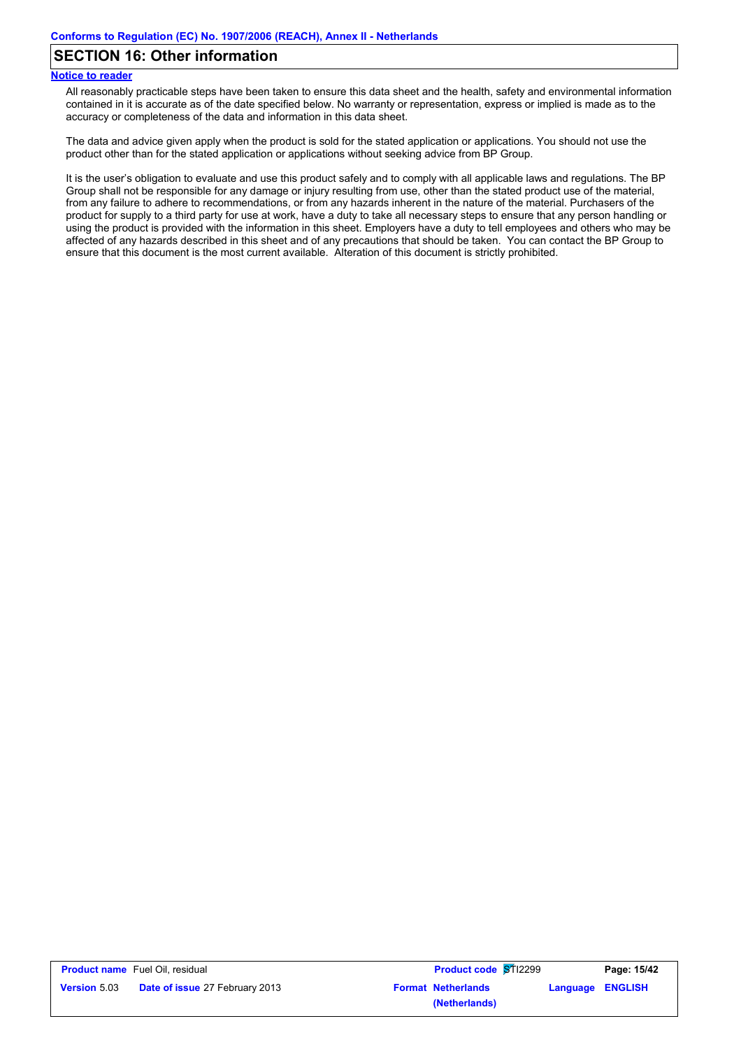### **SECTION 16: Other information**

#### **Notice to reader**

All reasonably practicable steps have been taken to ensure this data sheet and the health, safety and environmental information contained in it is accurate as of the date specified below. No warranty or representation, express or implied is made as to the accuracy or completeness of the data and information in this data sheet.

The data and advice given apply when the product is sold for the stated application or applications. You should not use the product other than for the stated application or applications without seeking advice from BP Group.

It is the user's obligation to evaluate and use this product safely and to comply with all applicable laws and regulations. The BP Group shall not be responsible for any damage or injury resulting from use, other than the stated product use of the material, from any failure to adhere to recommendations, or from any hazards inherent in the nature of the material. Purchasers of the product for supply to a third party for use at work, have a duty to take all necessary steps to ensure that any person handling or using the product is provided with the information in this sheet. Employers have a duty to tell employees and others who may be affected of any hazards described in this sheet and of any precautions that should be taken. You can contact the BP Group to ensure that this document is the most current available. Alteration of this document is strictly prohibited.

| <b>Product name</b> Fuel Oil, residual |                                       | <b>Product code ST12299</b> | Page: 15/42             |
|----------------------------------------|---------------------------------------|-----------------------------|-------------------------|
| <b>Version 5.03</b>                    | <b>Date of issue 27 February 2013</b> | <b>Format Netherlands</b>   | <b>Language ENGLISH</b> |
|                                        |                                       | (Netherlands)               |                         |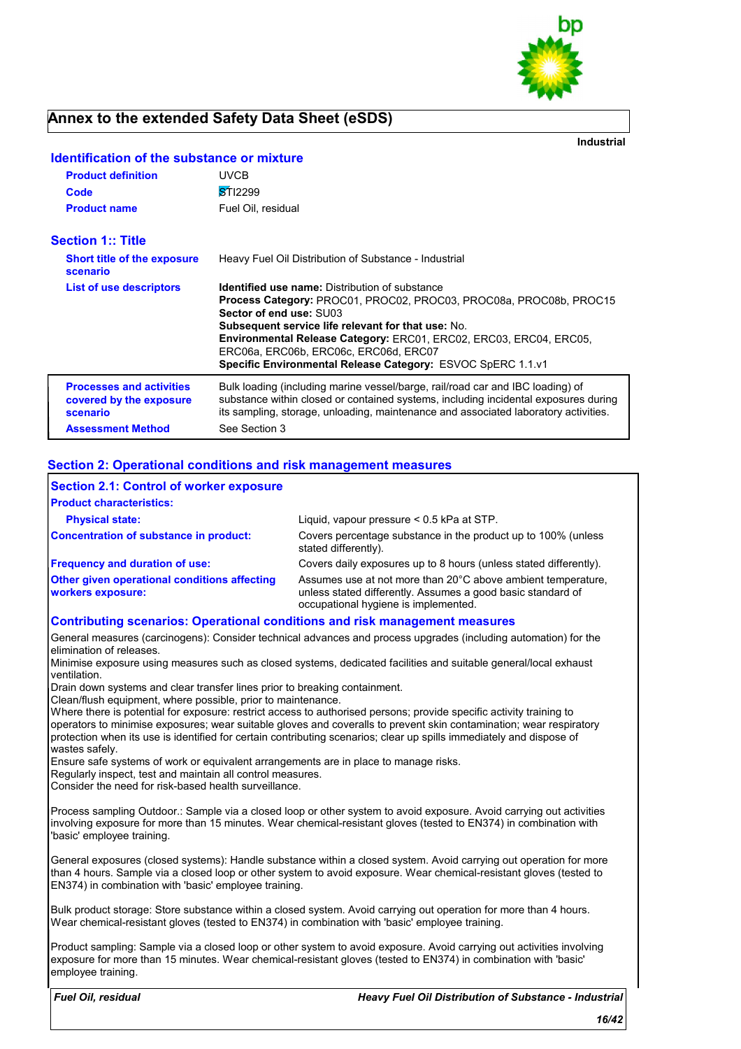

**Industrial**

| <b>Product definition</b>                                              | <b>UVCB</b>                                                                                                                                                                                                                                                                                                                                                                                |  |
|------------------------------------------------------------------------|--------------------------------------------------------------------------------------------------------------------------------------------------------------------------------------------------------------------------------------------------------------------------------------------------------------------------------------------------------------------------------------------|--|
| Code                                                                   | <b>STI2299</b>                                                                                                                                                                                                                                                                                                                                                                             |  |
| <b>Product name</b>                                                    | Fuel Oil, residual                                                                                                                                                                                                                                                                                                                                                                         |  |
| <b>Section 1:: Title</b>                                               |                                                                                                                                                                                                                                                                                                                                                                                            |  |
| <b>Short title of the exposure</b><br>scenario                         | Heavy Fuel Oil Distribution of Substance - Industrial                                                                                                                                                                                                                                                                                                                                      |  |
| List of use descriptors                                                | <b>Identified use name:</b> Distribution of substance<br>Process Category: PROC01, PROC02, PROC03, PROC08a, PROC08b, PROC15<br>Sector of end use: SU03<br>Subsequent service life relevant for that use: No.<br>Environmental Release Category: ERC01, ERC02, ERC03, ERC04, ERC05,<br>ERC06a, ERC06b, ERC06c, ERC06d, ERC07<br>Specific Environmental Release Category: ESVOC SpERC 1.1.v1 |  |
| <b>Processes and activities</b><br>covered by the exposure<br>scenario | Bulk loading (including marine vessel/barge, rail/road car and IBC loading) of<br>substance within closed or contained systems, including incidental exposures during<br>its sampling, storage, unloading, maintenance and associated laboratory activities.                                                                                                                               |  |
| <b>Assessment Method</b>                                               | See Section 3                                                                                                                                                                                                                                                                                                                                                                              |  |

### **Identification of the substance or mixture**

#### **Section 2: Operational conditions and risk management measures**

| Section 2.1: Control of worker exposure                                            |                                                                                                                                                                     |
|------------------------------------------------------------------------------------|---------------------------------------------------------------------------------------------------------------------------------------------------------------------|
| <b>Product characteristics:</b>                                                    |                                                                                                                                                                     |
| <b>Physical state:</b>                                                             | Liquid, vapour pressure $< 0.5$ kPa at STP.                                                                                                                         |
| Concentration of substance in product:                                             | Covers percentage substance in the product up to 100% (unless<br>stated differently).                                                                               |
| <b>Frequency and duration of use:</b>                                              | Covers daily exposures up to 8 hours (unless stated differently).                                                                                                   |
| <b>Other given operational conditions affecting</b><br><b>workers exposure:</b>    | Assumes use at not more than 20°C above ambient temperature.<br>unless stated differently. Assumes a good basic standard of<br>occupational hygiene is implemented. |
| <b>Contributing scenarios: Operational conditions and risk management measures</b> |                                                                                                                                                                     |

General measures (carcinogens): Consider technical advances and process upgrades (including automation) for the elimination of releases.

Minimise exposure using measures such as closed systems, dedicated facilities and suitable general/local exhaust ventilation.

Drain down systems and clear transfer lines prior to breaking containment.

Clean/flush equipment, where possible, prior to maintenance.

Where there is potential for exposure: restrict access to authorised persons; provide specific activity training to operators to minimise exposures; wear suitable gloves and coveralls to prevent skin contamination; wear respiratory protection when its use is identified for certain contributing scenarios; clear up spills immediately and dispose of wastes safely.

Ensure safe systems of work or equivalent arrangements are in place to manage risks.

Regularly inspect, test and maintain all control measures.

Consider the need for risk-based health surveillance.

Process sampling Outdoor.: Sample via a closed loop or other system to avoid exposure. Avoid carrying out activities involving exposure for more than 15 minutes. Wear chemical-resistant gloves (tested to EN374) in combination with 'basic' employee training.

General exposures (closed systems): Handle substance within a closed system. Avoid carrying out operation for more than 4 hours. Sample via a closed loop or other system to avoid exposure. Wear chemical-resistant gloves (tested to EN374) in combination with 'basic' employee training.

Bulk product storage: Store substance within a closed system. Avoid carrying out operation for more than 4 hours. Wear chemical-resistant gloves (tested to EN374) in combination with 'basic' employee training.

Product sampling: Sample via a closed loop or other system to avoid exposure. Avoid carrying out activities involving exposure for more than 15 minutes. Wear chemical-resistant gloves (tested to EN374) in combination with 'basic' employee training.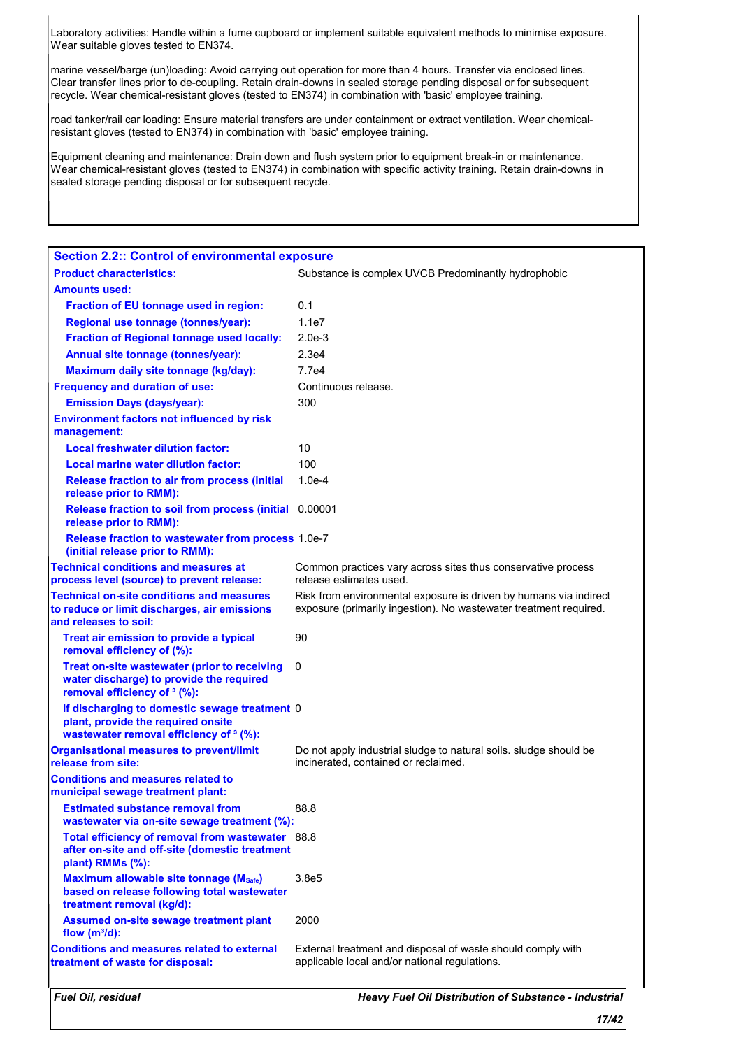Laboratory activities: Handle within a fume cupboard or implement suitable equivalent methods to minimise exposure. Wear suitable gloves tested to EN374.

marine vessel/barge (un)loading: Avoid carrying out operation for more than 4 hours. Transfer via enclosed lines. Clear transfer lines prior to de-coupling. Retain drain-downs in sealed storage pending disposal or for subsequent recycle. Wear chemical-resistant gloves (tested to EN374) in combination with 'basic' employee training.

road tanker/rail car loading: Ensure material transfers are under containment or extract ventilation. Wear chemicalresistant gloves (tested to EN374) in combination with 'basic' employee training.

Equipment cleaning and maintenance: Drain down and flush system prior to equipment break-in or maintenance. Wear chemical-resistant gloves (tested to EN374) in combination with specific activity training. Retain drain-downs in sealed storage pending disposal or for subsequent recycle.

| <b>Section 2.2:: Control of environmental exposure</b>                                                                                    |                                                                                                                                        |
|-------------------------------------------------------------------------------------------------------------------------------------------|----------------------------------------------------------------------------------------------------------------------------------------|
| <b>Product characteristics:</b>                                                                                                           | Substance is complex UVCB Predominantly hydrophobic                                                                                    |
| <b>Amounts used:</b>                                                                                                                      |                                                                                                                                        |
| <b>Fraction of EU tonnage used in region:</b>                                                                                             | 0.1                                                                                                                                    |
| Regional use tonnage (tonnes/year):                                                                                                       | 1.1e7                                                                                                                                  |
| <b>Fraction of Regional tonnage used locally:</b>                                                                                         | $2.0e-3$                                                                                                                               |
| Annual site tonnage (tonnes/year):                                                                                                        | 2.3e4                                                                                                                                  |
| Maximum daily site tonnage (kg/day):                                                                                                      | 7.7e4                                                                                                                                  |
| <b>Frequency and duration of use:</b>                                                                                                     | Continuous release.                                                                                                                    |
| <b>Emission Days (days/year):</b>                                                                                                         | 300                                                                                                                                    |
| <b>Environment factors not influenced by risk</b><br>management:                                                                          |                                                                                                                                        |
| <b>Local freshwater dilution factor:</b>                                                                                                  | 10                                                                                                                                     |
| <b>Local marine water dilution factor:</b>                                                                                                | 100                                                                                                                                    |
| <b>Release fraction to air from process (initial</b><br>release prior to RMM):                                                            | $1.0e-4$                                                                                                                               |
| Release fraction to soil from process (initial 0.00001<br>release prior to RMM):                                                          |                                                                                                                                        |
| Release fraction to wastewater from process 1.0e-7<br>(initial release prior to RMM):                                                     |                                                                                                                                        |
| <b>Technical conditions and measures at</b><br>process level (source) to prevent release:                                                 | Common practices vary across sites thus conservative process<br>release estimates used.                                                |
| <b>Technical on-site conditions and measures</b><br>to reduce or limit discharges, air emissions<br>and releases to soil:                 | Risk from environmental exposure is driven by humans via indirect<br>exposure (primarily ingestion). No wastewater treatment required. |
| Treat air emission to provide a typical<br>removal efficiency of (%):                                                                     | 90                                                                                                                                     |
| Treat on-site wastewater (prior to receiving<br>water discharge) to provide the required<br>removal efficiency of <sup>3</sup> (%):       | 0                                                                                                                                      |
| If discharging to domestic sewage treatment 0<br>plant, provide the required onsite<br>wastewater removal efficiency of <sup>3</sup> (%): |                                                                                                                                        |
| <b>Organisational measures to prevent/limit</b><br>release from site:                                                                     | Do not apply industrial sludge to natural soils. sludge should be<br>incinerated, contained or reclaimed.                              |
| <b>Conditions and measures related to</b><br>municipal sewage treatment plant:                                                            |                                                                                                                                        |
| <b>Estimated substance removal from</b><br>wastewater via on-site sewage treatment (%):                                                   | 88.8                                                                                                                                   |
| Total efficiency of removal from wastewater 88.8<br>after on-site and off-site (domestic treatment<br>plant) RMMs (%):                    |                                                                                                                                        |
| Maximum allowable site tonnage (Msafe)<br>based on release following total wastewater<br>treatment removal (kg/d):                        | 3.8e5                                                                                                                                  |
| Assumed on-site sewage treatment plant<br>flow $(m^3/d)$ :                                                                                | 2000                                                                                                                                   |
| <b>Conditions and measures related to external</b><br>treatment of waste for disposal:                                                    | External treatment and disposal of waste should comply with<br>applicable local and/or national regulations.                           |
|                                                                                                                                           |                                                                                                                                        |

*Fuel Oil, residual Heavy Fuel Oil Distribution of Substance - Industrial*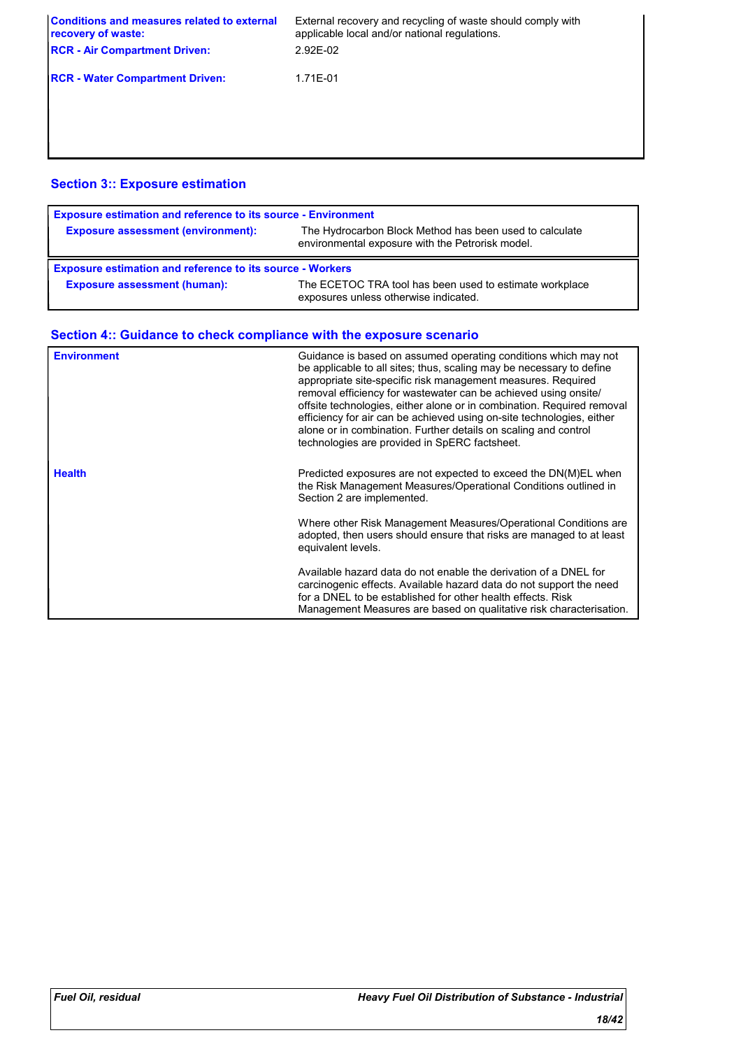| External recovery and recycling of waste should comply with<br>applicable local and/or national regulations.<br>$2.92E-02$ |
|----------------------------------------------------------------------------------------------------------------------------|
| 1.71E-01                                                                                                                   |
|                                                                                                                            |
|                                                                                                                            |

### **Section 3:: Exposure estimation**

| <b>Exposure estimation and reference to its source - Environment</b> |                                                                                                             |
|----------------------------------------------------------------------|-------------------------------------------------------------------------------------------------------------|
| <b>Exposure assessment (environment):</b>                            | The Hydrocarbon Block Method has been used to calculate<br>environmental exposure with the Petrorisk model. |
| <b>Exposure estimation and reference to its source - Workers</b>     |                                                                                                             |
| <b>Exposure assessment (human):</b>                                  | The ECETOC TRA tool has been used to estimate workplace<br>exposures unless otherwise indicated.            |

| <b>Environment</b> | Guidance is based on assumed operating conditions which may not<br>be applicable to all sites; thus, scaling may be necessary to define<br>appropriate site-specific risk management measures. Required<br>removal efficiency for wastewater can be achieved using onsite/<br>offsite technologies, either alone or in combination. Required removal<br>efficiency for air can be achieved using on-site technologies, either<br>alone or in combination. Further details on scaling and control<br>technologies are provided in SpERC factsheet. |
|--------------------|---------------------------------------------------------------------------------------------------------------------------------------------------------------------------------------------------------------------------------------------------------------------------------------------------------------------------------------------------------------------------------------------------------------------------------------------------------------------------------------------------------------------------------------------------|
| <b>Health</b>      | Predicted exposures are not expected to exceed the DN(M)EL when<br>the Risk Management Measures/Operational Conditions outlined in<br>Section 2 are implemented.                                                                                                                                                                                                                                                                                                                                                                                  |
|                    | Where other Risk Management Measures/Operational Conditions are<br>adopted, then users should ensure that risks are managed to at least<br>equivalent levels.                                                                                                                                                                                                                                                                                                                                                                                     |
|                    | Available hazard data do not enable the derivation of a DNEL for<br>carcinogenic effects. Available hazard data do not support the need<br>for a DNEL to be established for other health effects. Risk<br>Management Measures are based on qualitative risk characterisation.                                                                                                                                                                                                                                                                     |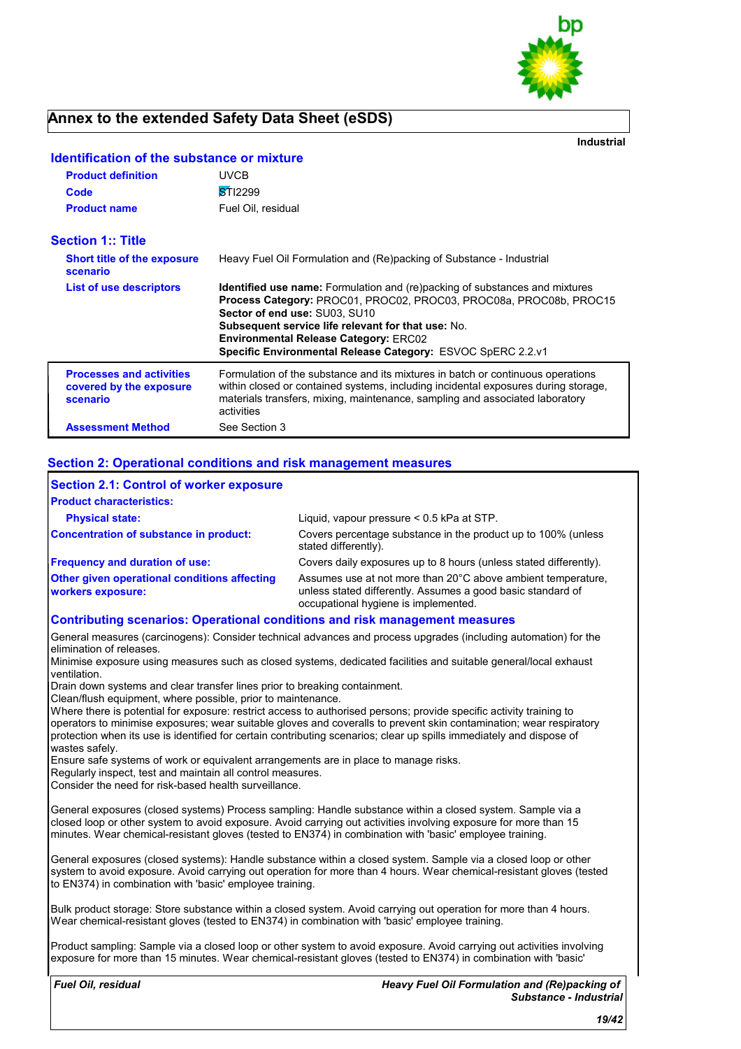

**Industrial**

| <b>Product definition</b>                                              | <b>UVCB</b>                                                                                                                                                                                                                                                                                                                                                           |
|------------------------------------------------------------------------|-----------------------------------------------------------------------------------------------------------------------------------------------------------------------------------------------------------------------------------------------------------------------------------------------------------------------------------------------------------------------|
| Code                                                                   | <b>STI2299</b>                                                                                                                                                                                                                                                                                                                                                        |
| <b>Product name</b>                                                    | Fuel Oil, residual                                                                                                                                                                                                                                                                                                                                                    |
| <b>Section 1:: Title</b>                                               |                                                                                                                                                                                                                                                                                                                                                                       |
| <b>Short title of the exposure</b><br>scenario                         | Heavy Fuel Oil Formulation and (Re)packing of Substance - Industrial                                                                                                                                                                                                                                                                                                  |
| List of use descriptors                                                | <b>Identified use name:</b> Formulation and (re)packing of substances and mixtures<br><b>Process Category: PROC01, PROC02, PROC03, PROC08a, PROC08b, PROC15</b><br>Sector of end use: SU03, SU10<br>Subsequent service life relevant for that use: No.<br><b>Environmental Release Category: ERC02</b><br>Specific Environmental Release Category: ESVOC SpERC 2.2.v1 |
| <b>Processes and activities</b><br>covered by the exposure<br>scenario | Formulation of the substance and its mixtures in batch or continuous operations<br>within closed or contained systems, including incidental exposures during storage,<br>materials transfers, mixing, maintenance, sampling and associated laboratory<br>activities                                                                                                   |
| <b>Assessment Method</b>                                               | See Section 3                                                                                                                                                                                                                                                                                                                                                         |

### **Identification of the substance or mixture**

#### **Section 2: Operational conditions and risk management measures**

| <b>Section 2.1: Control of worker exposure</b>                                     |                                                                                                                                                                     |
|------------------------------------------------------------------------------------|---------------------------------------------------------------------------------------------------------------------------------------------------------------------|
| <b>Product characteristics:</b>                                                    |                                                                                                                                                                     |
| <b>Physical state:</b>                                                             | Liguid, vapour pressure < 0.5 kPa at STP.                                                                                                                           |
| Concentration of substance in product:                                             | Covers percentage substance in the product up to 100% (unless<br>stated differently).                                                                               |
| <b>Frequency and duration of use:</b>                                              | Covers daily exposures up to 8 hours (unless stated differently).                                                                                                   |
| <b>Other given operational conditions affecting</b><br><b>workers exposure:</b>    | Assumes use at not more than 20°C above ambient temperature,<br>unless stated differently. Assumes a good basic standard of<br>occupational hygiene is implemented. |
| <b>Contributing scenarios: Operational conditions and risk management measures</b> |                                                                                                                                                                     |

General measures (carcinogens): Consider technical advances and process upgrades (including automation) for the elimination of releases.

Minimise exposure using measures such as closed systems, dedicated facilities and suitable general/local exhaust ventilation.

Drain down systems and clear transfer lines prior to breaking containment.

Clean/flush equipment, where possible, prior to maintenance.

Where there is potential for exposure: restrict access to authorised persons; provide specific activity training to operators to minimise exposures; wear suitable gloves and coveralls to prevent skin contamination; wear respiratory protection when its use is identified for certain contributing scenarios; clear up spills immediately and dispose of wastes safely.

Ensure safe systems of work or equivalent arrangements are in place to manage risks.

Regularly inspect, test and maintain all control measures.

Consider the need for risk-based health surveillance.

General exposures (closed systems) Process sampling: Handle substance within a closed system. Sample via a closed loop or other system to avoid exposure. Avoid carrying out activities involving exposure for more than 15 minutes. Wear chemical-resistant gloves (tested to EN374) in combination with 'basic' employee training.

General exposures (closed systems): Handle substance within a closed system. Sample via a closed loop or other system to avoid exposure. Avoid carrying out operation for more than 4 hours. Wear chemical-resistant gloves (tested to EN374) in combination with 'basic' employee training.

Bulk product storage: Store substance within a closed system. Avoid carrying out operation for more than 4 hours. Wear chemical-resistant gloves (tested to EN374) in combination with 'basic' employee training.

Product sampling: Sample via a closed loop or other system to avoid exposure. Avoid carrying out activities involving exposure for more than 15 minutes. Wear chemical-resistant gloves (tested to EN374) in combination with 'basic'

*Fuel Oil, residual*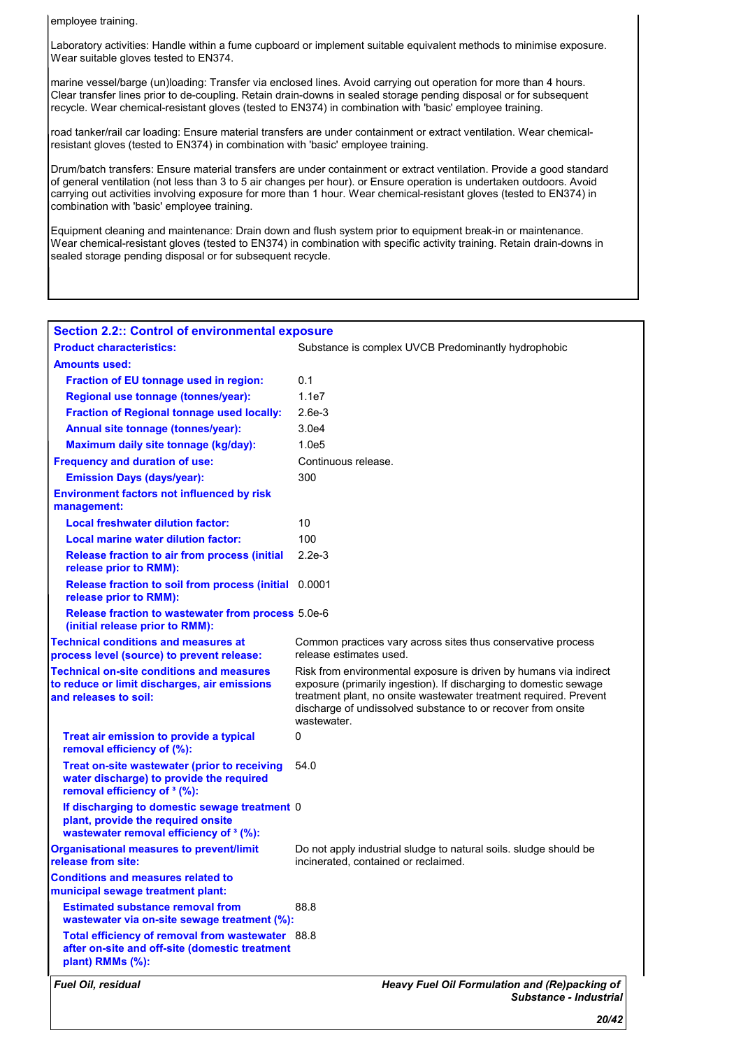employee training.

Laboratory activities: Handle within a fume cupboard or implement suitable equivalent methods to minimise exposure. Wear suitable gloves tested to EN374.

marine vessel/barge (un)loading: Transfer via enclosed lines. Avoid carrying out operation for more than 4 hours. Clear transfer lines prior to de-coupling. Retain drain-downs in sealed storage pending disposal or for subsequent recycle. Wear chemical-resistant gloves (tested to EN374) in combination with 'basic' employee training.

road tanker/rail car loading: Ensure material transfers are under containment or extract ventilation. Wear chemicalresistant gloves (tested to EN374) in combination with 'basic' employee training.

Drum/batch transfers: Ensure material transfers are under containment or extract ventilation. Provide a good standard of general ventilation (not less than 3 to 5 air changes per hour). or Ensure operation is undertaken outdoors. Avoid carrying out activities involving exposure for more than 1 hour. Wear chemical-resistant gloves (tested to EN374) in combination with 'basic' employee training.

Equipment cleaning and maintenance: Drain down and flush system prior to equipment break-in or maintenance. Wear chemical-resistant gloves (tested to EN374) in combination with specific activity training. Retain drain-downs in sealed storage pending disposal or for subsequent recycle.

| <b>Section 2.2:: Control of environmental exposure</b>                                                                              |                                                                                                                                                                                                                                                                                            |
|-------------------------------------------------------------------------------------------------------------------------------------|--------------------------------------------------------------------------------------------------------------------------------------------------------------------------------------------------------------------------------------------------------------------------------------------|
| <b>Product characteristics:</b>                                                                                                     | Substance is complex UVCB Predominantly hydrophobic                                                                                                                                                                                                                                        |
| <b>Amounts used:</b>                                                                                                                |                                                                                                                                                                                                                                                                                            |
| Fraction of EU tonnage used in region:                                                                                              | 0.1                                                                                                                                                                                                                                                                                        |
| Regional use tonnage (tonnes/year):                                                                                                 | 1.1e7                                                                                                                                                                                                                                                                                      |
| <b>Fraction of Regional tonnage used locally:</b>                                                                                   | $2.6e-3$                                                                                                                                                                                                                                                                                   |
| Annual site tonnage (tonnes/year):                                                                                                  | 3.0e4                                                                                                                                                                                                                                                                                      |
| Maximum daily site tonnage (kg/day):                                                                                                | 1.0e5                                                                                                                                                                                                                                                                                      |
| <b>Frequency and duration of use:</b>                                                                                               | Continuous release.                                                                                                                                                                                                                                                                        |
| <b>Emission Days (days/year):</b>                                                                                                   | 300                                                                                                                                                                                                                                                                                        |
| <b>Environment factors not influenced by risk</b><br>management:                                                                    |                                                                                                                                                                                                                                                                                            |
| <b>Local freshwater dilution factor:</b>                                                                                            | 10                                                                                                                                                                                                                                                                                         |
| Local marine water dilution factor:                                                                                                 | 100                                                                                                                                                                                                                                                                                        |
| Release fraction to air from process (initial<br>release prior to RMM):                                                             | $2.2e-3$                                                                                                                                                                                                                                                                                   |
| Release fraction to soil from process (initial 0.0001<br>release prior to RMM):                                                     |                                                                                                                                                                                                                                                                                            |
| Release fraction to wastewater from process 5.0e-6<br>(initial release prior to RMM):                                               |                                                                                                                                                                                                                                                                                            |
| <b>Technical conditions and measures at</b><br>process level (source) to prevent release:                                           | Common practices vary across sites thus conservative process<br>release estimates used.                                                                                                                                                                                                    |
| <b>Technical on-site conditions and measures</b><br>to reduce or limit discharges, air emissions<br>and releases to soil:           | Risk from environmental exposure is driven by humans via indirect<br>exposure (primarily ingestion). If discharging to domestic sewage<br>treatment plant, no onsite wastewater treatment required. Prevent<br>discharge of undissolved substance to or recover from onsite<br>wastewater. |
| Treat air emission to provide a typical<br>removal efficiency of (%):                                                               | 0                                                                                                                                                                                                                                                                                          |
| Treat on-site wastewater (prior to receiving<br>water discharge) to provide the required<br>removal efficiency of <sup>3</sup> (%): | 54.0                                                                                                                                                                                                                                                                                       |
| If discharging to domestic sewage treatment 0<br>plant, provide the required onsite<br>wastewater removal efficiency of 3 (%):      |                                                                                                                                                                                                                                                                                            |
| <b>Organisational measures to prevent/limit</b><br>release from site:                                                               | Do not apply industrial sludge to natural soils. Sludge should be<br>incinerated, contained or reclaimed.                                                                                                                                                                                  |
| <b>Conditions and measures related to</b><br>municipal sewage treatment plant:                                                      |                                                                                                                                                                                                                                                                                            |
| <b>Estimated substance removal from</b><br>wastewater via on-site sewage treatment (%):                                             | 88.8                                                                                                                                                                                                                                                                                       |
| Total efficiency of removal from wastewater 88.8<br>after on-site and off-site (domestic treatment<br>plant) RMMs (%):              |                                                                                                                                                                                                                                                                                            |
| Fuel Oil, residual                                                                                                                  | Heavy Fuel Oil Formulation and (Re)packing of<br>Substance - Industrial                                                                                                                                                                                                                    |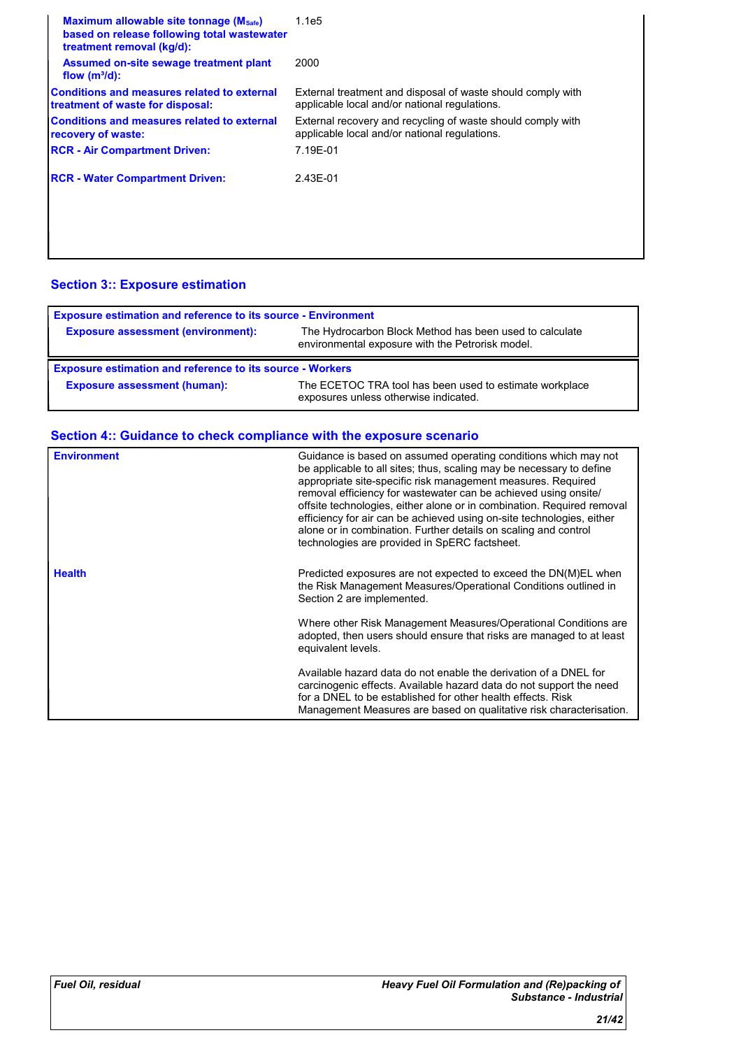| Maximum allowable site tonnage (Msafe)<br>based on release following total wastewater<br>treatment removal (kg/d): | 1.1e5                                                                                                        |
|--------------------------------------------------------------------------------------------------------------------|--------------------------------------------------------------------------------------------------------------|
| Assumed on-site sewage treatment plant<br>flow $(m^3/d)$ :                                                         | 2000                                                                                                         |
| Conditions and measures related to external<br>treatment of waste for disposal:                                    | External treatment and disposal of waste should comply with<br>applicable local and/or national regulations. |
| <b>Conditions and measures related to external</b><br>recovery of waste:                                           | External recovery and recycling of waste should comply with<br>applicable local and/or national regulations. |
| <b>RCR - Air Compartment Driven:</b>                                                                               | 7.19E-01                                                                                                     |
| <b>RCR - Water Compartment Driven:</b>                                                                             | 2.43E-01                                                                                                     |
|                                                                                                                    |                                                                                                              |
|                                                                                                                    |                                                                                                              |

### **Section 3:: Exposure estimation**

| <b>Exposure estimation and reference to its source - Environment</b> |                                                                                                             |
|----------------------------------------------------------------------|-------------------------------------------------------------------------------------------------------------|
| <b>Exposure assessment (environment):</b>                            | The Hydrocarbon Block Method has been used to calculate<br>environmental exposure with the Petrorisk model. |
|                                                                      |                                                                                                             |
| <b>Exposure estimation and reference to its source - Workers</b>     |                                                                                                             |

| <b>Environment</b> | Guidance is based on assumed operating conditions which may not<br>be applicable to all sites; thus, scaling may be necessary to define<br>appropriate site-specific risk management measures. Required<br>removal efficiency for wastewater can be achieved using onsite/<br>offsite technologies, either alone or in combination. Required removal<br>efficiency for air can be achieved using on-site technologies, either<br>alone or in combination. Further details on scaling and control<br>technologies are provided in SpERC factsheet. |
|--------------------|---------------------------------------------------------------------------------------------------------------------------------------------------------------------------------------------------------------------------------------------------------------------------------------------------------------------------------------------------------------------------------------------------------------------------------------------------------------------------------------------------------------------------------------------------|
| <b>Health</b>      | Predicted exposures are not expected to exceed the DN(M)EL when<br>the Risk Management Measures/Operational Conditions outlined in<br>Section 2 are implemented.                                                                                                                                                                                                                                                                                                                                                                                  |
|                    | Where other Risk Management Measures/Operational Conditions are<br>adopted, then users should ensure that risks are managed to at least<br>equivalent levels.                                                                                                                                                                                                                                                                                                                                                                                     |
|                    | Available hazard data do not enable the derivation of a DNEL for<br>carcinogenic effects. Available hazard data do not support the need<br>for a DNEL to be established for other health effects. Risk<br>Management Measures are based on qualitative risk characterisation.                                                                                                                                                                                                                                                                     |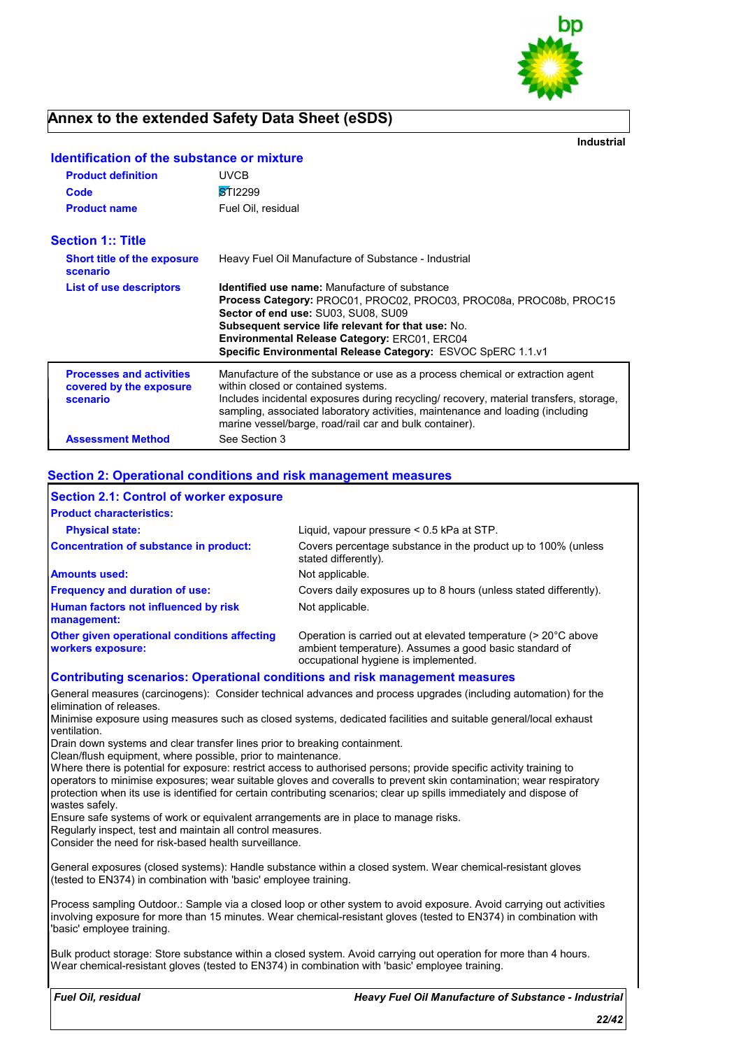

**Industrial**

| <b>Product definition</b><br>Code<br><b>Product name</b>               | UVCB<br><b>STI2299</b><br>Fuel Oil, residual                                                                                                                                                                                                                                                                                                                |
|------------------------------------------------------------------------|-------------------------------------------------------------------------------------------------------------------------------------------------------------------------------------------------------------------------------------------------------------------------------------------------------------------------------------------------------------|
| <b>Section 1:: Title</b>                                               |                                                                                                                                                                                                                                                                                                                                                             |
| <b>Short title of the exposure</b><br>scenario                         | Heavy Fuel Oil Manufacture of Substance - Industrial                                                                                                                                                                                                                                                                                                        |
| List of use descriptors                                                | <b>Identified use name:</b> Manufacture of substance<br>Process Category: PROC01, PROC02, PROC03, PROC08a, PROC08b, PROC15<br>Sector of end use: SU03, SU08, SU09<br><b>Subsequent service life relevant for that use: No.</b><br><b>Environmental Release Category: ERC01, ERC04</b><br>Specific Environmental Release Category: ESVOC SpERC 1.1.v1        |
| <b>Processes and activities</b><br>covered by the exposure<br>scenario | Manufacture of the substance or use as a process chemical or extraction agent<br>within closed or contained systems.<br>Includes incidental exposures during recycling/ recovery, material transfers, storage,<br>sampling, associated laboratory activities, maintenance and loading (including<br>marine vessel/barge, road/rail car and bulk container). |
| <b>Assessment Method</b>                                               | See Section 3                                                                                                                                                                                                                                                                                                                                               |

### **Identification of the substance or mixture**

#### **Section 2: Operational conditions and risk management measures**

| <b>Section 2.1: Control of worker exposure</b>                                     |                                                                                                                                                                  |
|------------------------------------------------------------------------------------|------------------------------------------------------------------------------------------------------------------------------------------------------------------|
| <b>Product characteristics:</b>                                                    |                                                                                                                                                                  |
| <b>Physical state:</b>                                                             | Liquid, vapour pressure $< 0.5$ kPa at STP.                                                                                                                      |
| <b>Concentration of substance in product:</b>                                      | Covers percentage substance in the product up to 100% (unless<br>stated differently).                                                                            |
| <b>Amounts used:</b>                                                               | Not applicable.                                                                                                                                                  |
| <b>Frequency and duration of use:</b>                                              | Covers daily exposures up to 8 hours (unless stated differently).                                                                                                |
| Human factors not influenced by risk<br>management:                                | Not applicable.                                                                                                                                                  |
| Other given operational conditions affecting<br>workers exposure:                  | Operation is carried out at elevated temperature (> 20°C above<br>ambient temperature). Assumes a good basic standard of<br>occupational hygiene is implemented. |
| <b>Contributing scenarios: Operational conditions and risk management measures</b> |                                                                                                                                                                  |
| lelimination of releases.                                                          | General measures (carcinogens): Consider technical advances and process upgrades (including automation) for the                                                  |

Minimise exposure using measures such as closed systems, dedicated facilities and suitable general/local exhaust ventilation.

Drain down systems and clear transfer lines prior to breaking containment.

Clean/flush equipment, where possible, prior to maintenance.

Where there is potential for exposure: restrict access to authorised persons; provide specific activity training to operators to minimise exposures; wear suitable gloves and coveralls to prevent skin contamination; wear respiratory protection when its use is identified for certain contributing scenarios; clear up spills immediately and dispose of wastes safely.

Ensure safe systems of work or equivalent arrangements are in place to manage risks.

Regularly inspect, test and maintain all control measures.

Consider the need for risk-based health surveillance.

General exposures (closed systems): Handle substance within a closed system. Wear chemical-resistant gloves (tested to EN374) in combination with 'basic' employee training.

Process sampling Outdoor.: Sample via a closed loop or other system to avoid exposure. Avoid carrying out activities involving exposure for more than 15 minutes. Wear chemical-resistant gloves (tested to EN374) in combination with 'basic' employee training.

Bulk product storage: Store substance within a closed system. Avoid carrying out operation for more than 4 hours. Wear chemical-resistant gloves (tested to EN374) in combination with 'basic' employee training.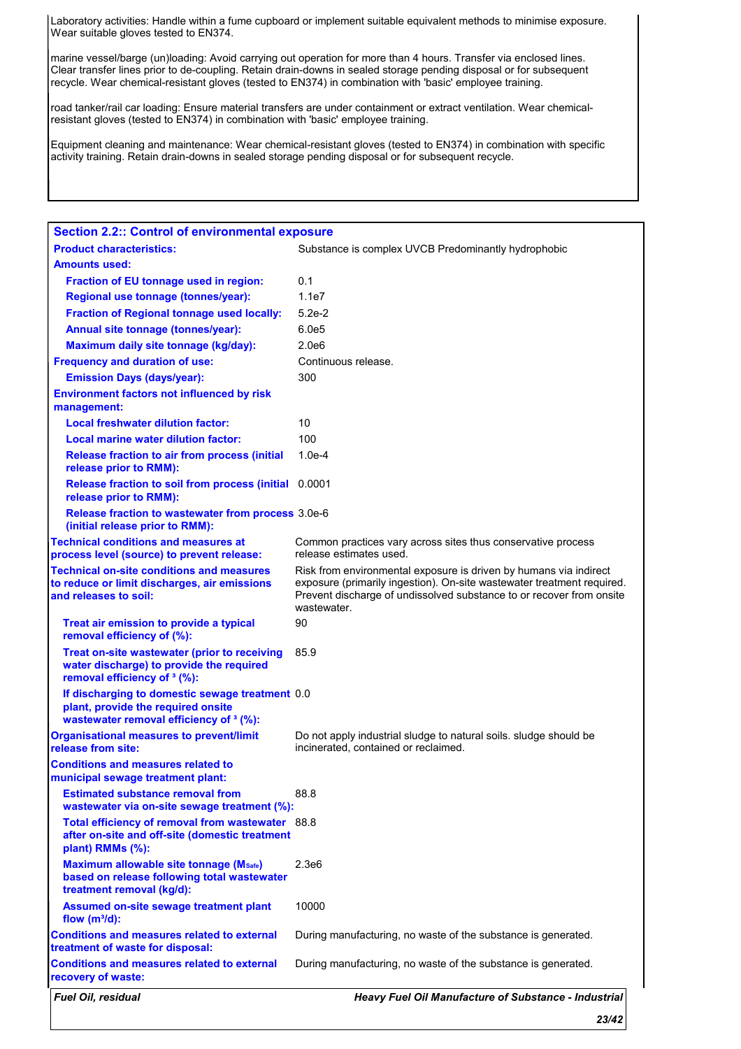Laboratory activities: Handle within a fume cupboard or implement suitable equivalent methods to minimise exposure. Wear suitable gloves tested to EN374.

marine vessel/barge (un)loading: Avoid carrying out operation for more than 4 hours. Transfer via enclosed lines. Clear transfer lines prior to de-coupling. Retain drain-downs in sealed storage pending disposal or for subsequent recycle. Wear chemical-resistant gloves (tested to EN374) in combination with 'basic' employee training.

road tanker/rail car loading: Ensure material transfers are under containment or extract ventilation. Wear chemicalresistant gloves (tested to EN374) in combination with 'basic' employee training.

Equipment cleaning and maintenance: Wear chemical-resistant gloves (tested to EN374) in combination with specific activity training. Retain drain-downs in sealed storage pending disposal or for subsequent recycle.

| <b>Section 2.2:: Control of environmental exposure</b><br><b>Product characteristics:</b>                                           | Substance is complex UVCB Predominantly hydrophobic                                                                                                                                                                                |
|-------------------------------------------------------------------------------------------------------------------------------------|------------------------------------------------------------------------------------------------------------------------------------------------------------------------------------------------------------------------------------|
| <b>Amounts used:</b>                                                                                                                |                                                                                                                                                                                                                                    |
| Fraction of EU tonnage used in region:                                                                                              | 0.1                                                                                                                                                                                                                                |
| Regional use tonnage (tonnes/year):                                                                                                 | 1.1e7                                                                                                                                                                                                                              |
| <b>Fraction of Regional tonnage used locally:</b>                                                                                   | $5.2e-2$                                                                                                                                                                                                                           |
| Annual site tonnage (tonnes/year):                                                                                                  | 6.0e5                                                                                                                                                                                                                              |
| Maximum daily site tonnage (kg/day):                                                                                                | 2.0e6                                                                                                                                                                                                                              |
| <b>Frequency and duration of use:</b>                                                                                               | Continuous release.                                                                                                                                                                                                                |
| <b>Emission Days (days/year):</b>                                                                                                   | 300                                                                                                                                                                                                                                |
| <b>Environment factors not influenced by risk</b><br>management:                                                                    |                                                                                                                                                                                                                                    |
| <b>Local freshwater dilution factor:</b>                                                                                            | 10                                                                                                                                                                                                                                 |
| Local marine water dilution factor:                                                                                                 | 100                                                                                                                                                                                                                                |
| <b>Release fraction to air from process (initial)</b><br>release prior to RMM):                                                     | $1.0e-4$                                                                                                                                                                                                                           |
| Release fraction to soil from process (initial 0.0001<br>release prior to RMM):                                                     |                                                                                                                                                                                                                                    |
| Release fraction to wastewater from process 3.0e-6<br>(initial release prior to RMM):                                               |                                                                                                                                                                                                                                    |
| <b>Technical conditions and measures at</b><br>process level (source) to prevent release:                                           | Common practices vary across sites thus conservative process<br>release estimates used.                                                                                                                                            |
| <b>Technical on-site conditions and measures</b><br>to reduce or limit discharges, air emissions<br>and releases to soil:           | Risk from environmental exposure is driven by humans via indirect<br>exposure (primarily ingestion). On-site wastewater treatment required.<br>Prevent discharge of undissolved substance to or recover from onsite<br>wastewater. |
|                                                                                                                                     |                                                                                                                                                                                                                                    |
| Treat air emission to provide a typical<br>removal efficiency of (%):                                                               | 90                                                                                                                                                                                                                                 |
| Treat on-site wastewater (prior to receiving<br>water discharge) to provide the required<br>removal efficiency of <sup>3</sup> (%): | 85.9                                                                                                                                                                                                                               |
| If discharging to domestic sewage treatment 0.0<br>plant, provide the required onsite<br>wastewater removal efficiency of 3 (%):    |                                                                                                                                                                                                                                    |
| <b>Organisational measures to prevent/limit</b><br>release from site:                                                               | Do not apply industrial sludge to natural soils. Sludge should be<br>incinerated, contained or reclaimed.                                                                                                                          |
| <b>Conditions and measures related to</b><br>municipal sewage treatment plant:                                                      |                                                                                                                                                                                                                                    |
| <b>Estimated substance removal from</b><br>wastewater via on-site sewage treatment (%):                                             | 88.8                                                                                                                                                                                                                               |
| Total efficiency of removal from wastewater 88.8<br>after on-site and off-site (domestic treatment<br>plant) RMMs (%):              |                                                                                                                                                                                                                                    |
| Maximum allowable site tonnage (Msafe)<br>based on release following total wastewater<br>treatment removal (kg/d):                  | 2.3e <sub>6</sub>                                                                                                                                                                                                                  |
| <b>Assumed on-site sewage treatment plant</b><br>flow $(m^3/d)$ :                                                                   | 10000                                                                                                                                                                                                                              |
| <b>Conditions and measures related to external</b><br>treatment of waste for disposal:                                              | During manufacturing, no waste of the substance is generated.                                                                                                                                                                      |
| <b>Conditions and measures related to external</b><br>recovery of waste:                                                            | During manufacturing, no waste of the substance is generated.                                                                                                                                                                      |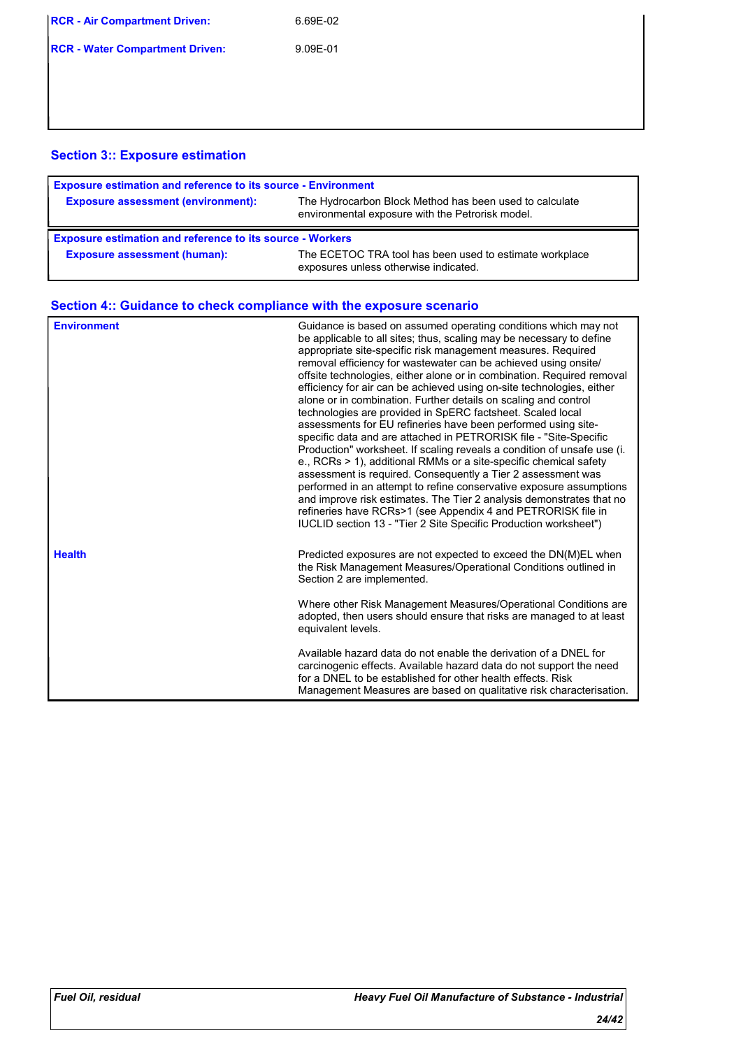| <b>RCR - Air Compartment Driven:</b>   | 6.69E-02 |
|----------------------------------------|----------|
| <b>RCR - Water Compartment Driven:</b> | 9.09F-01 |

### **Section 3:: Exposure estimation**

| <b>Exposure estimation and reference to its source - Environment</b> |                                                                                                             |
|----------------------------------------------------------------------|-------------------------------------------------------------------------------------------------------------|
| <b>Exposure assessment (environment):</b>                            | The Hydrocarbon Block Method has been used to calculate<br>environmental exposure with the Petrorisk model. |
|                                                                      |                                                                                                             |
| <b>Exposure estimation and reference to its source - Workers</b>     |                                                                                                             |

| <b>Environment</b> | Guidance is based on assumed operating conditions which may not<br>be applicable to all sites; thus, scaling may be necessary to define<br>appropriate site-specific risk management measures. Required<br>removal efficiency for wastewater can be achieved using onsite/<br>offsite technologies, either alone or in combination. Required removal<br>efficiency for air can be achieved using on-site technologies, either<br>alone or in combination. Further details on scaling and control<br>technologies are provided in SpERC factsheet. Scaled local<br>assessments for EU refineries have been performed using site-<br>specific data and are attached in PETRORISK file - "Site-Specific<br>Production" worksheet. If scaling reveals a condition of unsafe use (i.<br>e., RCRs > 1), additional RMMs or a site-specific chemical safety<br>assessment is required. Consequently a Tier 2 assessment was<br>performed in an attempt to refine conservative exposure assumptions<br>and improve risk estimates. The Tier 2 analysis demonstrates that no<br>refineries have RCRs>1 (see Appendix 4 and PETRORISK file in<br>IUCLID section 13 - "Tier 2 Site Specific Production worksheet") |
|--------------------|---------------------------------------------------------------------------------------------------------------------------------------------------------------------------------------------------------------------------------------------------------------------------------------------------------------------------------------------------------------------------------------------------------------------------------------------------------------------------------------------------------------------------------------------------------------------------------------------------------------------------------------------------------------------------------------------------------------------------------------------------------------------------------------------------------------------------------------------------------------------------------------------------------------------------------------------------------------------------------------------------------------------------------------------------------------------------------------------------------------------------------------------------------------------------------------------------------|
| <b>Health</b>      | Predicted exposures are not expected to exceed the DN(M)EL when<br>the Risk Management Measures/Operational Conditions outlined in<br>Section 2 are implemented.                                                                                                                                                                                                                                                                                                                                                                                                                                                                                                                                                                                                                                                                                                                                                                                                                                                                                                                                                                                                                                        |
|                    | Where other Risk Management Measures/Operational Conditions are<br>adopted, then users should ensure that risks are managed to at least<br>equivalent levels.                                                                                                                                                                                                                                                                                                                                                                                                                                                                                                                                                                                                                                                                                                                                                                                                                                                                                                                                                                                                                                           |
|                    | Available hazard data do not enable the derivation of a DNEL for<br>carcinogenic effects. Available hazard data do not support the need<br>for a DNEL to be established for other health effects. Risk<br>Management Measures are based on qualitative risk characterisation.                                                                                                                                                                                                                                                                                                                                                                                                                                                                                                                                                                                                                                                                                                                                                                                                                                                                                                                           |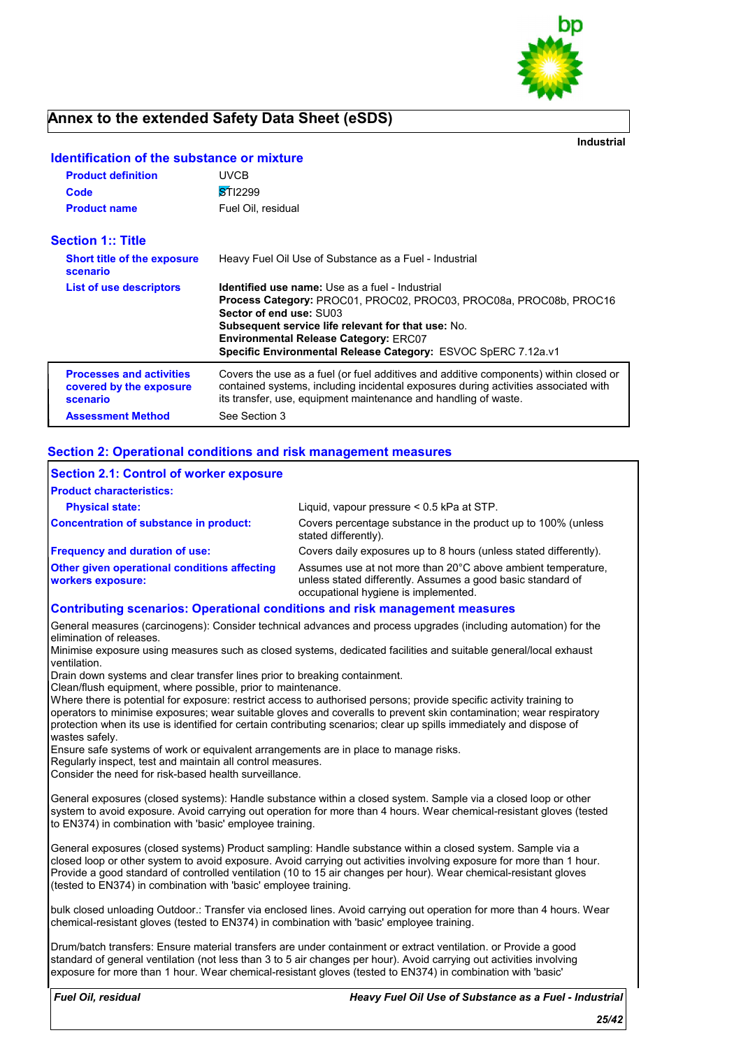

**Industrial**

| <b>Product definition</b>                                              | <b>UVCB</b>                                                                                                                                                                                                                                                                                                                           |
|------------------------------------------------------------------------|---------------------------------------------------------------------------------------------------------------------------------------------------------------------------------------------------------------------------------------------------------------------------------------------------------------------------------------|
| Code                                                                   | STI2299                                                                                                                                                                                                                                                                                                                               |
| <b>Product name</b>                                                    | Fuel Oil, residual                                                                                                                                                                                                                                                                                                                    |
| <b>Section 1:: Title</b>                                               |                                                                                                                                                                                                                                                                                                                                       |
| <b>Short title of the exposure</b><br>scenario                         | Heavy Fuel Oil Use of Substance as a Fuel - Industrial                                                                                                                                                                                                                                                                                |
| <b>List of use descriptors</b>                                         | Identified use name: Use as a fuel - Industrial<br><b>Process Category: PROC01, PROC02, PROC03, PROC08a, PROC08b, PROC16</b><br>Sector of end use: SU03<br><b>Subsequent service life relevant for that use: No.</b><br><b>Environmental Release Category: ERC07</b><br>Specific Environmental Release Category: ESVOC SpERC 7.12a.v1 |
| <b>Processes and activities</b><br>covered by the exposure<br>scenario | Covers the use as a fuel (or fuel additives and additive components) within closed or<br>contained systems, including incidental exposures during activities associated with<br>its transfer, use, equipment maintenance and handling of waste.                                                                                       |
| <b>Assessment Method</b>                                               | See Section 3                                                                                                                                                                                                                                                                                                                         |

#### **Identification of the substance or mixture**

#### **Section 2: Operational conditions and risk management measures**

| <b>Section 2.1: Control of worker exposure</b>                                     |                                                                                                                                                                     |
|------------------------------------------------------------------------------------|---------------------------------------------------------------------------------------------------------------------------------------------------------------------|
| <b>Product characteristics:</b>                                                    |                                                                                                                                                                     |
| <b>Physical state:</b>                                                             | Liquid, vapour pressure $< 0.5$ kPa at STP.                                                                                                                         |
| Concentration of substance in product:                                             | Covers percentage substance in the product up to 100% (unless<br>stated differently).                                                                               |
| <b>Frequency and duration of use:</b>                                              | Covers daily exposures up to 8 hours (unless stated differently).                                                                                                   |
| <b>Other given operational conditions affecting</b><br>workers exposure:           | Assumes use at not more than 20°C above ambient temperature.<br>unless stated differently. Assumes a good basic standard of<br>occupational hygiene is implemented. |
| <b>Contributing scenarios: Operational conditions and risk management measures</b> |                                                                                                                                                                     |

General measures (carcinogens): Consider technical advances and process upgrades (including automation) for the elimination of releases.

Minimise exposure using measures such as closed systems, dedicated facilities and suitable general/local exhaust ventilation.

Drain down systems and clear transfer lines prior to breaking containment.

Clean/flush equipment, where possible, prior to maintenance.

Where there is potential for exposure: restrict access to authorised persons; provide specific activity training to operators to minimise exposures; wear suitable gloves and coveralls to prevent skin contamination; wear respiratory protection when its use is identified for certain contributing scenarios; clear up spills immediately and dispose of wastes safely.

Ensure safe systems of work or equivalent arrangements are in place to manage risks.

Regularly inspect, test and maintain all control measures.

Consider the need for risk-based health surveillance.

General exposures (closed systems): Handle substance within a closed system. Sample via a closed loop or other system to avoid exposure. Avoid carrying out operation for more than 4 hours. Wear chemical-resistant gloves (tested to EN374) in combination with 'basic' employee training.

General exposures (closed systems) Product sampling: Handle substance within a closed system. Sample via a closed loop or other system to avoid exposure. Avoid carrying out activities involving exposure for more than 1 hour. Provide a good standard of controlled ventilation (10 to 15 air changes per hour). Wear chemical-resistant gloves (tested to EN374) in combination with 'basic' employee training.

bulk closed unloading Outdoor.: Transfer via enclosed lines. Avoid carrying out operation for more than 4 hours. Wear chemical-resistant gloves (tested to EN374) in combination with 'basic' employee training.

Drum/batch transfers: Ensure material transfers are under containment or extract ventilation. or Provide a good standard of general ventilation (not less than 3 to 5 air changes per hour). Avoid carrying out activities involving exposure for more than 1 hour. Wear chemical-resistant gloves (tested to EN374) in combination with 'basic'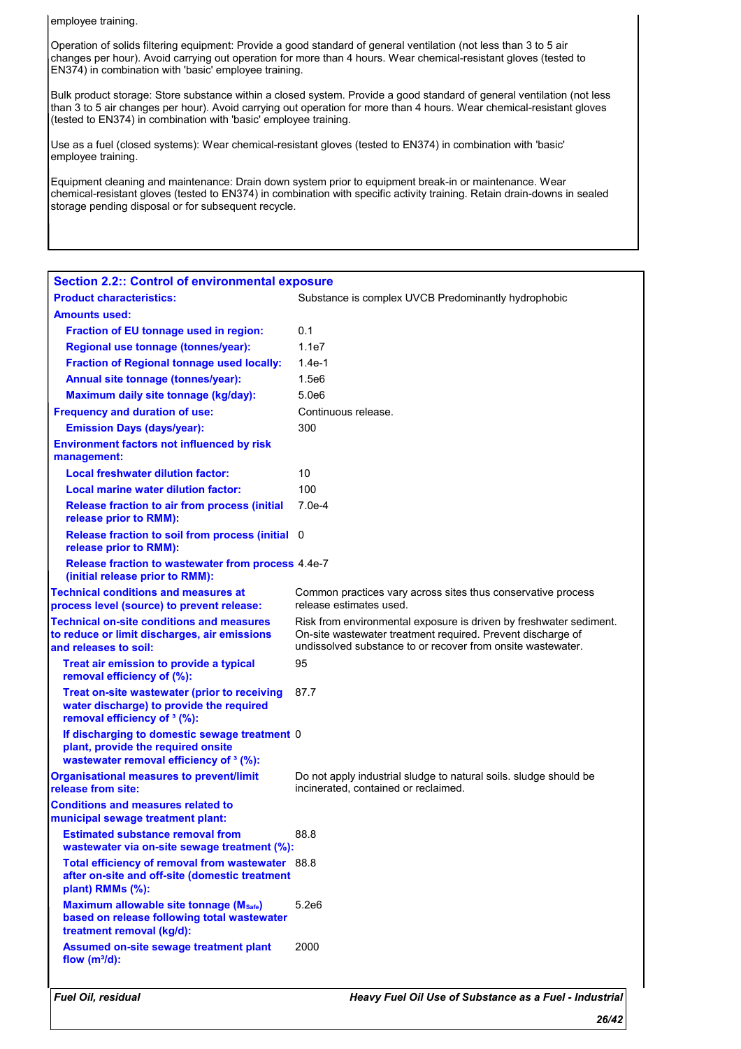employee training.

Operation of solids filtering equipment: Provide a good standard of general ventilation (not less than 3 to 5 air changes per hour). Avoid carrying out operation for more than 4 hours. Wear chemical-resistant gloves (tested to EN374) in combination with 'basic' employee training.

Bulk product storage: Store substance within a closed system. Provide a good standard of general ventilation (not less than 3 to 5 air changes per hour). Avoid carrying out operation for more than 4 hours. Wear chemical-resistant gloves (tested to EN374) in combination with 'basic' employee training.

Use as a fuel (closed systems): Wear chemical-resistant gloves (tested to EN374) in combination with 'basic' employee training.

Equipment cleaning and maintenance: Drain down system prior to equipment break-in or maintenance. Wear chemical-resistant gloves (tested to EN374) in combination with specific activity training. Retain drain-downs in sealed storage pending disposal or for subsequent recycle.

| <b>Section 2.2:: Control of environmental exposure</b>                                                                              |                                                                                                                                                                                                  |
|-------------------------------------------------------------------------------------------------------------------------------------|--------------------------------------------------------------------------------------------------------------------------------------------------------------------------------------------------|
| <b>Product characteristics:</b>                                                                                                     | Substance is complex UVCB Predominantly hydrophobic                                                                                                                                              |
| <b>Amounts used:</b>                                                                                                                |                                                                                                                                                                                                  |
| Fraction of EU tonnage used in region:                                                                                              | 0.1                                                                                                                                                                                              |
| Regional use tonnage (tonnes/year):                                                                                                 | 1.1e7                                                                                                                                                                                            |
| <b>Fraction of Regional tonnage used locally:</b>                                                                                   | $1.4e-1$                                                                                                                                                                                         |
| Annual site tonnage (tonnes/year):                                                                                                  | 1.5e6                                                                                                                                                                                            |
| Maximum daily site tonnage (kg/day):                                                                                                | 5.0e6                                                                                                                                                                                            |
| <b>Frequency and duration of use:</b>                                                                                               | Continuous release.                                                                                                                                                                              |
| <b>Emission Days (days/year):</b>                                                                                                   | 300                                                                                                                                                                                              |
| <b>Environment factors not influenced by risk</b><br>management:                                                                    |                                                                                                                                                                                                  |
| <b>Local freshwater dilution factor:</b>                                                                                            | 10                                                                                                                                                                                               |
| Local marine water dilution factor:                                                                                                 | 100                                                                                                                                                                                              |
| <b>Release fraction to air from process (initial</b><br>release prior to RMM):                                                      | $7.0e-4$                                                                                                                                                                                         |
| Release fraction to soil from process (initial 0<br>release prior to RMM):                                                          |                                                                                                                                                                                                  |
| Release fraction to wastewater from process 4.4e-7<br>(initial release prior to RMM):                                               |                                                                                                                                                                                                  |
| <b>Technical conditions and measures at</b><br>process level (source) to prevent release:                                           | Common practices vary across sites thus conservative process<br>release estimates used.                                                                                                          |
| <b>Technical on-site conditions and measures</b><br>to reduce or limit discharges, air emissions<br>and releases to soil:           | Risk from environmental exposure is driven by freshwater sediment.<br>On-site wastewater treatment required. Prevent discharge of<br>undissolved substance to or recover from onsite wastewater. |
| Treat air emission to provide a typical<br>removal efficiency of (%):                                                               | 95                                                                                                                                                                                               |
| Treat on-site wastewater (prior to receiving<br>water discharge) to provide the required<br>removal efficiency of <sup>3</sup> (%): | 87.7                                                                                                                                                                                             |
| If discharging to domestic sewage treatment 0<br>plant, provide the required onsite<br>wastewater removal efficiency of 3 (%):      |                                                                                                                                                                                                  |
| <b>Organisational measures to prevent/limit</b><br>release from site:                                                               | Do not apply industrial sludge to natural soils. Sludge should be<br>incinerated, contained or reclaimed.                                                                                        |
| <b>Conditions and measures related to</b><br>municipal sewage treatment plant:                                                      |                                                                                                                                                                                                  |
| <b>Estimated substance removal from</b><br>wastewater via on-site sewage treatment (%):                                             | 88.8                                                                                                                                                                                             |
| Total efficiency of removal from wastewater 88.8<br>after on-site and off-site (domestic treatment<br>plant) RMMs (%):              |                                                                                                                                                                                                  |
| Maximum allowable site tonnage (Msafe)<br>based on release following total wastewater<br>treatment removal (kg/d):                  | 5.2e6                                                                                                                                                                                            |
| Assumed on-site sewage treatment plant<br>flow $(m^3/d)$ :                                                                          | 2000                                                                                                                                                                                             |
| Fuel Oil, residual                                                                                                                  | Heavy Fuel Oil Use of Substance as a Fuel - Industrial                                                                                                                                           |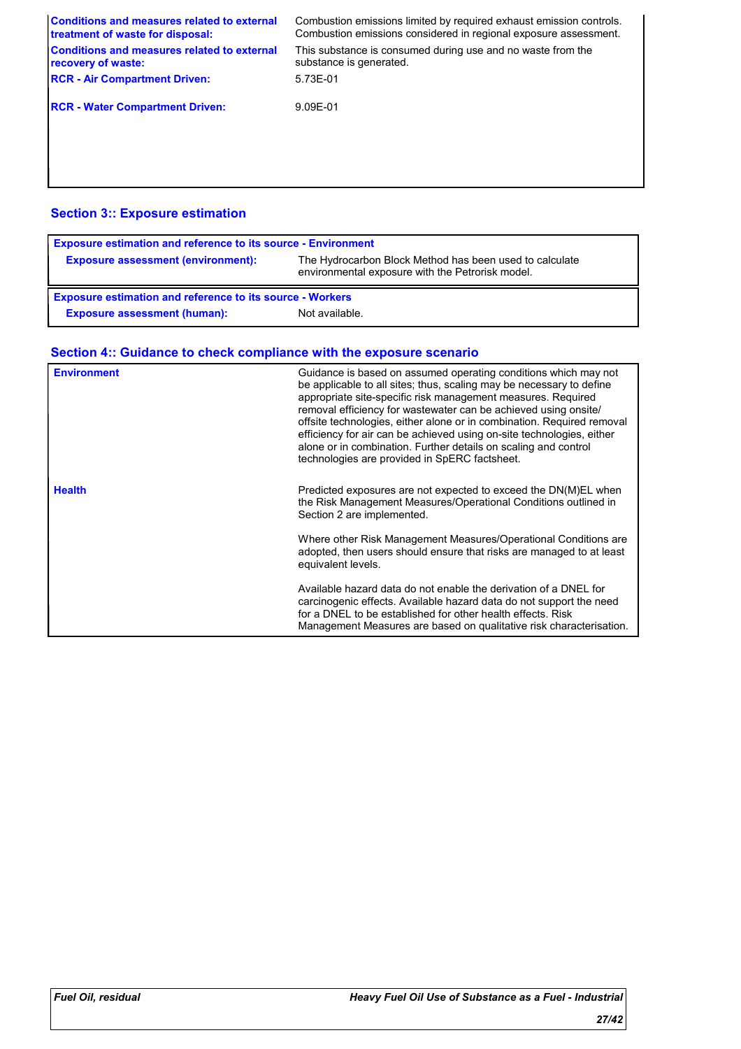| <b>Conditions and measures related to external</b><br>treatment of waste for disposal: | Combustion emissions limited by required exhaust emission controls.<br>Combustion emissions considered in regional exposure assessment. |
|----------------------------------------------------------------------------------------|-----------------------------------------------------------------------------------------------------------------------------------------|
| <b>Conditions and measures related to external</b><br>recovery of waste:               | This substance is consumed during use and no waste from the<br>substance is generated.                                                  |
| <b>RCR - Air Compartment Driven:</b>                                                   | 5.73E-01                                                                                                                                |
| <b>RCR - Water Compartment Driven:</b>                                                 | 9.09E-01                                                                                                                                |
|                                                                                        |                                                                                                                                         |
|                                                                                        |                                                                                                                                         |

### **Section 3:: Exposure estimation**

| <b>Exposure estimation and reference to its source - Environment</b> |                                                                                                             |  |
|----------------------------------------------------------------------|-------------------------------------------------------------------------------------------------------------|--|
| <b>Exposure assessment (environment):</b>                            | The Hydrocarbon Block Method has been used to calculate<br>environmental exposure with the Petrorisk model. |  |
| <b>Exposure estimation and reference to its source - Workers</b>     |                                                                                                             |  |
| <b>Exposure assessment (human):</b>                                  | Not available.                                                                                              |  |

| <b>Environment</b> | Guidance is based on assumed operating conditions which may not<br>be applicable to all sites; thus, scaling may be necessary to define<br>appropriate site-specific risk management measures. Required<br>removal efficiency for wastewater can be achieved using onsite/<br>offsite technologies, either alone or in combination. Required removal<br>efficiency for air can be achieved using on-site technologies, either<br>alone or in combination. Further details on scaling and control<br>technologies are provided in SpERC factsheet. |
|--------------------|---------------------------------------------------------------------------------------------------------------------------------------------------------------------------------------------------------------------------------------------------------------------------------------------------------------------------------------------------------------------------------------------------------------------------------------------------------------------------------------------------------------------------------------------------|
| <b>Health</b>      | Predicted exposures are not expected to exceed the DN(M)EL when<br>the Risk Management Measures/Operational Conditions outlined in<br>Section 2 are implemented.                                                                                                                                                                                                                                                                                                                                                                                  |
|                    | Where other Risk Management Measures/Operational Conditions are<br>adopted, then users should ensure that risks are managed to at least<br>equivalent levels.                                                                                                                                                                                                                                                                                                                                                                                     |
|                    | Available hazard data do not enable the derivation of a DNEL for<br>carcinogenic effects. Available hazard data do not support the need<br>for a DNEL to be established for other health effects. Risk<br>Management Measures are based on qualitative risk characterisation.                                                                                                                                                                                                                                                                     |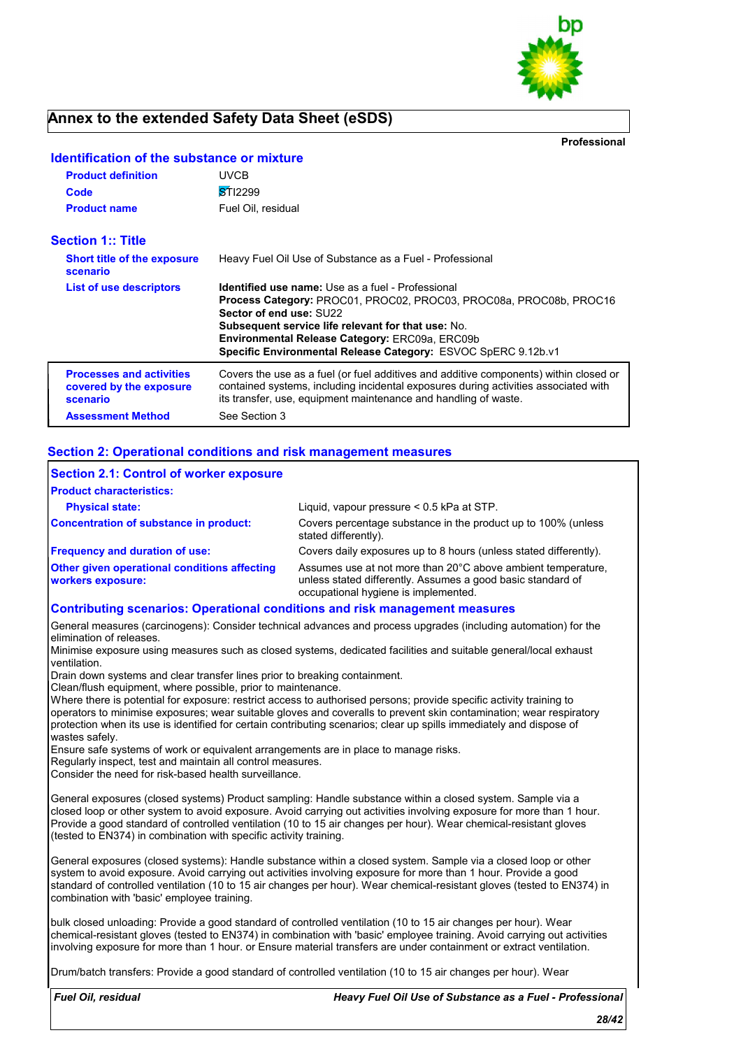

**Professional**

| <b>Product definition</b><br>Code<br><b>Product name</b>               | UVCB<br><b>STI2299</b><br>Fuel Oil, residual                                                                                                                                                                                                                                                                                       |
|------------------------------------------------------------------------|------------------------------------------------------------------------------------------------------------------------------------------------------------------------------------------------------------------------------------------------------------------------------------------------------------------------------------|
| <b>Section 1:: Title</b>                                               |                                                                                                                                                                                                                                                                                                                                    |
| <b>Short title of the exposure</b><br>scenario                         | Heavy Fuel Oil Use of Substance as a Fuel - Professional                                                                                                                                                                                                                                                                           |
| List of use descriptors                                                | <b>Identified use name:</b> Use as a fuel - Professional<br>Process Category: PROC01, PROC02, PROC03, PROC08a, PROC08b, PROC16<br>Sector of end use: SU22<br>Subsequent service life relevant for that use: No.<br>Environmental Release Category: ERC09a, ERC09b<br>Specific Environmental Release Category: ESVOC SpERC 9.12b.v1 |
| <b>Processes and activities</b><br>covered by the exposure<br>scenario | Covers the use as a fuel (or fuel additives and additive components) within closed or<br>contained systems, including incidental exposures during activities associated with<br>its transfer, use, equipment maintenance and handling of waste.                                                                                    |
| <b>Assessment Method</b>                                               | See Section 3                                                                                                                                                                                                                                                                                                                      |

### **Identification of the substance or mixture**

#### **Section 2: Operational conditions and risk management measures**

| <b>Section 2.1: Control of worker exposure</b>                                  |                                                                                                                                                                     |
|---------------------------------------------------------------------------------|---------------------------------------------------------------------------------------------------------------------------------------------------------------------|
| <b>Product characteristics:</b>                                                 |                                                                                                                                                                     |
| <b>Physical state:</b>                                                          | Liquid, vapour pressure $< 0.5$ kPa at STP.                                                                                                                         |
| Concentration of substance in product:                                          | Covers percentage substance in the product up to 100% (unless<br>stated differently).                                                                               |
| <b>Frequency and duration of use:</b>                                           | Covers daily exposures up to 8 hours (unless stated differently).                                                                                                   |
| <b>Other given operational conditions affecting</b><br><b>workers exposure:</b> | Assumes use at not more than 20°C above ambient temperature.<br>unless stated differently. Assumes a good basic standard of<br>occupational hygiene is implemented. |
| Contributing connarios: Operational conditions and risk management measures     |                                                                                                                                                                     |

#### **Contributing scenarios: Operational conditions and risk management measures**

General measures (carcinogens): Consider technical advances and process upgrades (including automation) for the elimination of releases.

Minimise exposure using measures such as closed systems, dedicated facilities and suitable general/local exhaust ventilation.

Drain down systems and clear transfer lines prior to breaking containment.

Clean/flush equipment, where possible, prior to maintenance.

Where there is potential for exposure: restrict access to authorised persons; provide specific activity training to operators to minimise exposures; wear suitable gloves and coveralls to prevent skin contamination; wear respiratory protection when its use is identified for certain contributing scenarios; clear up spills immediately and dispose of wastes safely.

Ensure safe systems of work or equivalent arrangements are in place to manage risks.

Regularly inspect, test and maintain all control measures.

Consider the need for risk-based health surveillance.

General exposures (closed systems) Product sampling: Handle substance within a closed system. Sample via a closed loop or other system to avoid exposure. Avoid carrying out activities involving exposure for more than 1 hour. Provide a good standard of controlled ventilation (10 to 15 air changes per hour). Wear chemical-resistant gloves (tested to EN374) in combination with specific activity training.

General exposures (closed systems): Handle substance within a closed system. Sample via a closed loop or other system to avoid exposure. Avoid carrying out activities involving exposure for more than 1 hour. Provide a good standard of controlled ventilation (10 to 15 air changes per hour). Wear chemical-resistant gloves (tested to EN374) in combination with 'basic' employee training.

bulk closed unloading: Provide a good standard of controlled ventilation (10 to 15 air changes per hour). Wear chemical-resistant gloves (tested to EN374) in combination with 'basic' employee training. Avoid carrying out activities involving exposure for more than 1 hour. or Ensure material transfers are under containment or extract ventilation.

Drum/batch transfers: Provide a good standard of controlled ventilation (10 to 15 air changes per hour). Wear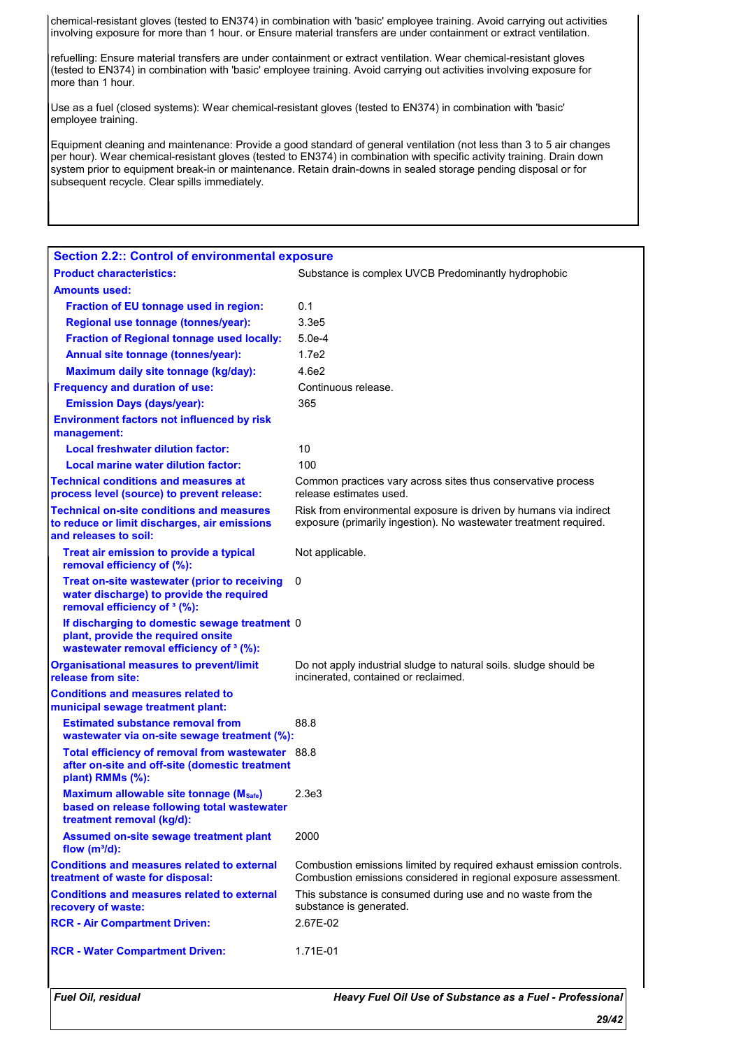chemical-resistant gloves (tested to EN374) in combination with 'basic' employee training. Avoid carrying out activities involving exposure for more than 1 hour. or Ensure material transfers are under containment or extract ventilation.

refuelling: Ensure material transfers are under containment or extract ventilation. Wear chemical-resistant gloves (tested to EN374) in combination with 'basic' employee training. Avoid carrying out activities involving exposure for more than 1 hour.

Use as a fuel (closed systems): Wear chemical-resistant gloves (tested to EN374) in combination with 'basic' employee training.

Equipment cleaning and maintenance: Provide a good standard of general ventilation (not less than 3 to 5 air changes per hour). Wear chemical-resistant gloves (tested to EN374) in combination with specific activity training. Drain down system prior to equipment break-in or maintenance. Retain drain-downs in sealed storage pending disposal or for subsequent recycle. Clear spills immediately.

| Fuel Oil, residual                                                                                                                        | Heavy Fuel Oil Use of Substance as a Fuel - Professional                                                                                |
|-------------------------------------------------------------------------------------------------------------------------------------------|-----------------------------------------------------------------------------------------------------------------------------------------|
| <b>RCR - Water Compartment Driven:</b>                                                                                                    | 1.71E-01                                                                                                                                |
| <b>RCR - Air Compartment Driven:</b>                                                                                                      | 2.67E-02                                                                                                                                |
| <b>Conditions and measures related to external</b><br>recovery of waste:                                                                  | This substance is consumed during use and no waste from the<br>substance is generated.                                                  |
| <b>Conditions and measures related to external</b><br>treatment of waste for disposal:                                                    | Combustion emissions limited by required exhaust emission controls.<br>Combustion emissions considered in regional exposure assessment. |
| <b>Assumed on-site sewage treatment plant</b><br>flow $(m^3/d)$ :                                                                         | 2000                                                                                                                                    |
| <b>Maximum allowable site tonnage (Msafe)</b><br>based on release following total wastewater<br>treatment removal (kg/d):                 | 2.3e3                                                                                                                                   |
| Total efficiency of removal from wastewater 88.8<br>after on-site and off-site (domestic treatment<br>plant) RMMs (%):                    |                                                                                                                                         |
| wastewater via on-site sewage treatment (%):                                                                                              |                                                                                                                                         |
| municipal sewage treatment plant:<br><b>Estimated substance removal from</b>                                                              | 88.8                                                                                                                                    |
| <b>Organisational measures to prevent/limit</b><br>release from site:<br><b>Conditions and measures related to</b>                        | Do not apply industrial sludge to natural soils. sludge should be<br>incinerated, contained or reclaimed.                               |
| If discharging to domestic sewage treatment 0<br>plant, provide the required onsite<br>wastewater removal efficiency of <sup>3</sup> (%): |                                                                                                                                         |
| Treat on-site wastewater (prior to receiving<br>water discharge) to provide the required<br>removal efficiency of <sup>3</sup> (%):       | 0                                                                                                                                       |
| Treat air emission to provide a typical<br>removal efficiency of (%):                                                                     | Not applicable.                                                                                                                         |
| <b>Technical on-site conditions and measures</b><br>to reduce or limit discharges, air emissions<br>and releases to soil:                 | Risk from environmental exposure is driven by humans via indirect<br>exposure (primarily ingestion). No wastewater treatment required.  |
| <b>Technical conditions and measures at</b><br>process level (source) to prevent release:                                                 | Common practices vary across sites thus conservative process<br>release estimates used.                                                 |
| Local marine water dilution factor:                                                                                                       | 100                                                                                                                                     |
| <b>Local freshwater dilution factor:</b>                                                                                                  | 10                                                                                                                                      |
| <b>Environment factors not influenced by risk</b><br>management:                                                                          |                                                                                                                                         |
| <b>Emission Days (days/year):</b>                                                                                                         | 365                                                                                                                                     |
| <b>Frequency and duration of use:</b>                                                                                                     | Continuous release.                                                                                                                     |
| Maximum daily site tonnage (kg/day):                                                                                                      | 4.6e2                                                                                                                                   |
| Annual site tonnage (tonnes/year):                                                                                                        | 1.7e2                                                                                                                                   |
| <b>Fraction of Regional tonnage used locally:</b>                                                                                         | $5.0e-4$                                                                                                                                |
| Regional use tonnage (tonnes/year):                                                                                                       | 3.3e5                                                                                                                                   |
| Fraction of EU tonnage used in region:                                                                                                    | 0.1                                                                                                                                     |
| <b>Product characteristics:</b><br><b>Amounts used:</b>                                                                                   | Substance is complex UVCB Predominantly hydrophobic                                                                                     |
| <b>Section 2.2:: Control of environmental exposure</b>                                                                                    |                                                                                                                                         |
|                                                                                                                                           |                                                                                                                                         |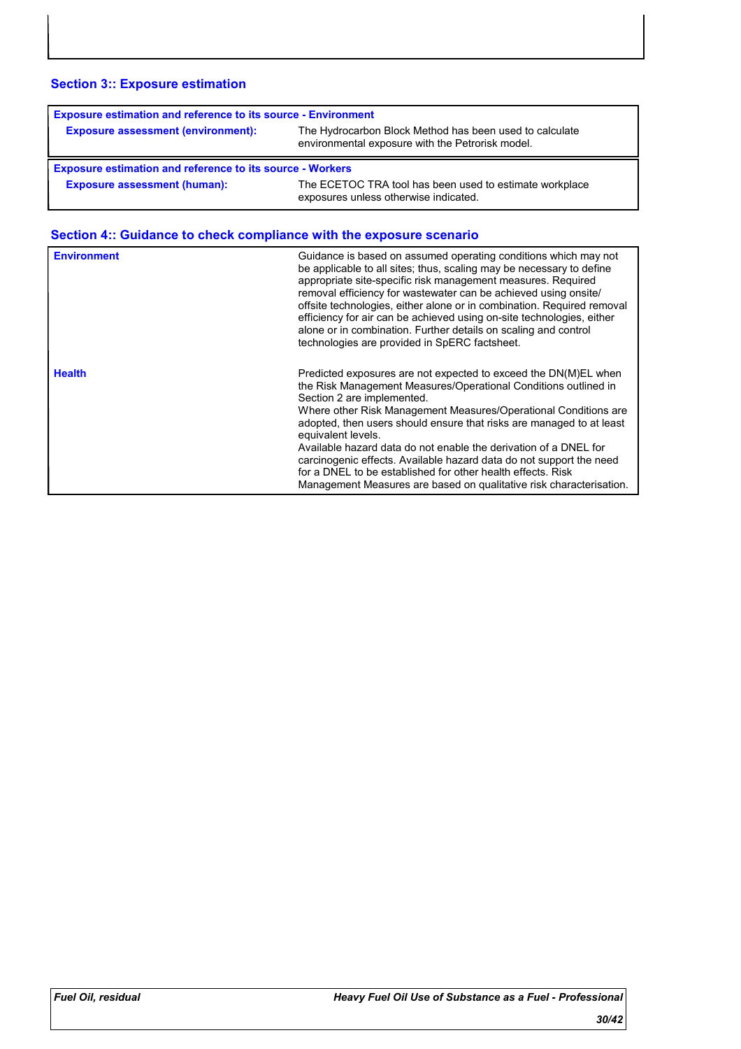### **Section 3:: Exposure estimation**

| <b>Exposure estimation and reference to its source - Environment</b> |                                                                                                             |  |
|----------------------------------------------------------------------|-------------------------------------------------------------------------------------------------------------|--|
| <b>Exposure assessment (environment):</b>                            | The Hydrocarbon Block Method has been used to calculate<br>environmental exposure with the Petrorisk model. |  |
|                                                                      |                                                                                                             |  |
| <b>Exposure estimation and reference to its source - Workers</b>     |                                                                                                             |  |

| <b>Environment</b> | Guidance is based on assumed operating conditions which may not<br>be applicable to all sites; thus, scaling may be necessary to define<br>appropriate site-specific risk management measures. Required<br>removal efficiency for wastewater can be achieved using onsite/<br>offsite technologies, either alone or in combination. Required removal<br>efficiency for air can be achieved using on-site technologies, either<br>alone or in combination. Further details on scaling and control<br>technologies are provided in SpERC factsheet.                                                                  |
|--------------------|--------------------------------------------------------------------------------------------------------------------------------------------------------------------------------------------------------------------------------------------------------------------------------------------------------------------------------------------------------------------------------------------------------------------------------------------------------------------------------------------------------------------------------------------------------------------------------------------------------------------|
| <b>Health</b>      | Predicted exposures are not expected to exceed the DN(M)EL when<br>the Risk Management Measures/Operational Conditions outlined in<br>Section 2 are implemented.<br>Where other Risk Management Measures/Operational Conditions are<br>adopted, then users should ensure that risks are managed to at least<br>equivalent levels.<br>Available hazard data do not enable the derivation of a DNEL for<br>carcinogenic effects. Available hazard data do not support the need<br>for a DNEL to be established for other health effects. Risk<br>Management Measures are based on qualitative risk characterisation. |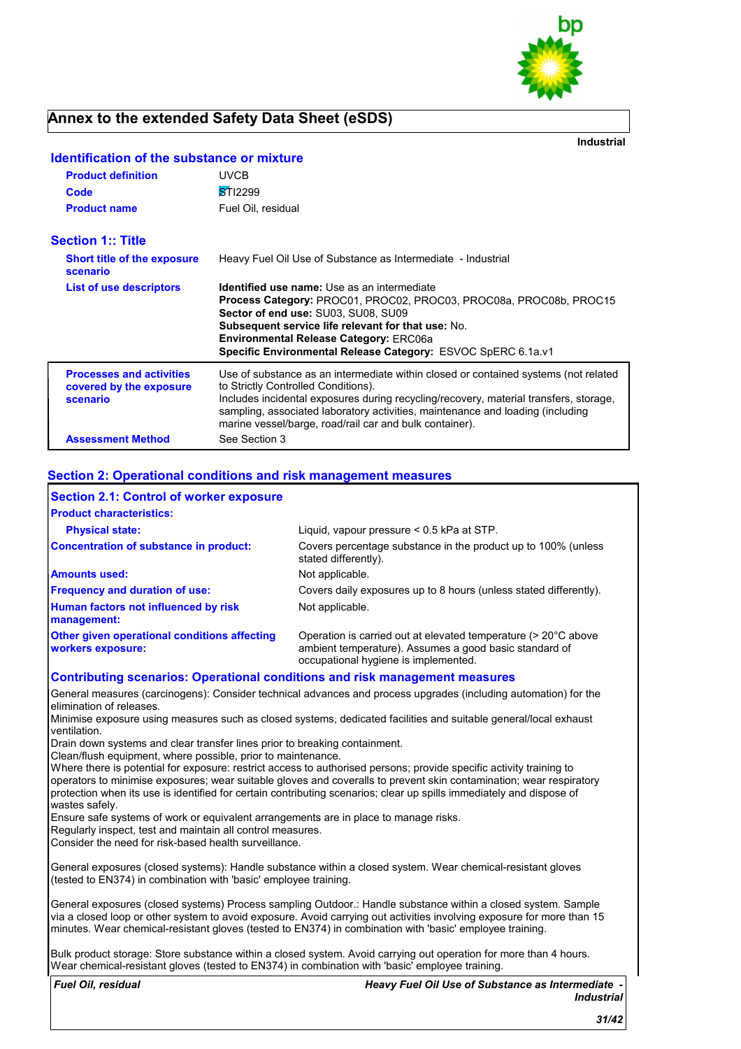

**Industrial**

| <b>Product definition</b>                                              | <b>UVCB</b>                                                                                                                                                                                                                                                                                                                                                      |
|------------------------------------------------------------------------|------------------------------------------------------------------------------------------------------------------------------------------------------------------------------------------------------------------------------------------------------------------------------------------------------------------------------------------------------------------|
| Code                                                                   | STI2299                                                                                                                                                                                                                                                                                                                                                          |
| <b>Product name</b>                                                    | Fuel Oil, residual                                                                                                                                                                                                                                                                                                                                               |
| <b>Section 1:: Title</b>                                               |                                                                                                                                                                                                                                                                                                                                                                  |
| <b>Short title of the exposure</b><br>scenario                         | Heavy Fuel Oil Use of Substance as Intermediate - Industrial                                                                                                                                                                                                                                                                                                     |
| <b>List of use descriptors</b>                                         | <b>Identified use name:</b> Use as an intermediate<br>Process Category: PROC01, PROC02, PROC03, PROC08a, PROC08b, PROC15<br>Sector of end use: SU03. SU08. SU09<br><b>Subsequent service life relevant for that use: No.</b><br><b>Environmental Release Category: ERC06a</b><br>Specific Environmental Release Category: ESVOC SpERC 6.1a.v1                    |
| <b>Processes and activities</b><br>covered by the exposure<br>scenario | Use of substance as an intermediate within closed or contained systems (not related<br>to Strictly Controlled Conditions).<br>Includes incidental exposures during recycling/recovery, material transfers, storage,<br>sampling, associated laboratory activities, maintenance and loading (including<br>marine vessel/barge, road/rail car and bulk container). |
| <b>Assessment Method</b>                                               | See Section 3                                                                                                                                                                                                                                                                                                                                                    |

### **Identification of the substance or mixture**

#### **Section 2: Operational conditions and risk management measures**

| <b>Section 2.1: Control of worker exposure</b>                                     |                                                                                                                                                                                                                                     |
|------------------------------------------------------------------------------------|-------------------------------------------------------------------------------------------------------------------------------------------------------------------------------------------------------------------------------------|
| <b>Product characteristics:</b>                                                    |                                                                                                                                                                                                                                     |
| <b>Physical state:</b>                                                             | Liquid, vapour pressure $< 0.5$ kPa at STP.                                                                                                                                                                                         |
| Concentration of substance in product:                                             | Covers percentage substance in the product up to 100% (unless<br>stated differently).                                                                                                                                               |
| <b>Amounts used:</b>                                                               | Not applicable.                                                                                                                                                                                                                     |
| <b>Frequency and duration of use:</b>                                              | Covers daily exposures up to 8 hours (unless stated differently).                                                                                                                                                                   |
| Human factors not influenced by risk<br>management:                                | Not applicable.                                                                                                                                                                                                                     |
| Other given operational conditions affecting<br>workers exposure:                  | Operation is carried out at elevated temperature (> 20°C above<br>ambient temperature). Assumes a good basic standard of<br>occupational hygiene is implemented.                                                                    |
| <b>Contributing scenarios: Operational conditions and risk management measures</b> |                                                                                                                                                                                                                                     |
| elimination of releases.                                                           | General measures (carcinogens): Consider technical advances and process upgrades (including automation) for the<br>Minimise exposure using measures such as closed systems, dedicated facilities and suitable general/local exhaust |
| ventilation.                                                                       |                                                                                                                                                                                                                                     |

Drain down systems and clear transfer lines prior to breaking containment.

Clean/flush equipment, where possible, prior to maintenance.

Where there is potential for exposure: restrict access to authorised persons; provide specific activity training to operators to minimise exposures; wear suitable gloves and coveralls to prevent skin contamination; wear respiratory protection when its use is identified for certain contributing scenarios; clear up spills immediately and dispose of wastes safely.

Ensure safe systems of work or equivalent arrangements are in place to manage risks.

Regularly inspect, test and maintain all control measures.

Consider the need for risk-based health surveillance.

General exposures (closed systems): Handle substance within a closed system. Wear chemical-resistant gloves (tested to EN374) in combination with 'basic' employee training.

General exposures (closed systems) Process sampling Outdoor.: Handle substance within a closed system. Sample via a closed loop or other system to avoid exposure. Avoid carrying out activities involving exposure for more than 15 minutes. Wear chemical-resistant gloves (tested to EN374) in combination with 'basic' employee training.

Bulk product storage: Store substance within a closed system. Avoid carrying out operation for more than 4 hours. Wear chemical-resistant gloves (tested to EN374) in combination with 'basic' employee training.

*Fuel Oil, residual* 

*Heavy Fuel Oil Use of Substance as Intermediate - Industrial*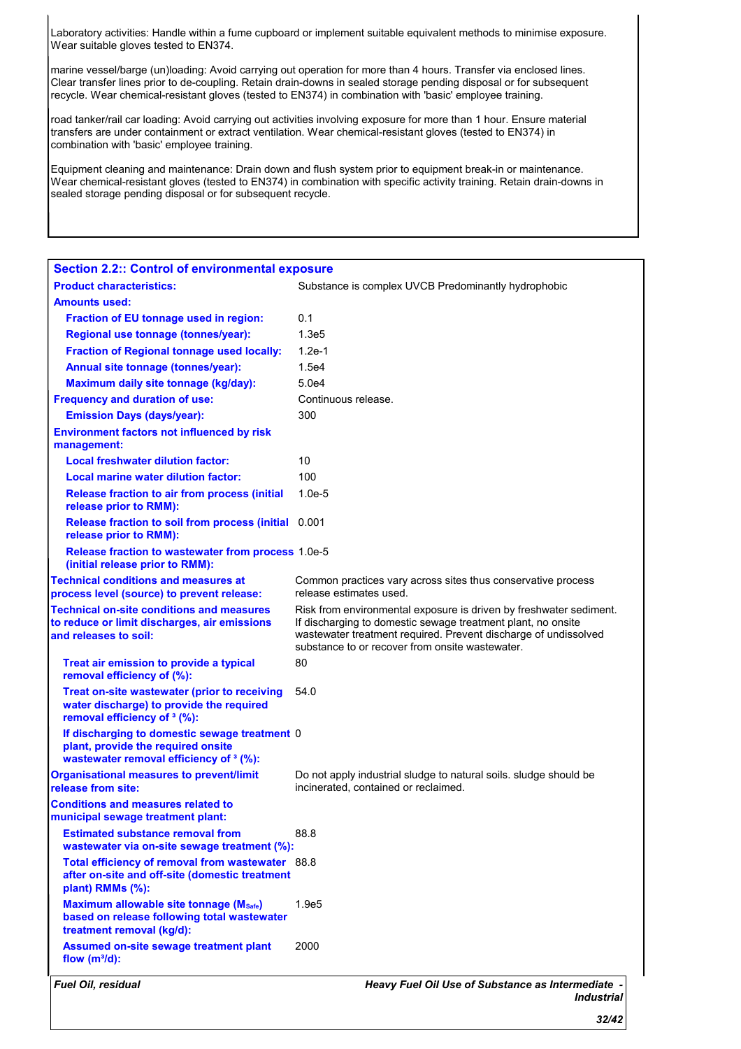Laboratory activities: Handle within a fume cupboard or implement suitable equivalent methods to minimise exposure. Wear suitable gloves tested to EN374.

marine vessel/barge (un)loading: Avoid carrying out operation for more than 4 hours. Transfer via enclosed lines. Clear transfer lines prior to de-coupling. Retain drain-downs in sealed storage pending disposal or for subsequent recycle. Wear chemical-resistant gloves (tested to EN374) in combination with 'basic' employee training.

road tanker/rail car loading: Avoid carrying out activities involving exposure for more than 1 hour. Ensure material transfers are under containment or extract ventilation. Wear chemical-resistant gloves (tested to EN374) in combination with 'basic' employee training.

Equipment cleaning and maintenance: Drain down and flush system prior to equipment break-in or maintenance. Wear chemical-resistant gloves (tested to EN374) in combination with specific activity training. Retain drain-downs in sealed storage pending disposal or for subsequent recycle.

| <b>Section 2.2:: Control of environmental exposure</b>                                                                              |                                                                                                                                                                                                                                                          |
|-------------------------------------------------------------------------------------------------------------------------------------|----------------------------------------------------------------------------------------------------------------------------------------------------------------------------------------------------------------------------------------------------------|
| <b>Product characteristics:</b>                                                                                                     | Substance is complex UVCB Predominantly hydrophobic                                                                                                                                                                                                      |
| <b>Amounts used:</b>                                                                                                                |                                                                                                                                                                                                                                                          |
| Fraction of EU tonnage used in region:                                                                                              | 0.1                                                                                                                                                                                                                                                      |
| Regional use tonnage (tonnes/year):                                                                                                 | 1.3e <sub>5</sub>                                                                                                                                                                                                                                        |
| <b>Fraction of Regional tonnage used locally:</b>                                                                                   | $1.2e-1$                                                                                                                                                                                                                                                 |
| Annual site tonnage (tonnes/year):                                                                                                  | 1.5e4                                                                                                                                                                                                                                                    |
| Maximum daily site tonnage (kg/day):                                                                                                | 5.0e4                                                                                                                                                                                                                                                    |
| <b>Frequency and duration of use:</b>                                                                                               | Continuous release.                                                                                                                                                                                                                                      |
| <b>Emission Days (days/year):</b>                                                                                                   | 300                                                                                                                                                                                                                                                      |
| <b>Environment factors not influenced by risk</b><br>management:                                                                    |                                                                                                                                                                                                                                                          |
| <b>Local freshwater dilution factor:</b>                                                                                            | 10                                                                                                                                                                                                                                                       |
| Local marine water dilution factor:                                                                                                 | 100                                                                                                                                                                                                                                                      |
| <b>Release fraction to air from process (initial</b><br>release prior to RMM):                                                      | $1.0e-5$                                                                                                                                                                                                                                                 |
| Release fraction to soil from process (initial 0.001<br>release prior to RMM):                                                      |                                                                                                                                                                                                                                                          |
| Release fraction to wastewater from process 1.0e-5<br>(initial release prior to RMM):                                               |                                                                                                                                                                                                                                                          |
| <b>Technical conditions and measures at</b><br>process level (source) to prevent release:                                           | Common practices vary across sites thus conservative process<br>release estimates used.                                                                                                                                                                  |
| <b>Technical on-site conditions and measures</b><br>to reduce or limit discharges, air emissions<br>and releases to soil:           | Risk from environmental exposure is driven by freshwater sediment.<br>If discharging to domestic sewage treatment plant, no onsite<br>wastewater treatment required. Prevent discharge of undissolved<br>substance to or recover from onsite wastewater. |
| Treat air emission to provide a typical<br>removal efficiency of (%):                                                               | 80                                                                                                                                                                                                                                                       |
| Treat on-site wastewater (prior to receiving<br>water discharge) to provide the required<br>removal efficiency of <sup>3</sup> (%): | 54.0                                                                                                                                                                                                                                                     |
| If discharging to domestic sewage treatment 0<br>plant, provide the required onsite<br>wastewater removal efficiency of 3 (%):      |                                                                                                                                                                                                                                                          |
| <b>Organisational measures to prevent/limit</b><br>release from site:                                                               | Do not apply industrial sludge to natural soils. Sludge should be<br>incinerated, contained or reclaimed.                                                                                                                                                |
| <b>Conditions and measures related to</b><br>municipal sewage treatment plant:                                                      |                                                                                                                                                                                                                                                          |
| <b>Estimated substance removal from</b><br>wastewater via on-site sewage treatment (%):                                             | 88.8                                                                                                                                                                                                                                                     |
| Total efficiency of removal from wastewater 88.8<br>after on-site and off-site (domestic treatment<br>plant) RMMs (%):              |                                                                                                                                                                                                                                                          |
| Maximum allowable site tonnage (Msafe)<br>based on release following total wastewater<br>treatment removal (kg/d):                  | 1.9e5                                                                                                                                                                                                                                                    |
| Assumed on-site sewage treatment plant<br>flow $(m^3/d)$ :                                                                          | 2000                                                                                                                                                                                                                                                     |
| Fuel Oil, residual                                                                                                                  | Heavy Fuel Oil Use of Substance as Intermediate -<br><b>Industrial</b>                                                                                                                                                                                   |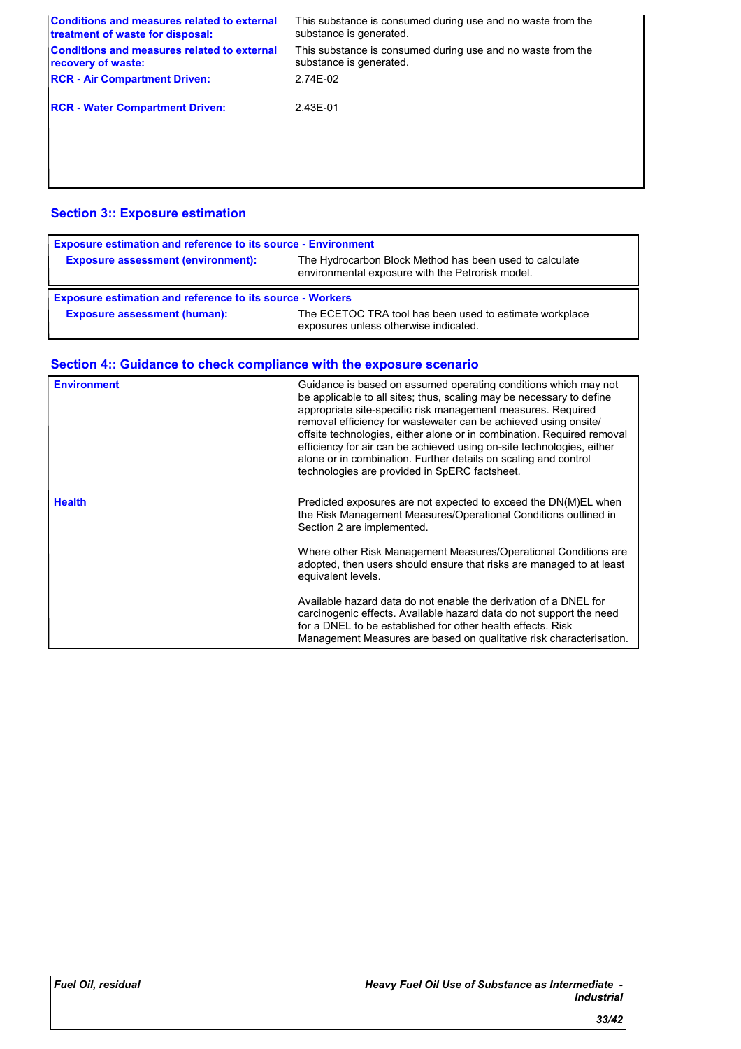| <b>Conditions and measures related to external</b><br>treatment of waste for disposal: | This substance is consumed during use and no waste from the<br>substance is generated. |
|----------------------------------------------------------------------------------------|----------------------------------------------------------------------------------------|
| <b>Conditions and measures related to external</b><br>recovery of waste:               | This substance is consumed during use and no waste from the<br>substance is generated. |
| <b>RCR - Air Compartment Driven:</b>                                                   | 2.74E-02                                                                               |
| <b>RCR - Water Compartment Driven:</b>                                                 | 2.43E-01                                                                               |
|                                                                                        |                                                                                        |

### **Section 3:: Exposure estimation**

| <b>Exposure estimation and reference to its source - Environment</b> |                                                                                                             |
|----------------------------------------------------------------------|-------------------------------------------------------------------------------------------------------------|
| <b>Exposure assessment (environment):</b>                            | The Hydrocarbon Block Method has been used to calculate<br>environmental exposure with the Petrorisk model. |
|                                                                      |                                                                                                             |
| <b>Exposure estimation and reference to its source - Workers</b>     |                                                                                                             |

| <b>Environment</b> | Guidance is based on assumed operating conditions which may not<br>be applicable to all sites; thus, scaling may be necessary to define<br>appropriate site-specific risk management measures. Required<br>removal efficiency for wastewater can be achieved using onsite/<br>offsite technologies, either alone or in combination. Required removal<br>efficiency for air can be achieved using on-site technologies, either<br>alone or in combination. Further details on scaling and control<br>technologies are provided in SpERC factsheet. |
|--------------------|---------------------------------------------------------------------------------------------------------------------------------------------------------------------------------------------------------------------------------------------------------------------------------------------------------------------------------------------------------------------------------------------------------------------------------------------------------------------------------------------------------------------------------------------------|
| <b>Health</b>      | Predicted exposures are not expected to exceed the DN(M)EL when<br>the Risk Management Measures/Operational Conditions outlined in<br>Section 2 are implemented.                                                                                                                                                                                                                                                                                                                                                                                  |
|                    | Where other Risk Management Measures/Operational Conditions are<br>adopted, then users should ensure that risks are managed to at least<br>equivalent levels.                                                                                                                                                                                                                                                                                                                                                                                     |
|                    | Available hazard data do not enable the derivation of a DNEL for<br>carcinogenic effects. Available hazard data do not support the need<br>for a DNEL to be established for other health effects. Risk<br>Management Measures are based on qualitative risk characterisation.                                                                                                                                                                                                                                                                     |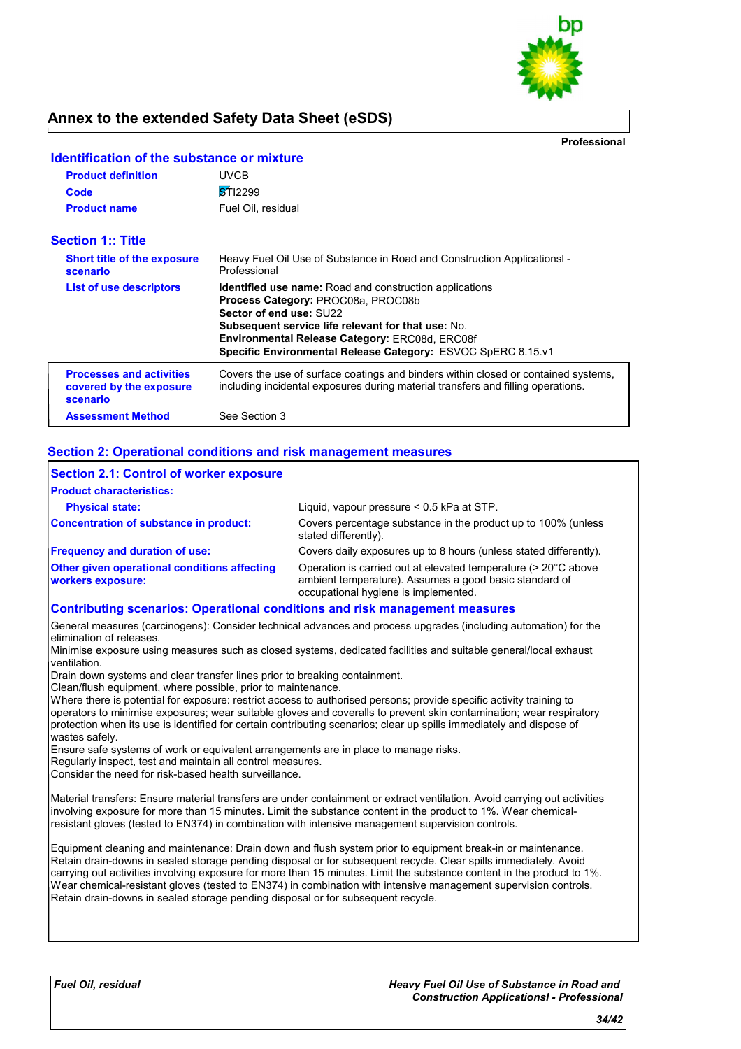

**Professional**

| <b>Product definition</b>                                              | <b>UVCB</b>                                                                                                                                                                                                                                                                                                           |
|------------------------------------------------------------------------|-----------------------------------------------------------------------------------------------------------------------------------------------------------------------------------------------------------------------------------------------------------------------------------------------------------------------|
| Code                                                                   | STI2299                                                                                                                                                                                                                                                                                                               |
| <b>Product name</b>                                                    | Fuel Oil, residual                                                                                                                                                                                                                                                                                                    |
| <b>Section 1:: Title</b>                                               |                                                                                                                                                                                                                                                                                                                       |
| <b>Short title of the exposure</b><br>scenario                         | Heavy Fuel Oil Use of Substance in Road and Construction Applications -<br>Professional                                                                                                                                                                                                                               |
| List of use descriptors                                                | <b>Identified use name:</b> Road and construction applications<br>Process Category: PROC08a, PROC08b<br>Sector of end use: SU22<br><b>Subsequent service life relevant for that use: No.</b><br><b>Environmental Release Category: ERC08d, ERC08f</b><br>Specific Environmental Release Category: ESVOC SpERC 8.15.v1 |
| <b>Processes and activities</b><br>covered by the exposure<br>scenario | Covers the use of surface coatings and binders within closed or contained systems,<br>including incidental exposures during material transfers and filling operations.                                                                                                                                                |
| <b>Assessment Method</b>                                               | See Section 3                                                                                                                                                                                                                                                                                                         |

### **Identification of the substance or mixture**

#### **Section 2: Operational conditions and risk management measures**

| Section 2.1: Control of worker exposure                                            |                                                                                                                                                                  |
|------------------------------------------------------------------------------------|------------------------------------------------------------------------------------------------------------------------------------------------------------------|
| <b>Product characteristics:</b>                                                    |                                                                                                                                                                  |
| <b>Physical state:</b>                                                             | Liguid, vapour pressure < 0.5 kPa at STP.                                                                                                                        |
| Concentration of substance in product:                                             | Covers percentage substance in the product up to 100% (unless<br>stated differently).                                                                            |
| <b>Frequency and duration of use:</b>                                              | Covers daily exposures up to 8 hours (unless stated differently).                                                                                                |
| <b>Other given operational conditions affecting</b><br><b>workers exposure:</b>    | Operation is carried out at elevated temperature (> 20°C above<br>ambient temperature). Assumes a good basic standard of<br>occupational hygiene is implemented. |
| <b>Contributing scenarios: Operational conditions and risk management measures</b> |                                                                                                                                                                  |

General measures (carcinogens): Consider technical advances and process upgrades (including automation) for the elimination of releases.

Minimise exposure using measures such as closed systems, dedicated facilities and suitable general/local exhaust ventilation.

Drain down systems and clear transfer lines prior to breaking containment.

Clean/flush equipment, where possible, prior to maintenance.

Where there is potential for exposure: restrict access to authorised persons; provide specific activity training to operators to minimise exposures; wear suitable gloves and coveralls to prevent skin contamination; wear respiratory protection when its use is identified for certain contributing scenarios; clear up spills immediately and dispose of wastes safely.

Ensure safe systems of work or equivalent arrangements are in place to manage risks.

Regularly inspect, test and maintain all control measures.

Consider the need for risk-based health surveillance.

Material transfers: Ensure material transfers are under containment or extract ventilation. Avoid carrying out activities involving exposure for more than 15 minutes. Limit the substance content in the product to 1%. Wear chemicalresistant gloves (tested to EN374) in combination with intensive management supervision controls.

Equipment cleaning and maintenance: Drain down and flush system prior to equipment break-in or maintenance. Retain drain-downs in sealed storage pending disposal or for subsequent recycle. Clear spills immediately. Avoid carrying out activities involving exposure for more than 15 minutes. Limit the substance content in the product to 1%. Wear chemical-resistant gloves (tested to EN374) in combination with intensive management supervision controls. Retain drain-downs in sealed storage pending disposal or for subsequent recycle.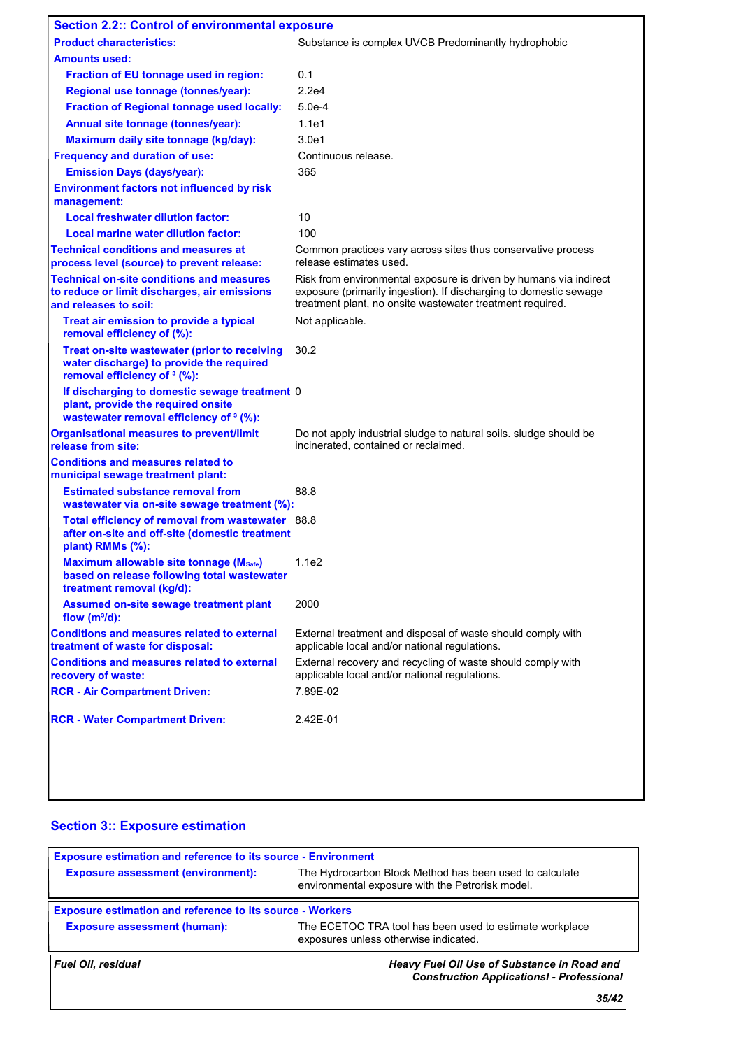| <b>Section 2.2:: Control of environmental exposure</b>                                                                                    |                                                                                                                                                                                                     |
|-------------------------------------------------------------------------------------------------------------------------------------------|-----------------------------------------------------------------------------------------------------------------------------------------------------------------------------------------------------|
| <b>Product characteristics:</b>                                                                                                           | Substance is complex UVCB Predominantly hydrophobic                                                                                                                                                 |
| <b>Amounts used:</b>                                                                                                                      |                                                                                                                                                                                                     |
| Fraction of EU tonnage used in region:                                                                                                    | 0.1                                                                                                                                                                                                 |
| Regional use tonnage (tonnes/year):                                                                                                       | 2.2e4                                                                                                                                                                                               |
| <b>Fraction of Regional tonnage used locally:</b>                                                                                         | $5.0e-4$                                                                                                                                                                                            |
| Annual site tonnage (tonnes/year):                                                                                                        | 1.1e1                                                                                                                                                                                               |
| Maximum daily site tonnage (kg/day):                                                                                                      | 3.0e1                                                                                                                                                                                               |
| <b>Frequency and duration of use:</b>                                                                                                     | Continuous release.                                                                                                                                                                                 |
| <b>Emission Days (days/year):</b>                                                                                                         | 365                                                                                                                                                                                                 |
| <b>Environment factors not influenced by risk</b><br>management:                                                                          |                                                                                                                                                                                                     |
| <b>Local freshwater dilution factor:</b>                                                                                                  | 10                                                                                                                                                                                                  |
| Local marine water dilution factor:                                                                                                       | 100                                                                                                                                                                                                 |
| <b>Technical conditions and measures at</b><br>process level (source) to prevent release:                                                 | Common practices vary across sites thus conservative process<br>release estimates used.                                                                                                             |
| <b>Technical on-site conditions and measures</b><br>to reduce or limit discharges, air emissions<br>and releases to soil:                 | Risk from environmental exposure is driven by humans via indirect<br>exposure (primarily ingestion). If discharging to domestic sewage<br>treatment plant, no onsite wastewater treatment required. |
| Treat air emission to provide a typical<br>removal efficiency of (%):                                                                     | Not applicable.                                                                                                                                                                                     |
| Treat on-site wastewater (prior to receiving<br>water discharge) to provide the required<br>removal efficiency of <sup>3</sup> (%):       | 30.2                                                                                                                                                                                                |
| If discharging to domestic sewage treatment 0<br>plant, provide the required onsite<br>wastewater removal efficiency of <sup>3</sup> (%): |                                                                                                                                                                                                     |
| <b>Organisational measures to prevent/limit</b><br>release from site:                                                                     | Do not apply industrial sludge to natural soils. Sludge should be<br>incinerated, contained or reclaimed.                                                                                           |
| <b>Conditions and measures related to</b><br>municipal sewage treatment plant:                                                            |                                                                                                                                                                                                     |
| <b>Estimated substance removal from</b><br>wastewater via on-site sewage treatment (%):                                                   | 88.8                                                                                                                                                                                                |
| Total efficiency of removal from wastewater 88.8<br>after on-site and off-site (domestic treatment<br>plant) RMMs (%):                    |                                                                                                                                                                                                     |
| Maximum allowable site tonnage (Msafe)<br>based on release following total wastewater<br>treatment removal (kg/d):                        | 1.1e2                                                                                                                                                                                               |
| Assumed on-site sewage treatment plant<br>flow $(m^3/d)$ :                                                                                | 2000                                                                                                                                                                                                |
| <b>Conditions and measures related to external</b><br>treatment of waste for disposal:                                                    | External treatment and disposal of waste should comply with<br>applicable local and/or national regulations.                                                                                        |
| <b>Conditions and measures related to external</b><br>recovery of waste:                                                                  | External recovery and recycling of waste should comply with<br>applicable local and/or national regulations.                                                                                        |
| <b>RCR - Air Compartment Driven:</b>                                                                                                      | 7.89E-02                                                                                                                                                                                            |
| <b>RCR - Water Compartment Driven:</b>                                                                                                    | 2.42E-01                                                                                                                                                                                            |
|                                                                                                                                           |                                                                                                                                                                                                     |

### **Section 3:: Exposure estimation**

| <b>Exposure estimation and reference to its source - Environment</b> |                                                                                                             |
|----------------------------------------------------------------------|-------------------------------------------------------------------------------------------------------------|
| <b>Exposure assessment (environment):</b>                            | The Hydrocarbon Block Method has been used to calculate<br>environmental exposure with the Petrorisk model. |
| <b>Exposure estimation and reference to its source - Workers</b>     |                                                                                                             |
| <b>Exposure assessment (human):</b>                                  | The ECETOC TRA tool has been used to estimate workplace<br>exposures unless otherwise indicated.            |
| <b>Fuel Oil, residual</b>                                            | Heavy Fuel Oil Use of Substance in Road and<br><b>Construction ApplicationsI - Professional</b>             |
|                                                                      | 35/42                                                                                                       |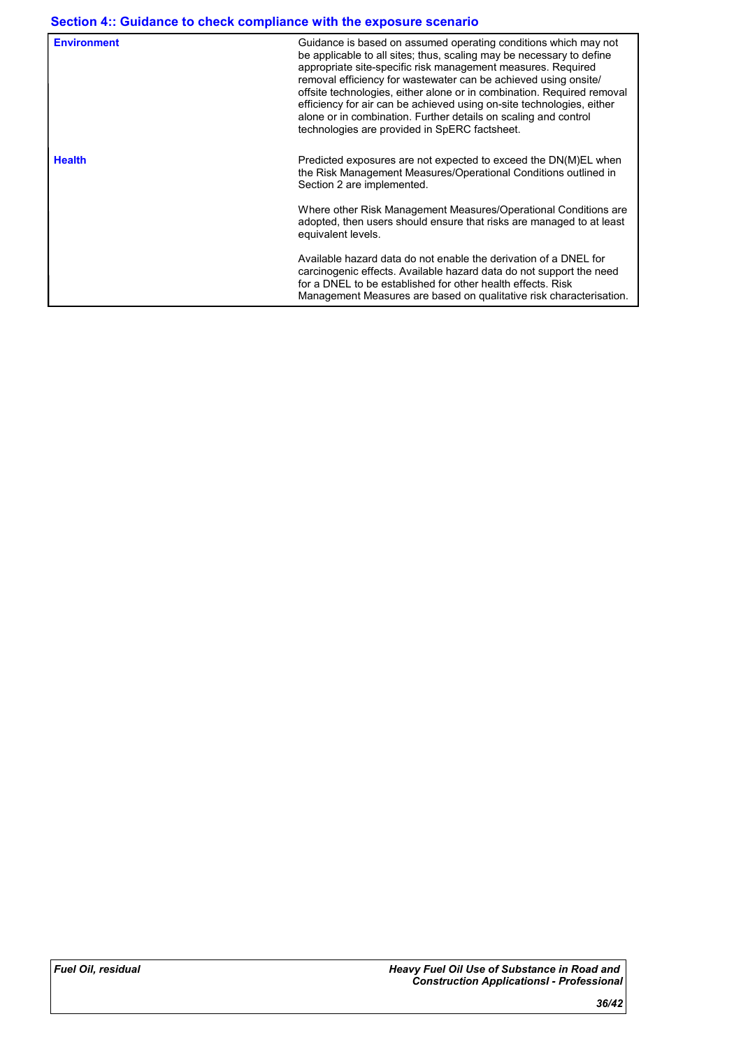| <b>Environment</b> | Guidance is based on assumed operating conditions which may not<br>be applicable to all sites; thus, scaling may be necessary to define<br>appropriate site-specific risk management measures. Required<br>removal efficiency for wastewater can be achieved using onsite/<br>offsite technologies, either alone or in combination. Required removal<br>efficiency for air can be achieved using on-site technologies, either<br>alone or in combination. Further details on scaling and control<br>technologies are provided in SpERC factsheet. |
|--------------------|---------------------------------------------------------------------------------------------------------------------------------------------------------------------------------------------------------------------------------------------------------------------------------------------------------------------------------------------------------------------------------------------------------------------------------------------------------------------------------------------------------------------------------------------------|
| <b>Health</b>      | Predicted exposures are not expected to exceed the DN(M)EL when<br>the Risk Management Measures/Operational Conditions outlined in<br>Section 2 are implemented.                                                                                                                                                                                                                                                                                                                                                                                  |
|                    | Where other Risk Management Measures/Operational Conditions are<br>adopted, then users should ensure that risks are managed to at least<br>equivalent levels.                                                                                                                                                                                                                                                                                                                                                                                     |
|                    | Available hazard data do not enable the derivation of a DNEL for<br>carcinogenic effects. Available hazard data do not support the need<br>for a DNEL to be established for other health effects. Risk<br>Management Measures are based on qualitative risk characterisation.                                                                                                                                                                                                                                                                     |
|                    |                                                                                                                                                                                                                                                                                                                                                                                                                                                                                                                                                   |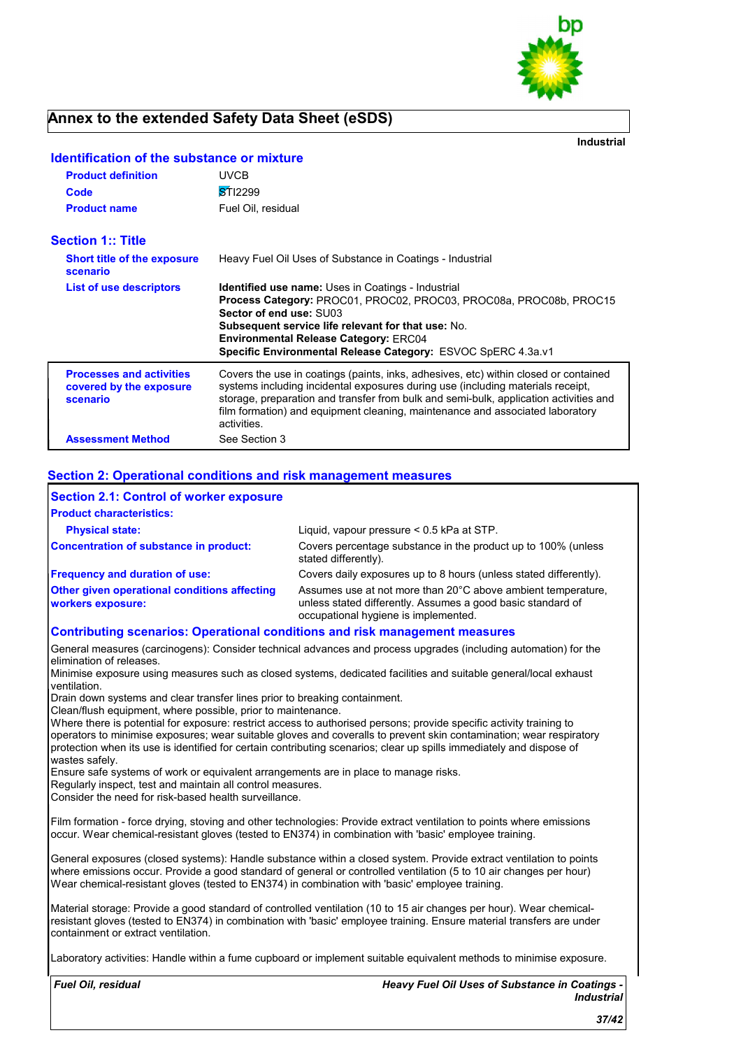

**Industrial**

| <b>Product definition</b>                                              | <b>UVCB</b>                                                                                                                                                                                                                                                                                                                                                      |
|------------------------------------------------------------------------|------------------------------------------------------------------------------------------------------------------------------------------------------------------------------------------------------------------------------------------------------------------------------------------------------------------------------------------------------------------|
| Code                                                                   | STI2299                                                                                                                                                                                                                                                                                                                                                          |
| <b>Product name</b>                                                    | Fuel Oil, residual                                                                                                                                                                                                                                                                                                                                               |
| <b>Section 1:: Title</b>                                               |                                                                                                                                                                                                                                                                                                                                                                  |
| <b>Short title of the exposure</b><br>scenario                         | Heavy Fuel Oil Uses of Substance in Coatings - Industrial                                                                                                                                                                                                                                                                                                        |
| <b>List of use descriptors</b>                                         | <b>Identified use name:</b> Uses in Coatings - Industrial<br>Process Category: PROC01, PROC02, PROC03, PROC08a, PROC08b, PROC15<br>Sector of end use: SU03<br><b>Subsequent service life relevant for that use: No.</b><br><b>Environmental Release Category: ERC04</b><br>Specific Environmental Release Category: ESVOC SpERC 4.3a.v1                          |
| <b>Processes and activities</b><br>covered by the exposure<br>scenario | Covers the use in coatings (paints, inks, adhesives, etc) within closed or contained<br>systems including incidental exposures during use (including materials receipt,<br>storage, preparation and transfer from bulk and semi-bulk, application activities and<br>film formation) and equipment cleaning, maintenance and associated laboratory<br>activities. |
| <b>Assessment Method</b>                                               | See Section 3                                                                                                                                                                                                                                                                                                                                                    |

### **Identification of the substance or mixture**

#### **Section 2: Operational conditions and risk management measures**

| <b>Section 2.1: Control of worker exposure</b>                    |                                                                                                                                                                     |
|-------------------------------------------------------------------|---------------------------------------------------------------------------------------------------------------------------------------------------------------------|
| <b>Product characteristics:</b>                                   |                                                                                                                                                                     |
| <b>Physical state:</b>                                            | Liquid, vapour pressure < 0.5 kPa at STP.                                                                                                                           |
| <b>Concentration of substance in product:</b>                     | Covers percentage substance in the product up to 100% (unless<br>stated differently).                                                                               |
| <b>Frequency and duration of use:</b>                             | Covers daily exposures up to 8 hours (unless stated differently).                                                                                                   |
| Other given operational conditions affecting<br>workers exposure: | Assumes use at not more than 20°C above ambient temperature,<br>unless stated differently. Assumes a good basic standard of<br>occupational hygiene is implemented. |

#### **Contributing scenarios: Operational conditions and risk management measures**

General measures (carcinogens): Consider technical advances and process upgrades (including automation) for the elimination of releases.

Minimise exposure using measures such as closed systems, dedicated facilities and suitable general/local exhaust ventilation.

Drain down systems and clear transfer lines prior to breaking containment.

Clean/flush equipment, where possible, prior to maintenance.

Where there is potential for exposure: restrict access to authorised persons; provide specific activity training to operators to minimise exposures; wear suitable gloves and coveralls to prevent skin contamination; wear respiratory protection when its use is identified for certain contributing scenarios; clear up spills immediately and dispose of wastes safely.

Ensure safe systems of work or equivalent arrangements are in place to manage risks.

Regularly inspect, test and maintain all control measures.

Consider the need for risk-based health surveillance.

Film formation - force drying, stoving and other technologies: Provide extract ventilation to points where emissions occur. Wear chemical-resistant gloves (tested to EN374) in combination with 'basic' employee training.

General exposures (closed systems): Handle substance within a closed system. Provide extract ventilation to points where emissions occur. Provide a good standard of general or controlled ventilation (5 to 10 air changes per hour) Wear chemical-resistant gloves (tested to EN374) in combination with 'basic' employee training.

Material storage: Provide a good standard of controlled ventilation (10 to 15 air changes per hour). Wear chemicalresistant gloves (tested to EN374) in combination with 'basic' employee training. Ensure material transfers are under containment or extract ventilation.

Laboratory activities: Handle within a fume cupboard or implement suitable equivalent methods to minimise exposure.

*Fuel Oil, residual*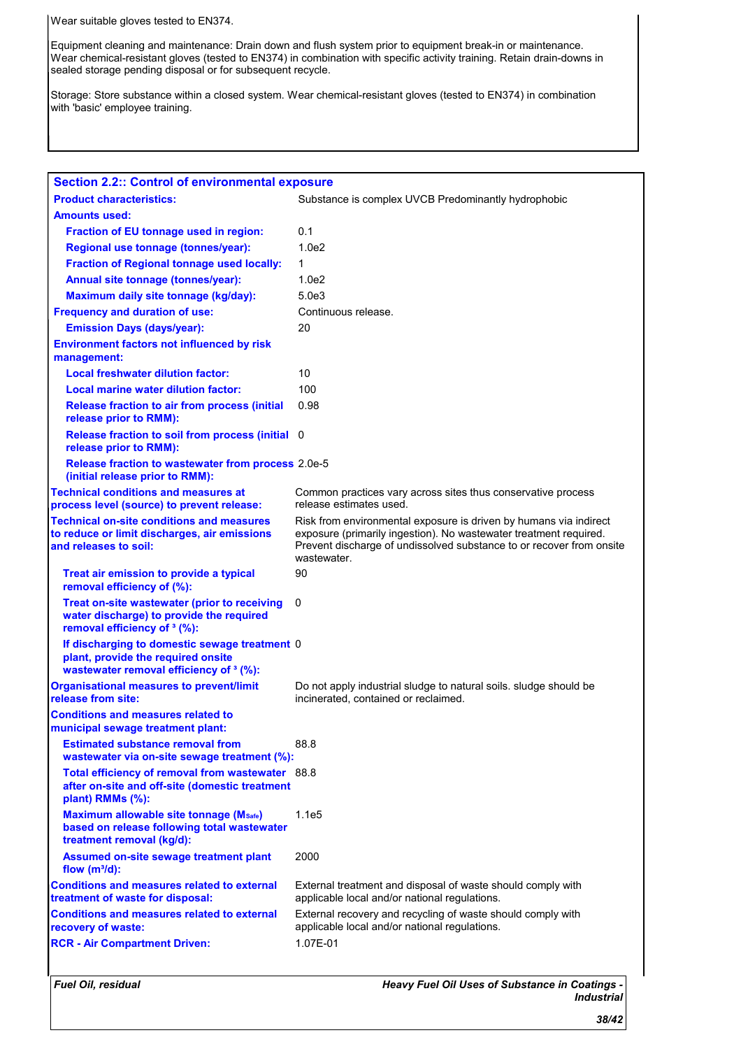Wear suitable gloves tested to EN374.

Equipment cleaning and maintenance: Drain down and flush system prior to equipment break-in or maintenance. Wear chemical-resistant gloves (tested to EN374) in combination with specific activity training. Retain drain-downs in sealed storage pending disposal or for subsequent recycle.

Storage: Store substance within a closed system. Wear chemical-resistant gloves (tested to EN374) in combination with 'basic' employee training.

| <b>Section 2.2:: Control of environmental exposure</b>                                                                              |                                                                                                                                                                                                                               |  |
|-------------------------------------------------------------------------------------------------------------------------------------|-------------------------------------------------------------------------------------------------------------------------------------------------------------------------------------------------------------------------------|--|
| <b>Product characteristics:</b>                                                                                                     | Substance is complex UVCB Predominantly hydrophobic                                                                                                                                                                           |  |
| <b>Amounts used:</b>                                                                                                                |                                                                                                                                                                                                                               |  |
| Fraction of EU tonnage used in region:                                                                                              | 0.1                                                                                                                                                                                                                           |  |
| Regional use tonnage (tonnes/year):                                                                                                 | 1.0e2                                                                                                                                                                                                                         |  |
| <b>Fraction of Regional tonnage used locally:</b>                                                                                   | 1                                                                                                                                                                                                                             |  |
| Annual site tonnage (tonnes/year):                                                                                                  | 1.0 <sub>e2</sub>                                                                                                                                                                                                             |  |
| Maximum daily site tonnage (kg/day):                                                                                                | 5.0 <sub>e</sub> 3                                                                                                                                                                                                            |  |
| <b>Frequency and duration of use:</b>                                                                                               | Continuous release.                                                                                                                                                                                                           |  |
| <b>Emission Days (days/year):</b>                                                                                                   | 20                                                                                                                                                                                                                            |  |
| <b>Environment factors not influenced by risk</b><br>management:                                                                    |                                                                                                                                                                                                                               |  |
| <b>Local freshwater dilution factor:</b>                                                                                            | 10                                                                                                                                                                                                                            |  |
| Local marine water dilution factor:                                                                                                 | 100                                                                                                                                                                                                                           |  |
| <b>Release fraction to air from process (initial</b><br>release prior to RMM):                                                      | 0.98                                                                                                                                                                                                                          |  |
| Release fraction to soil from process (initial 0<br>release prior to RMM):                                                          |                                                                                                                                                                                                                               |  |
| Release fraction to wastewater from process 2.0e-5<br>(initial release prior to RMM):                                               |                                                                                                                                                                                                                               |  |
| <b>Technical conditions and measures at</b><br>process level (source) to prevent release:                                           | Common practices vary across sites thus conservative process<br>release estimates used.                                                                                                                                       |  |
| <b>Technical on-site conditions and measures</b><br>to reduce or limit discharges, air emissions<br>and releases to soil:           | Risk from environmental exposure is driven by humans via indirect<br>exposure (primarily ingestion). No wastewater treatment required.<br>Prevent discharge of undissolved substance to or recover from onsite<br>wastewater. |  |
| Treat air emission to provide a typical<br>removal efficiency of (%):                                                               | 90                                                                                                                                                                                                                            |  |
| Treat on-site wastewater (prior to receiving<br>water discharge) to provide the required<br>removal efficiency of <sup>3</sup> (%): | 0                                                                                                                                                                                                                             |  |
| If discharging to domestic sewage treatment 0<br>plant, provide the required onsite<br>wastewater removal efficiency of 3 (%):      |                                                                                                                                                                                                                               |  |
| <b>Organisational measures to prevent/limit</b><br>release from site:                                                               | Do not apply industrial sludge to natural soils. Sludge should be<br>incinerated, contained or reclaimed.                                                                                                                     |  |
| <b>Conditions and measures related to</b><br>municipal sewage treatment plant:                                                      |                                                                                                                                                                                                                               |  |
| <b>Estimated substance removal from</b><br>wastewater via on-site sewage treatment (%):                                             | 88.8                                                                                                                                                                                                                          |  |
| Total efficiency of removal from wastewater 88.8<br>after on-site and off-site (domestic treatment<br>plant) RMMs (%):              |                                                                                                                                                                                                                               |  |
| Maximum allowable site tonnage (Msafe)<br>based on release following total wastewater<br>treatment removal (kg/d):                  | 1.1e5                                                                                                                                                                                                                         |  |
| <b>Assumed on-site sewage treatment plant</b><br>flow $(m^3/d)$ :                                                                   | 2000                                                                                                                                                                                                                          |  |
| <b>Conditions and measures related to external</b><br>treatment of waste for disposal:                                              | External treatment and disposal of waste should comply with<br>applicable local and/or national regulations.                                                                                                                  |  |
| <b>Conditions and measures related to external</b><br>recovery of waste:                                                            | External recovery and recycling of waste should comply with<br>applicable local and/or national regulations.                                                                                                                  |  |
| <b>RCR - Air Compartment Driven:</b>                                                                                                | 1.07E-01                                                                                                                                                                                                                      |  |
|                                                                                                                                     |                                                                                                                                                                                                                               |  |

*Fuel Oil, residual*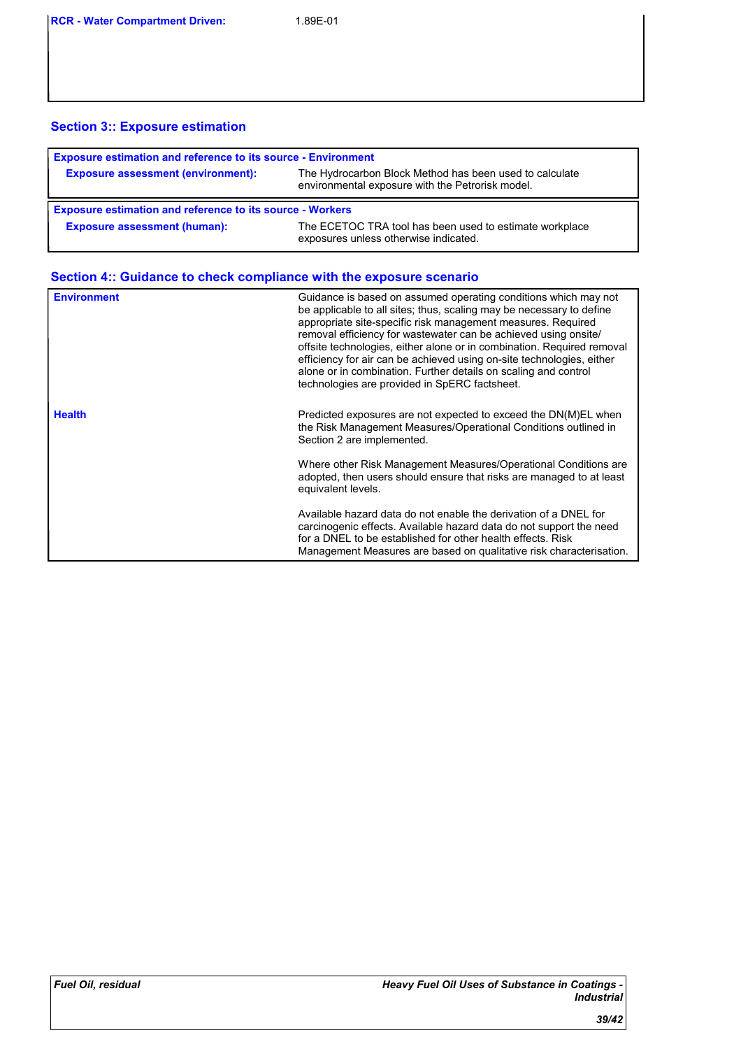### **Section 3:: Exposure estimation**

| <b>Exposure estimation and reference to its source - Environment</b> |                                                                                                             |  |
|----------------------------------------------------------------------|-------------------------------------------------------------------------------------------------------------|--|
| <b>Exposure assessment (environment):</b>                            | The Hydrocarbon Block Method has been used to calculate<br>environmental exposure with the Petrorisk model. |  |
| <b>Exposure estimation and reference to its source - Workers</b>     |                                                                                                             |  |
|                                                                      |                                                                                                             |  |

| <b>Environment</b> | Guidance is based on assumed operating conditions which may not<br>be applicable to all sites; thus, scaling may be necessary to define<br>appropriate site-specific risk management measures. Required<br>removal efficiency for wastewater can be achieved using onsite/<br>offsite technologies, either alone or in combination. Required removal<br>efficiency for air can be achieved using on-site technologies, either<br>alone or in combination. Further details on scaling and control<br>technologies are provided in SpERC factsheet. |
|--------------------|---------------------------------------------------------------------------------------------------------------------------------------------------------------------------------------------------------------------------------------------------------------------------------------------------------------------------------------------------------------------------------------------------------------------------------------------------------------------------------------------------------------------------------------------------|
| <b>Health</b>      | Predicted exposures are not expected to exceed the DN(M)EL when<br>the Risk Management Measures/Operational Conditions outlined in<br>Section 2 are implemented.                                                                                                                                                                                                                                                                                                                                                                                  |
|                    | Where other Risk Management Measures/Operational Conditions are<br>adopted, then users should ensure that risks are managed to at least<br>equivalent levels.                                                                                                                                                                                                                                                                                                                                                                                     |
|                    | Available hazard data do not enable the derivation of a DNEL for<br>carcinogenic effects. Available hazard data do not support the need<br>for a DNEL to be established for other health effects. Risk<br>Management Measures are based on qualitative risk characterisation.                                                                                                                                                                                                                                                                     |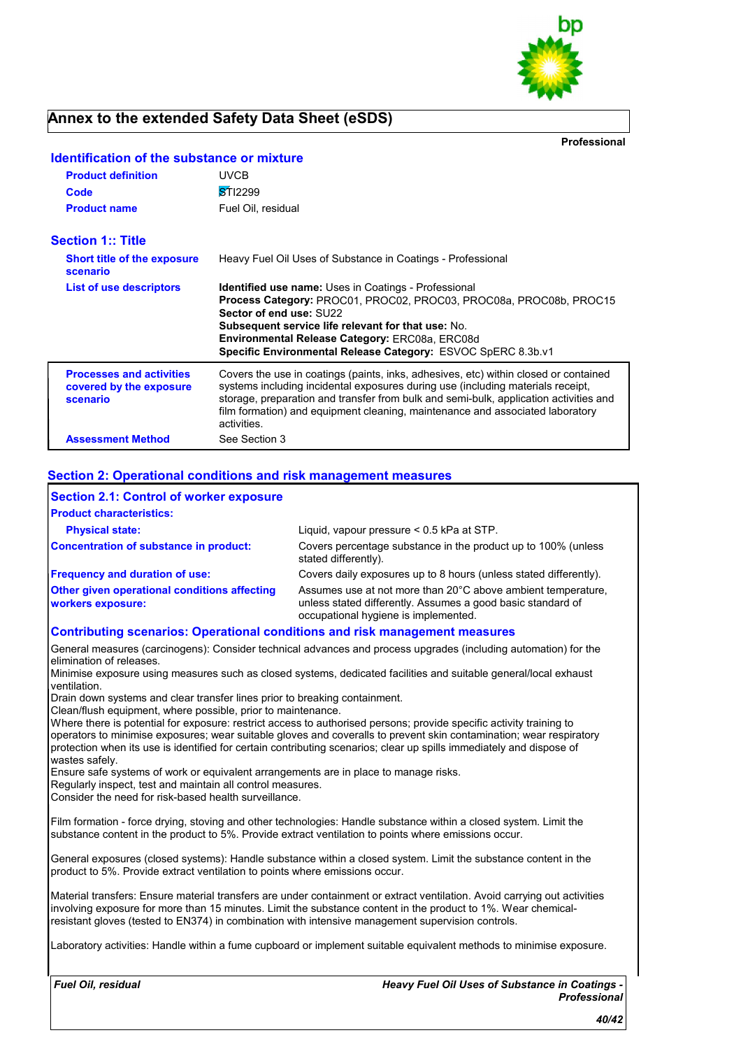

**Professional**

| <b>Product definition</b>                                              | <b>UVCB</b>                                                                                                                                                                                                                                                                                                                                                      |
|------------------------------------------------------------------------|------------------------------------------------------------------------------------------------------------------------------------------------------------------------------------------------------------------------------------------------------------------------------------------------------------------------------------------------------------------|
| Code                                                                   | STI2299                                                                                                                                                                                                                                                                                                                                                          |
| <b>Product name</b>                                                    | Fuel Oil, residual                                                                                                                                                                                                                                                                                                                                               |
| <b>Section 1:: Title</b>                                               |                                                                                                                                                                                                                                                                                                                                                                  |
| <b>Short title of the exposure</b><br>scenario                         | Heavy Fuel Oil Uses of Substance in Coatings - Professional                                                                                                                                                                                                                                                                                                      |
| <b>List of use descriptors</b>                                         | <b>Identified use name:</b> Uses in Coatings - Professional<br><b>Process Category: PROC01, PROC02, PROC03, PROC08a, PROC08b, PROC15</b><br>Sector of end use: SU22<br><b>Subsequent service life relevant for that use: No.</b><br>Environmental Release Category: ERC08a, ERC08d<br>Specific Environmental Release Category: ESVOC SpERC 8.3b.v1               |
| <b>Processes and activities</b><br>covered by the exposure<br>scenario | Covers the use in coatings (paints, inks, adhesives, etc) within closed or contained<br>systems including incidental exposures during use (including materials receipt,<br>storage, preparation and transfer from bulk and semi-bulk, application activities and<br>film formation) and equipment cleaning, maintenance and associated laboratory<br>activities. |
| <b>Assessment Method</b>                                               | See Section 3                                                                                                                                                                                                                                                                                                                                                    |

### **Identification of the substance or mixture**

#### **Section 2: Operational conditions and risk management measures**

| <b>Section 2.1: Control of worker exposure</b>                    |                                                                                                                                                                     |
|-------------------------------------------------------------------|---------------------------------------------------------------------------------------------------------------------------------------------------------------------|
| <b>Product characteristics:</b>                                   |                                                                                                                                                                     |
| <b>Physical state:</b>                                            | Liquid, vapour pressure < 0.5 kPa at STP.                                                                                                                           |
| <b>Concentration of substance in product:</b>                     | Covers percentage substance in the product up to 100% (unless<br>stated differently).                                                                               |
| <b>Frequency and duration of use:</b>                             | Covers daily exposures up to 8 hours (unless stated differently).                                                                                                   |
| Other given operational conditions affecting<br>workers exposure: | Assumes use at not more than 20°C above ambient temperature,<br>unless stated differently. Assumes a good basic standard of<br>occupational hygiene is implemented. |

#### **Contributing scenarios: Operational conditions and risk management measures**

General measures (carcinogens): Consider technical advances and process upgrades (including automation) for the elimination of releases.

Minimise exposure using measures such as closed systems, dedicated facilities and suitable general/local exhaust ventilation.

Drain down systems and clear transfer lines prior to breaking containment.

Clean/flush equipment, where possible, prior to maintenance.

Where there is potential for exposure: restrict access to authorised persons; provide specific activity training to operators to minimise exposures; wear suitable gloves and coveralls to prevent skin contamination; wear respiratory protection when its use is identified for certain contributing scenarios; clear up spills immediately and dispose of wastes safely.

Ensure safe systems of work or equivalent arrangements are in place to manage risks.

Regularly inspect, test and maintain all control measures.

Consider the need for risk-based health surveillance.

Film formation - force drying, stoving and other technologies: Handle substance within a closed system. Limit the substance content in the product to 5%. Provide extract ventilation to points where emissions occur.

General exposures (closed systems): Handle substance within a closed system. Limit the substance content in the product to 5%. Provide extract ventilation to points where emissions occur.

Material transfers: Ensure material transfers are under containment or extract ventilation. Avoid carrying out activities involving exposure for more than 15 minutes. Limit the substance content in the product to 1%. Wear chemicalresistant gloves (tested to EN374) in combination with intensive management supervision controls.

Laboratory activities: Handle within a fume cupboard or implement suitable equivalent methods to minimise exposure.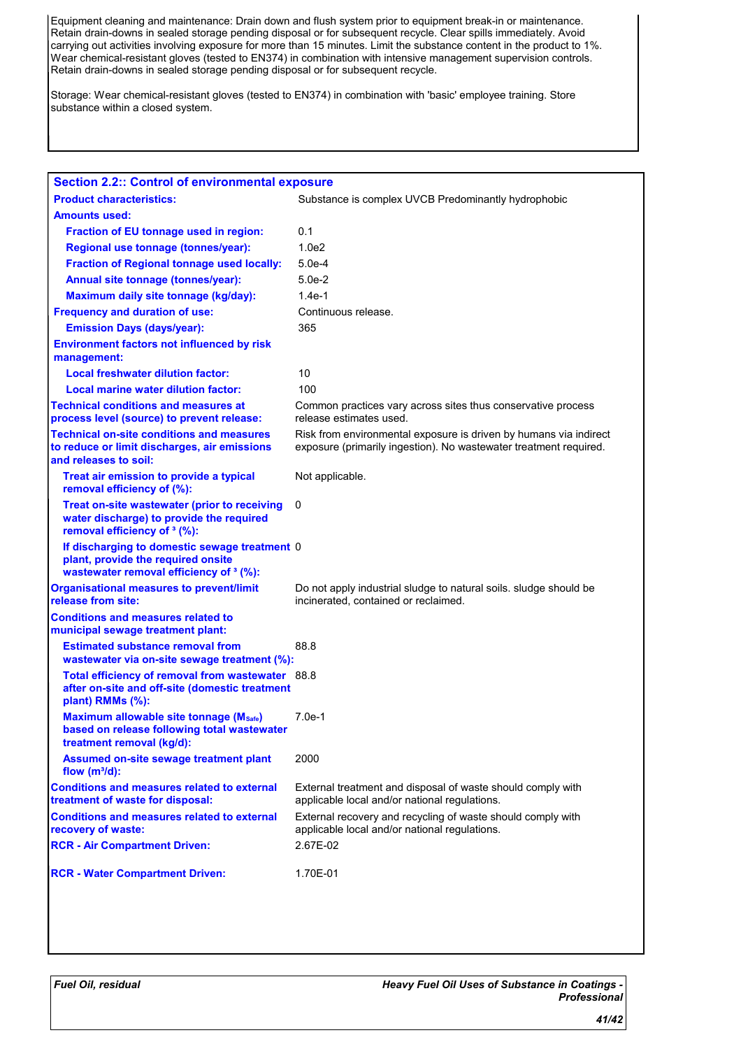Equipment cleaning and maintenance: Drain down and flush system prior to equipment break-in or maintenance. Retain drain-downs in sealed storage pending disposal or for subsequent recycle. Clear spills immediately. Avoid carrying out activities involving exposure for more than 15 minutes. Limit the substance content in the product to 1%. Wear chemical-resistant gloves (tested to EN374) in combination with intensive management supervision controls. Retain drain-downs in sealed storage pending disposal or for subsequent recycle.

Storage: Wear chemical-resistant gloves (tested to EN374) in combination with 'basic' employee training. Store substance within a closed system.

| <b>Section 2.2:: Control of environmental exposure</b>                                                                              |                                                                                                                                        |
|-------------------------------------------------------------------------------------------------------------------------------------|----------------------------------------------------------------------------------------------------------------------------------------|
| <b>Product characteristics:</b>                                                                                                     | Substance is complex UVCB Predominantly hydrophobic                                                                                    |
| <b>Amounts used:</b>                                                                                                                |                                                                                                                                        |
| Fraction of EU tonnage used in region:                                                                                              | 0.1                                                                                                                                    |
| Regional use tonnage (tonnes/year):                                                                                                 | 1.0 <sub>e2</sub>                                                                                                                      |
| <b>Fraction of Regional tonnage used locally:</b>                                                                                   | $5.0e-4$                                                                                                                               |
| Annual site tonnage (tonnes/year):                                                                                                  | $5.0e-2$                                                                                                                               |
| Maximum daily site tonnage (kg/day):                                                                                                | $1.4e-1$                                                                                                                               |
| <b>Frequency and duration of use:</b>                                                                                               | Continuous release.                                                                                                                    |
| <b>Emission Days (days/year):</b>                                                                                                   | 365                                                                                                                                    |
| <b>Environment factors not influenced by risk</b><br>management:                                                                    |                                                                                                                                        |
| <b>Local freshwater dilution factor:</b>                                                                                            | 10                                                                                                                                     |
| <b>Local marine water dilution factor:</b>                                                                                          | 100                                                                                                                                    |
| <b>Technical conditions and measures at</b><br>process level (source) to prevent release:                                           | Common practices vary across sites thus conservative process<br>release estimates used.                                                |
| <b>Technical on-site conditions and measures</b><br>to reduce or limit discharges, air emissions<br>and releases to soil:           | Risk from environmental exposure is driven by humans via indirect<br>exposure (primarily ingestion). No wastewater treatment required. |
| Treat air emission to provide a typical<br>removal efficiency of (%):                                                               | Not applicable.                                                                                                                        |
| Treat on-site wastewater (prior to receiving<br>water discharge) to provide the required<br>removal efficiency of <sup>3</sup> (%): | 0                                                                                                                                      |
| If discharging to domestic sewage treatment 0<br>plant, provide the required onsite<br>wastewater removal efficiency of 3 (%):      |                                                                                                                                        |
| <b>Organisational measures to prevent/limit</b><br>release from site:                                                               | Do not apply industrial sludge to natural soils. sludge should be<br>incinerated, contained or reclaimed.                              |
| <b>Conditions and measures related to</b><br>municipal sewage treatment plant:                                                      |                                                                                                                                        |
| <b>Estimated substance removal from</b><br>wastewater via on-site sewage treatment (%):                                             | 88.8                                                                                                                                   |
| Total efficiency of removal from wastewater 88.8<br>after on-site and off-site (domestic treatment<br>plant) RMMs $(\%):$           |                                                                                                                                        |
| Maximum allowable site tonnage (Msafe)<br>based on release following total wastewater<br>treatment removal (kg/d):                  | $7.0e-1$                                                                                                                               |
| Assumed on-site sewage treatment plant<br>flow $(m^3/d)$ :                                                                          | 2000                                                                                                                                   |
| <b>Conditions and measures related to external</b><br>treatment of waste for disposal:                                              | External treatment and disposal of waste should comply with<br>applicable local and/or national regulations.                           |
| <b>Conditions and measures related to external</b><br>recovery of waste:                                                            | External recovery and recycling of waste should comply with<br>applicable local and/or national regulations.                           |
| <b>RCR - Air Compartment Driven:</b>                                                                                                | 2.67E-02                                                                                                                               |
| <b>RCR - Water Compartment Driven:</b>                                                                                              | 1.70E-01                                                                                                                               |
|                                                                                                                                     |                                                                                                                                        |